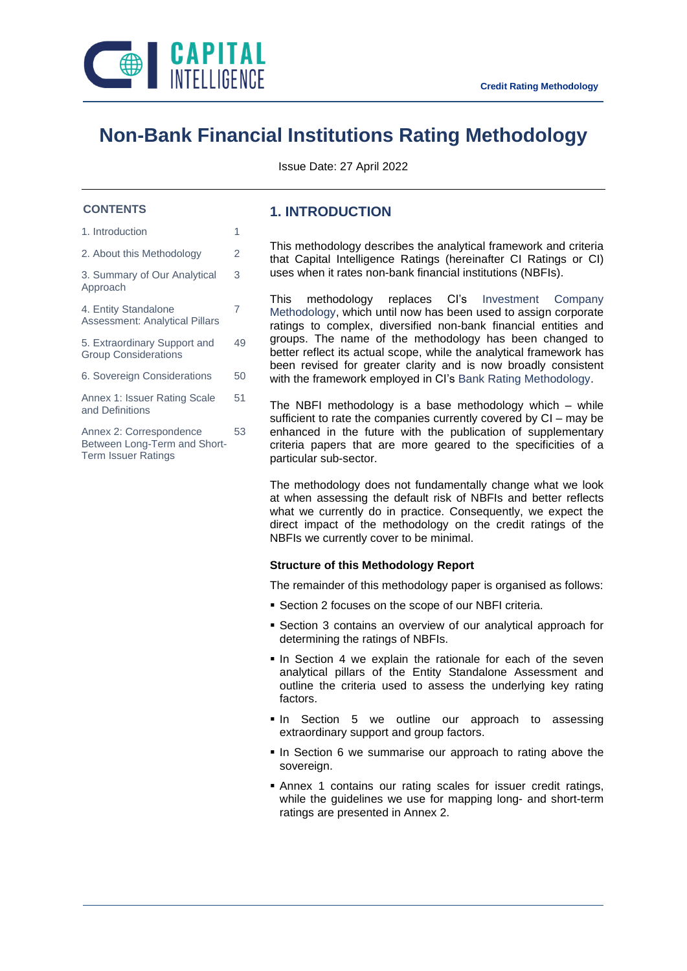

# **Non-Bank Financial Institutions Rating Methodology**

Issue Date: 27 April 2022

### **CONTENTS**

- 1. Introduction 1
- 2. About this Methodology 2

3. Summary of Our Analytical Approach

3

7

4. Entity Standalone Assessment: Analytical Pillars

5. Extraordinary Support and Group Considerations 49

6. Sovereign Considerations 50

Annex 1: Issuer Rating Scale and Definitions 51

Annex 2: Correspondence Between Long-Term and Short-Term Issuer Ratings 53

### **1. INTRODUCTION**

This methodology describes the analytical framework and criteria that Capital Intelligence Ratings (hereinafter CI Ratings or CI) uses when it rates non-bank financial institutions (NBFIs).

This methodology replaces CI's Investment Company Methodology, which until now has been used to assign corporate ratings to complex, diversified non-bank financial entities and groups. The name of the methodology has been changed to better reflect its actual scope, while the analytical framework has been revised for greater clarity and is now broadly consistent with the framework employed in CI's Bank Rating Methodology.

The NBFI methodology is a base methodology which – while sufficient to rate the companies currently covered by CI – may be enhanced in the future with the publication of supplementary criteria papers that are more geared to the specificities of a particular sub-sector.

The methodology does not fundamentally change what we look at when assessing the default risk of NBFIs and better reflects what we currently do in practice. Consequently, we expect the direct impact of the methodology on the credit ratings of the NBFIs we currently cover to be minimal.

### **Structure of this Methodology Report**

The remainder of this methodology paper is organised as follows:

- **EXECTION 2 FOCUSES ON the scope of our NBFI criteria.**
- **EXECTION 3 CONTAINS AN OVERVIEW OF OUR ANALYTICAL Approach for** determining the ratings of NBFIs.
- **.** In Section 4 we explain the rationale for each of the seven analytical pillars of the Entity Standalone Assessment and outline the criteria used to assess the underlying key rating factors.
- **.** In Section 5 we outline our approach to assessing extraordinary support and group factors.
- **.** In Section 6 we summarise our approach to rating above the sovereign.
- **.** Annex 1 contains our rating scales for issuer credit ratings, while the guidelines we use for mapping long- and short-term ratings are presented in Annex 2.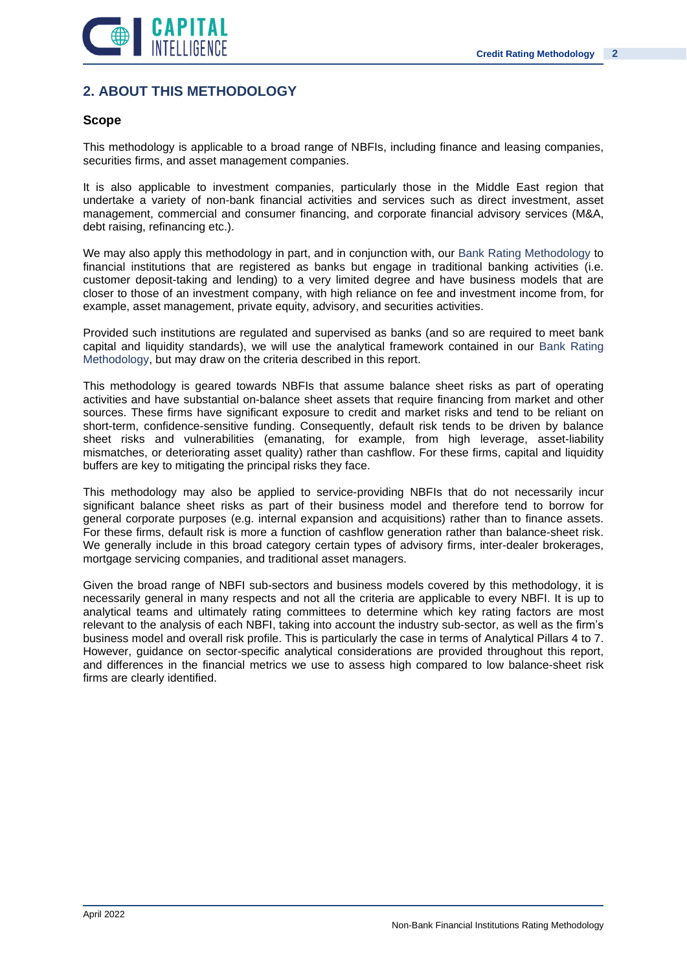

# **2. ABOUT THIS METHODOLOGY**

### **Scope**

This methodology is applicable to a broad range of NBFIs, including finance and leasing companies, securities firms, and asset management companies.

It is also applicable to investment companies, particularly those in the Middle East region that undertake a variety of non-bank financial activities and services such as direct investment, asset management, commercial and consumer financing, and corporate financial advisory services (M&A, debt raising, refinancing etc.).

We may also apply this methodology in part, and in conjunction with, our Bank Rating Methodology to financial institutions that are registered as banks but engage in traditional banking activities (i.e. customer deposit-taking and lending) to a very limited degree and have business models that are closer to those of an investment company, with high reliance on fee and investment income from, for example, asset management, private equity, advisory, and securities activities.

Provided such institutions are regulated and supervised as banks (and so are required to meet bank capital and liquidity standards), we will use the analytical framework contained in our Bank Rating Methodology, but may draw on the criteria described in this report.

This methodology is geared towards NBFIs that assume balance sheet risks as part of operating activities and have substantial on-balance sheet assets that require financing from market and other sources. These firms have significant exposure to credit and market risks and tend to be reliant on short-term, confidence-sensitive funding. Consequently, default risk tends to be driven by balance sheet risks and vulnerabilities (emanating, for example, from high leverage, asset-liability mismatches, or deteriorating asset quality) rather than cashflow. For these firms, capital and liquidity buffers are key to mitigating the principal risks they face.

This methodology may also be applied to service-providing NBFIs that do not necessarily incur significant balance sheet risks as part of their business model and therefore tend to borrow for general corporate purposes (e.g. internal expansion and acquisitions) rather than to finance assets. For these firms, default risk is more a function of cashflow generation rather than balance-sheet risk. We generally include in this broad category certain types of advisory firms, inter-dealer brokerages, mortgage servicing companies, and traditional asset managers.

Given the broad range of NBFI sub-sectors and business models covered by this methodology, it is necessarily general in many respects and not all the criteria are applicable to every NBFI. It is up to analytical teams and ultimately rating committees to determine which key rating factors are most relevant to the analysis of each NBFI, taking into account the industry sub-sector, as well as the firm's business model and overall risk profile. This is particularly the case in terms of Analytical Pillars 4 to 7. However, guidance on sector-specific analytical considerations are provided throughout this report, and differences in the financial metrics we use to assess high compared to low balance-sheet risk firms are clearly identified.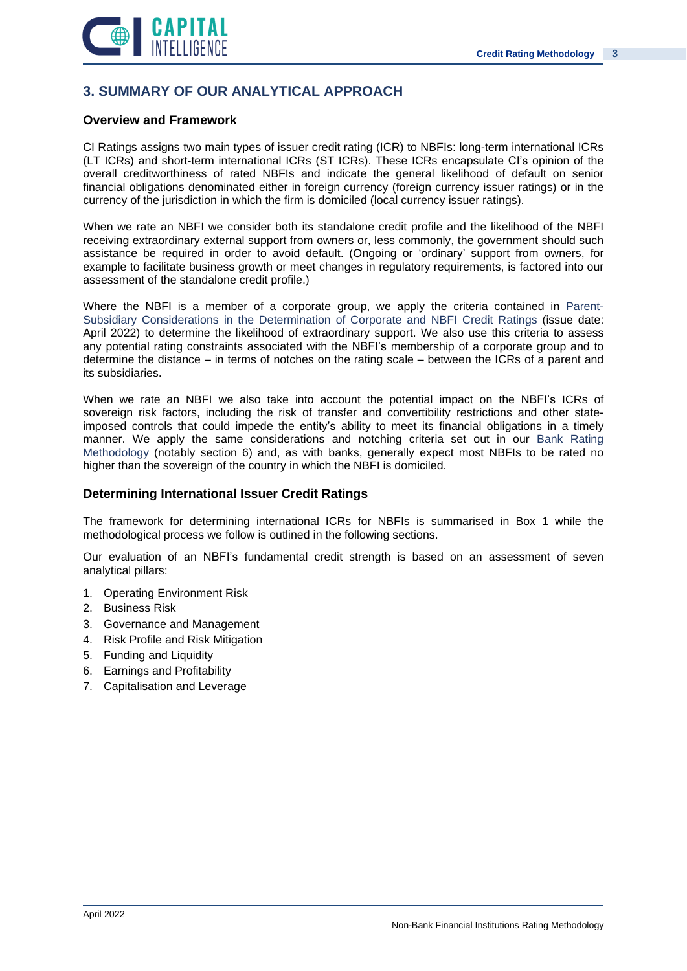

# **3. SUMMARY OF OUR ANALYTICAL APPROACH**

### **Overview and Framework**

CI Ratings assigns two main types of issuer credit rating (ICR) to NBFIs: long-term international ICRs (LT ICRs) and short-term international ICRs (ST ICRs). These ICRs encapsulate CI's opinion of the overall creditworthiness of rated NBFIs and indicate the general likelihood of default on senior financial obligations denominated either in foreign currency (foreign currency issuer ratings) or in the currency of the jurisdiction in which the firm is domiciled (local currency issuer ratings).

When we rate an NBFI we consider both its standalone credit profile and the likelihood of the NBFI receiving extraordinary external support from owners or, less commonly, the government should such assistance be required in order to avoid default. (Ongoing or 'ordinary' support from owners, for example to facilitate business growth or meet changes in regulatory requirements, is factored into our assessment of the standalone credit profile.)

Where the NBFI is a member of a corporate group, we apply the criteria contained in Parent-Subsidiary Considerations in the Determination of Corporate and NBFI Credit Ratings (issue date: April 2022) to determine the likelihood of extraordinary support. We also use this criteria to assess any potential rating constraints associated with the NBFI's membership of a corporate group and to determine the distance – in terms of notches on the rating scale – between the ICRs of a parent and its subsidiaries.

When we rate an NBFI we also take into account the potential impact on the NBFI's ICRs of sovereign risk factors, including the risk of transfer and convertibility restrictions and other stateimposed controls that could impede the entity's ability to meet its financial obligations in a timely manner. We apply the same considerations and notching criteria set out in our Bank Rating Methodology (notably section 6) and, as with banks, generally expect most NBFIs to be rated no higher than the sovereign of the country in which the NBFI is domiciled.

### **Determining International Issuer Credit Ratings**

The framework for determining international ICRs for NBFIs is summarised in Box 1 while the methodological process we follow is outlined in the following sections.

Our evaluation of an NBFI's fundamental credit strength is based on an assessment of seven analytical pillars:

- 1. Operating Environment Risk
- 2. Business Risk
- 3. Governance and Management
- 4. Risk Profile and Risk Mitigation
- 5. Funding and Liquidity
- 6. Earnings and Profitability
- 7. Capitalisation and Leverage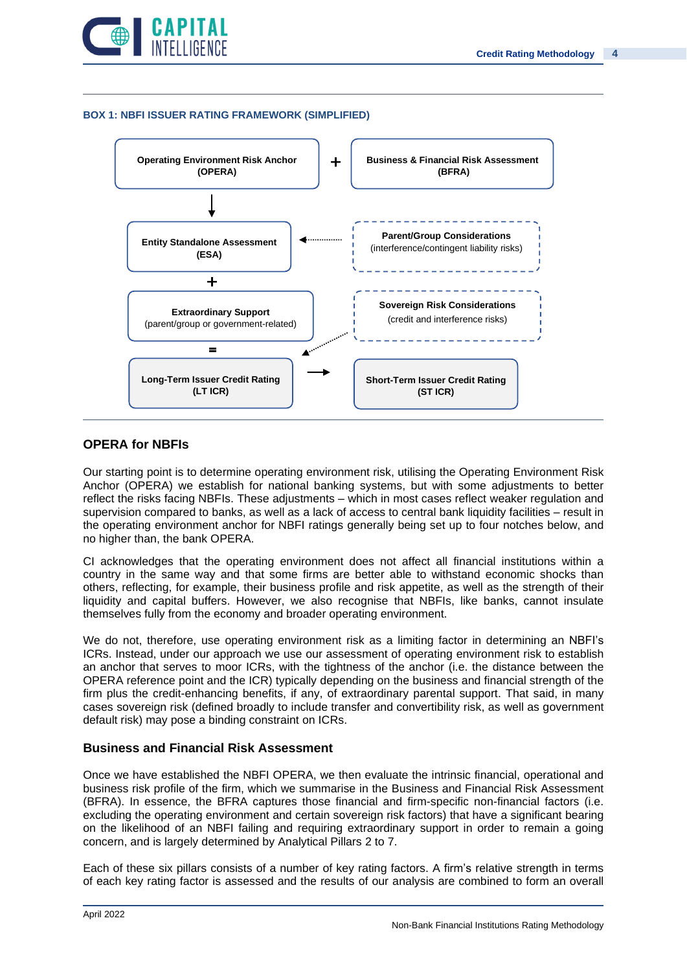

### **BOX 1: NBFI ISSUER RATING FRAMEWORK (SIMPLIFIED)**



### **OPERA for NBFIs**

Our starting point is to determine operating environment risk, utilising the Operating Environment Risk Anchor (OPERA) we establish for national banking systems, but with some adjustments to better reflect the risks facing NBFIs. These adjustments – which in most cases reflect weaker regulation and supervision compared to banks, as well as a lack of access to central bank liquidity facilities – result in the operating environment anchor for NBFI ratings generally being set up to four notches below, and no higher than, the bank OPERA.

CI acknowledges that the operating environment does not affect all financial institutions within a country in the same way and that some firms are better able to withstand economic shocks than others, reflecting, for example, their business profile and risk appetite, as well as the strength of their liquidity and capital buffers. However, we also recognise that NBFIs, like banks, cannot insulate themselves fully from the economy and broader operating environment.

We do not, therefore, use operating environment risk as a limiting factor in determining an NBFI's ICRs. Instead, under our approach we use our assessment of operating environment risk to establish an anchor that serves to moor ICRs, with the tightness of the anchor (i.e. the distance between the OPERA reference point and the ICR) typically depending on the business and financial strength of the firm plus the credit-enhancing benefits, if any, of extraordinary parental support. That said, in many cases sovereign risk (defined broadly to include transfer and convertibility risk, as well as government default risk) may pose a binding constraint on ICRs.

### **Business and Financial Risk Assessment**

Once we have established the NBFI OPERA, we then evaluate the intrinsic financial, operational and business risk profile of the firm, which we summarise in the Business and Financial Risk Assessment (BFRA). In essence, the BFRA captures those financial and firm-specific non-financial factors (i.e. excluding the operating environment and certain sovereign risk factors) that have a significant bearing on the likelihood of an NBFI failing and requiring extraordinary support in order to remain a going concern, and is largely determined by Analytical Pillars 2 to 7.

Each of these six pillars consists of a number of key rating factors. A firm's relative strength in terms of each key rating factor is assessed and the results of our analysis are combined to form an overall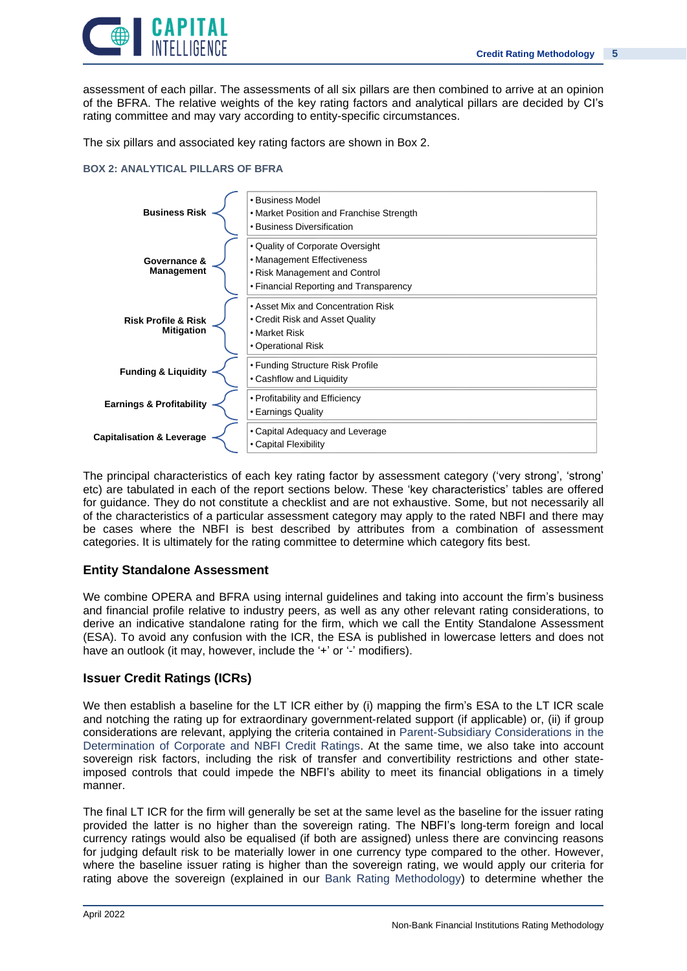

assessment of each pillar. The assessments of all six pillars are then combined to arrive at an opinion of the BFRA. The relative weights of the key rating factors and analytical pillars are decided by CI's rating committee and may vary according to entity-specific circumstances.

The six pillars and associated key rating factors are shown in Box 2.

### **BOX 2: ANALYTICAL PILLARS OF BFRA**



The principal characteristics of each key rating factor by assessment category ('very strong', 'strong' etc) are tabulated in each of the report sections below. These 'key characteristics' tables are offered for guidance. They do not constitute a checklist and are not exhaustive. Some, but not necessarily all of the characteristics of a particular assessment category may apply to the rated NBFI and there may be cases where the NBFI is best described by attributes from a combination of assessment categories. It is ultimately for the rating committee to determine which category fits best.

### **Entity Standalone Assessment**

We combine OPERA and BFRA using internal guidelines and taking into account the firm's business and financial profile relative to industry peers, as well as any other relevant rating considerations, to derive an indicative standalone rating for the firm, which we call the Entity Standalone Assessment (ESA). To avoid any confusion with the ICR, the ESA is published in lowercase letters and does not have an outlook (it may, however, include the '+' or '-' modifiers).

### **Issuer Credit Ratings (ICRs)**

We then establish a baseline for the LT ICR either by (i) mapping the firm's ESA to the LT ICR scale and notching the rating up for extraordinary government-related support (if applicable) or, (ii) if group considerations are relevant, applying the criteria contained in Parent-Subsidiary Considerations in the Determination of Corporate and NBFI Credit Ratings. At the same time, we also take into account sovereign risk factors, including the risk of transfer and convertibility restrictions and other stateimposed controls that could impede the NBFI's ability to meet its financial obligations in a timely manner.

The final LT ICR for the firm will generally be set at the same level as the baseline for the issuer rating provided the latter is no higher than the sovereign rating. The NBFI's long-term foreign and local currency ratings would also be equalised (if both are assigned) unless there are convincing reasons for judging default risk to be materially lower in one currency type compared to the other. However, where the baseline issuer rating is higher than the sovereign rating, we would apply our criteria for rating above the sovereign (explained in our Bank Rating Methodology) to determine whether the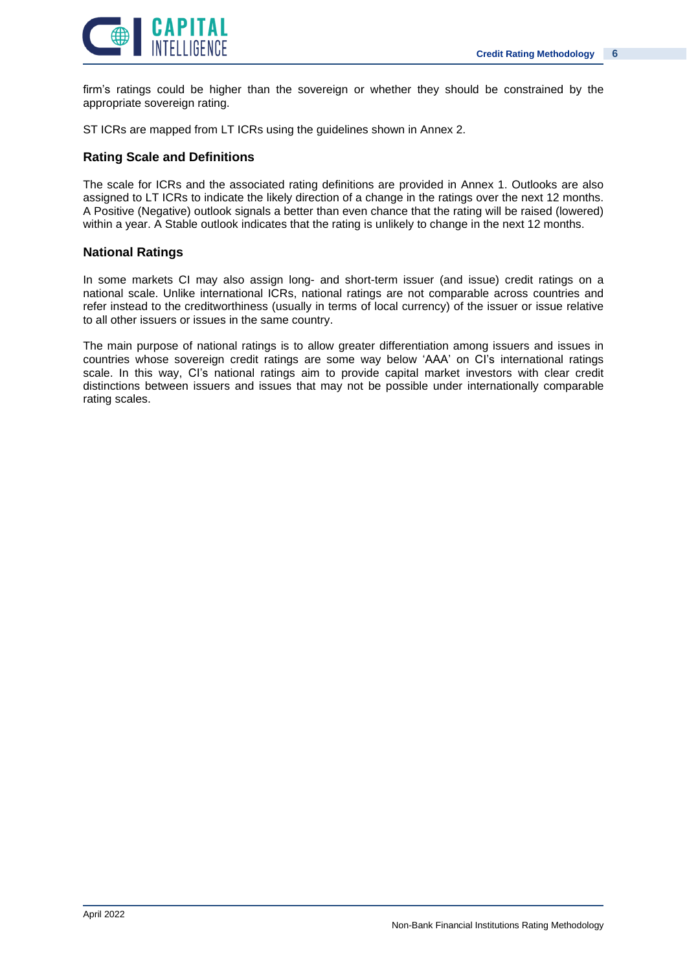

firm's ratings could be higher than the sovereign or whether they should be constrained by the appropriate sovereign rating.

ST ICRs are mapped from LT ICRs using the guidelines shown in Annex 2.

### **Rating Scale and Definitions**

The scale for ICRs and the associated rating definitions are provided in Annex 1. Outlooks are also assigned to LT ICRs to indicate the likely direction of a change in the ratings over the next 12 months. A Positive (Negative) outlook signals a better than even chance that the rating will be raised (lowered) within a year. A Stable outlook indicates that the rating is unlikely to change in the next 12 months.

### **National Ratings**

In some markets CI may also assign long- and short-term issuer (and issue) credit ratings on a national scale. Unlike international ICRs, national ratings are not comparable across countries and refer instead to the creditworthiness (usually in terms of local currency) of the issuer or issue relative to all other issuers or issues in the same country.

The main purpose of national ratings is to allow greater differentiation among issuers and issues in countries whose sovereign credit ratings are some way below 'AAA' on CI's international ratings scale. In this way, CI's national ratings aim to provide capital market investors with clear credit distinctions between issuers and issues that may not be possible under internationally comparable rating scales.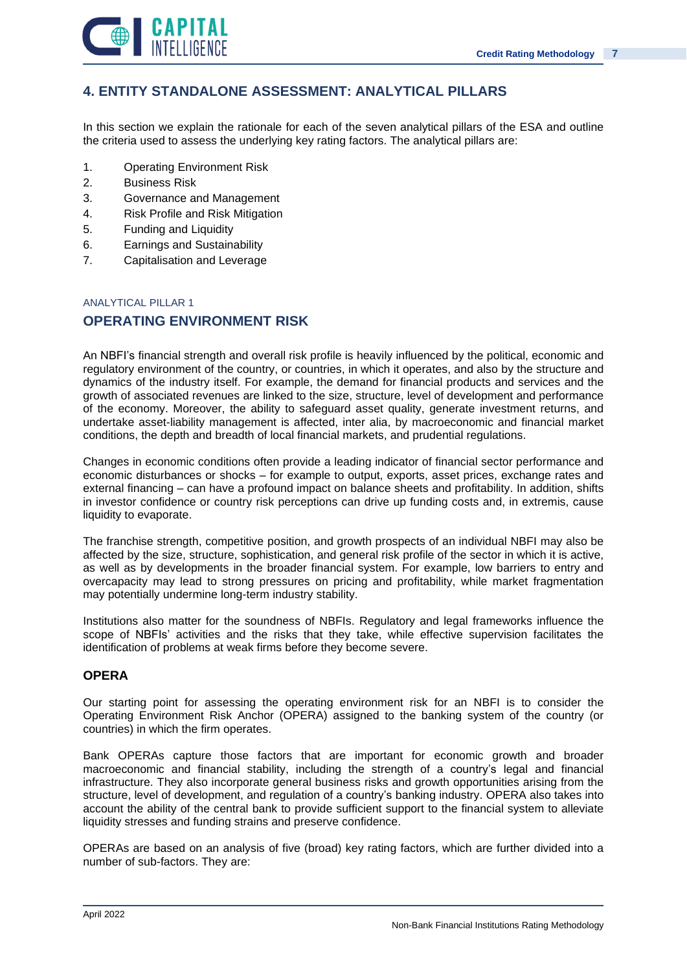

# **4. ENTITY STANDALONE ASSESSMENT: ANALYTICAL PILLARS**

In this section we explain the rationale for each of the seven analytical pillars of the ESA and outline the criteria used to assess the underlying key rating factors. The analytical pillars are:

- 1. Operating Environment Risk
- 2. Business Risk
- 3. Governance and Management
- 4. Risk Profile and Risk Mitigation
- 5. Funding and Liquidity
- 6. Earnings and Sustainability
- 7. Capitalisation and Leverage

### ANALYTICAL PILLAR 1

### **OPERATING ENVIRONMENT RISK**

An NBFI's financial strength and overall risk profile is heavily influenced by the political, economic and regulatory environment of the country, or countries, in which it operates, and also by the structure and dynamics of the industry itself. For example, the demand for financial products and services and the growth of associated revenues are linked to the size, structure, level of development and performance of the economy. Moreover, the ability to safeguard asset quality, generate investment returns, and undertake asset-liability management is affected, inter alia, by macroeconomic and financial market conditions, the depth and breadth of local financial markets, and prudential regulations.

Changes in economic conditions often provide a leading indicator of financial sector performance and economic disturbances or shocks – for example to output, exports, asset prices, exchange rates and external financing – can have a profound impact on balance sheets and profitability. In addition, shifts in investor confidence or country risk perceptions can drive up funding costs and, in extremis, cause liquidity to evaporate.

The franchise strength, competitive position, and growth prospects of an individual NBFI may also be affected by the size, structure, sophistication, and general risk profile of the sector in which it is active, as well as by developments in the broader financial system. For example, low barriers to entry and overcapacity may lead to strong pressures on pricing and profitability, while market fragmentation may potentially undermine long-term industry stability.

Institutions also matter for the soundness of NBFIs. Regulatory and legal frameworks influence the scope of NBFIs' activities and the risks that they take, while effective supervision facilitates the identification of problems at weak firms before they become severe.

### **OPERA**

Our starting point for assessing the operating environment risk for an NBFI is to consider the Operating Environment Risk Anchor (OPERA) assigned to the banking system of the country (or countries) in which the firm operates.

Bank OPERAs capture those factors that are important for economic growth and broader macroeconomic and financial stability, including the strength of a country's legal and financial infrastructure. They also incorporate general business risks and growth opportunities arising from the structure, level of development, and regulation of a country's banking industry. OPERA also takes into account the ability of the central bank to provide sufficient support to the financial system to alleviate liquidity stresses and funding strains and preserve confidence.

OPERAs are based on an analysis of five (broad) key rating factors, which are further divided into a number of sub-factors. They are: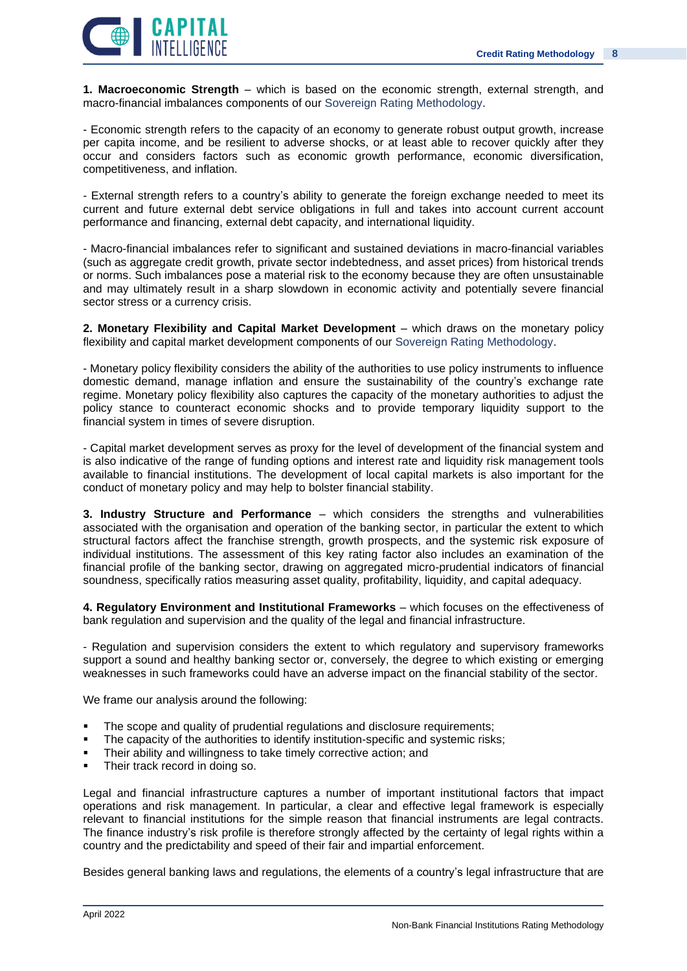

**1. Macroeconomic Strength** – which is based on the economic strength, external strength, and macro-financial imbalances components of our Sovereign Rating Methodology.

- Economic strength refers to the capacity of an economy to generate robust output growth, increase per capita income, and be resilient to adverse shocks, or at least able to recover quickly after they occur and considers factors such as economic growth performance, economic diversification, competitiveness, and inflation.

- External strength refers to a country's ability to generate the foreign exchange needed to meet its current and future external debt service obligations in full and takes into account current account performance and financing, external debt capacity, and international liquidity.

- Macro-financial imbalances refer to significant and sustained deviations in macro-financial variables (such as aggregate credit growth, private sector indebtedness, and asset prices) from historical trends or norms. Such imbalances pose a material risk to the economy because they are often unsustainable and may ultimately result in a sharp slowdown in economic activity and potentially severe financial sector stress or a currency crisis.

**2. Monetary Flexibility and Capital Market Development** – which draws on the monetary policy flexibility and capital market development components of our Sovereign Rating Methodology.

- Monetary policy flexibility considers the ability of the authorities to use policy instruments to influence domestic demand, manage inflation and ensure the sustainability of the country's exchange rate regime. Monetary policy flexibility also captures the capacity of the monetary authorities to adjust the policy stance to counteract economic shocks and to provide temporary liquidity support to the financial system in times of severe disruption.

- Capital market development serves as proxy for the level of development of the financial system and is also indicative of the range of funding options and interest rate and liquidity risk management tools available to financial institutions. The development of local capital markets is also important for the conduct of monetary policy and may help to bolster financial stability.

**3. Industry Structure and Performance** – which considers the strengths and vulnerabilities associated with the organisation and operation of the banking sector, in particular the extent to which structural factors affect the franchise strength, growth prospects, and the systemic risk exposure of individual institutions. The assessment of this key rating factor also includes an examination of the financial profile of the banking sector, drawing on aggregated micro-prudential indicators of financial soundness, specifically ratios measuring asset quality, profitability, liquidity, and capital adequacy.

**4. Regulatory Environment and Institutional Frameworks** – which focuses on the effectiveness of bank regulation and supervision and the quality of the legal and financial infrastructure.

- Regulation and supervision considers the extent to which regulatory and supervisory frameworks support a sound and healthy banking sector or, conversely, the degree to which existing or emerging weaknesses in such frameworks could have an adverse impact on the financial stability of the sector.

We frame our analysis around the following:

- The scope and quality of prudential regulations and disclosure requirements;
- The capacity of the authorities to identify institution-specific and systemic risks;
- Their ability and willingness to take timely corrective action; and
- Their track record in doing so.

Legal and financial infrastructure captures a number of important institutional factors that impact operations and risk management. In particular, a clear and effective legal framework is especially relevant to financial institutions for the simple reason that financial instruments are legal contracts. The finance industry's risk profile is therefore strongly affected by the certainty of legal rights within a country and the predictability and speed of their fair and impartial enforcement.

Besides general banking laws and regulations, the elements of a country's legal infrastructure that are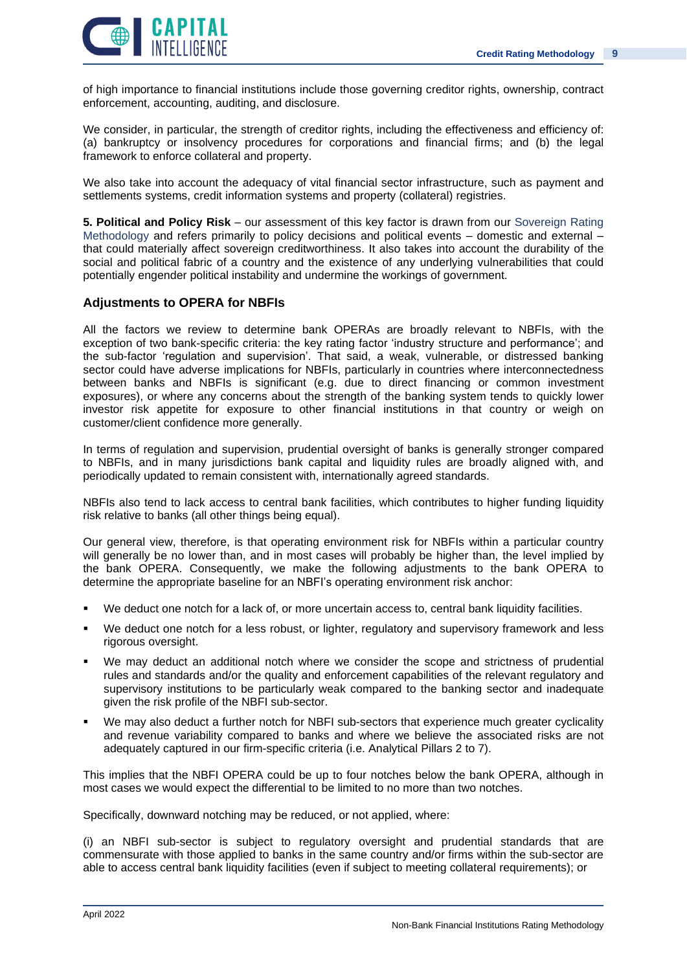

of high importance to financial institutions include those governing creditor rights, ownership, contract enforcement, accounting, auditing, and disclosure.

We consider, in particular, the strength of creditor rights, including the effectiveness and efficiency of: (a) bankruptcy or insolvency procedures for corporations and financial firms; and (b) the legal framework to enforce collateral and property.

We also take into account the adequacy of vital financial sector infrastructure, such as payment and settlements systems, credit information systems and property (collateral) registries.

**5. Political and Policy Risk** – our assessment of this key factor is drawn from our Sovereign Rating Methodology and refers primarily to policy decisions and political events – domestic and external – that could materially affect sovereign creditworthiness. It also takes into account the durability of the social and political fabric of a country and the existence of any underlying vulnerabilities that could potentially engender political instability and undermine the workings of government.

### **Adjustments to OPERA for NBFIs**

All the factors we review to determine bank OPERAs are broadly relevant to NBFIs, with the exception of two bank-specific criteria: the key rating factor 'industry structure and performance'; and the sub-factor 'regulation and supervision'. That said, a weak, vulnerable, or distressed banking sector could have adverse implications for NBFIs, particularly in countries where interconnectedness between banks and NBFIs is significant (e.g. due to direct financing or common investment exposures), or where any concerns about the strength of the banking system tends to quickly lower investor risk appetite for exposure to other financial institutions in that country or weigh on customer/client confidence more generally.

In terms of regulation and supervision, prudential oversight of banks is generally stronger compared to NBFIs, and in many jurisdictions bank capital and liquidity rules are broadly aligned with, and periodically updated to remain consistent with, internationally agreed standards.

NBFIs also tend to lack access to central bank facilities, which contributes to higher funding liquidity risk relative to banks (all other things being equal).

Our general view, therefore, is that operating environment risk for NBFIs within a particular country will generally be no lower than, and in most cases will probably be higher than, the level implied by the bank OPERA. Consequently, we make the following adjustments to the bank OPERA to determine the appropriate baseline for an NBFI's operating environment risk anchor:

- We deduct one notch for a lack of, or more uncertain access to, central bank liquidity facilities.
- We deduct one notch for a less robust, or lighter, regulatory and supervisory framework and less rigorous oversight.
- We may deduct an additional notch where we consider the scope and strictness of prudential rules and standards and/or the quality and enforcement capabilities of the relevant regulatory and supervisory institutions to be particularly weak compared to the banking sector and inadequate given the risk profile of the NBFI sub-sector.
- We may also deduct a further notch for NBFI sub-sectors that experience much greater cyclicality and revenue variability compared to banks and where we believe the associated risks are not adequately captured in our firm-specific criteria (i.e. Analytical Pillars 2 to 7).

This implies that the NBFI OPERA could be up to four notches below the bank OPERA, although in most cases we would expect the differential to be limited to no more than two notches.

Specifically, downward notching may be reduced, or not applied, where:

(i) an NBFI sub-sector is subject to regulatory oversight and prudential standards that are commensurate with those applied to banks in the same country and/or firms within the sub-sector are able to access central bank liquidity facilities (even if subject to meeting collateral requirements); or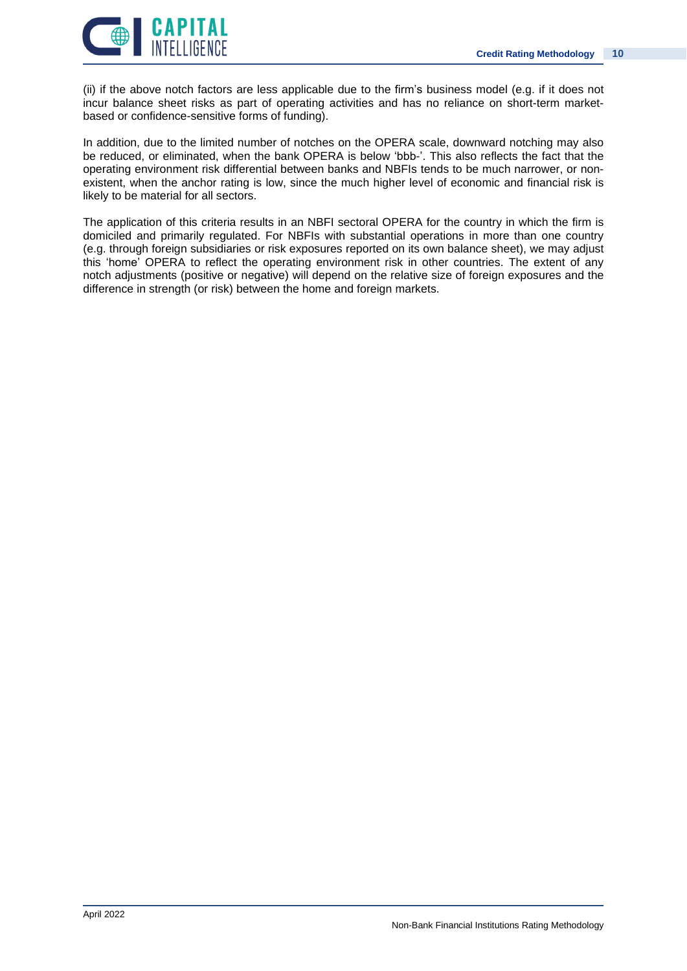

(ii) if the above notch factors are less applicable due to the firm's business model (e.g. if it does not incur balance sheet risks as part of operating activities and has no reliance on short-term marketbased or confidence-sensitive forms of funding).

In addition, due to the limited number of notches on the OPERA scale, downward notching may also be reduced, or eliminated, when the bank OPERA is below 'bbb-'. This also reflects the fact that the operating environment risk differential between banks and NBFIs tends to be much narrower, or nonexistent, when the anchor rating is low, since the much higher level of economic and financial risk is likely to be material for all sectors.

The application of this criteria results in an NBFI sectoral OPERA for the country in which the firm is domiciled and primarily regulated. For NBFIs with substantial operations in more than one country (e.g. through foreign subsidiaries or risk exposures reported on its own balance sheet), we may adjust this 'home' OPERA to reflect the operating environment risk in other countries. The extent of any notch adjustments (positive or negative) will depend on the relative size of foreign exposures and the difference in strength (or risk) between the home and foreign markets.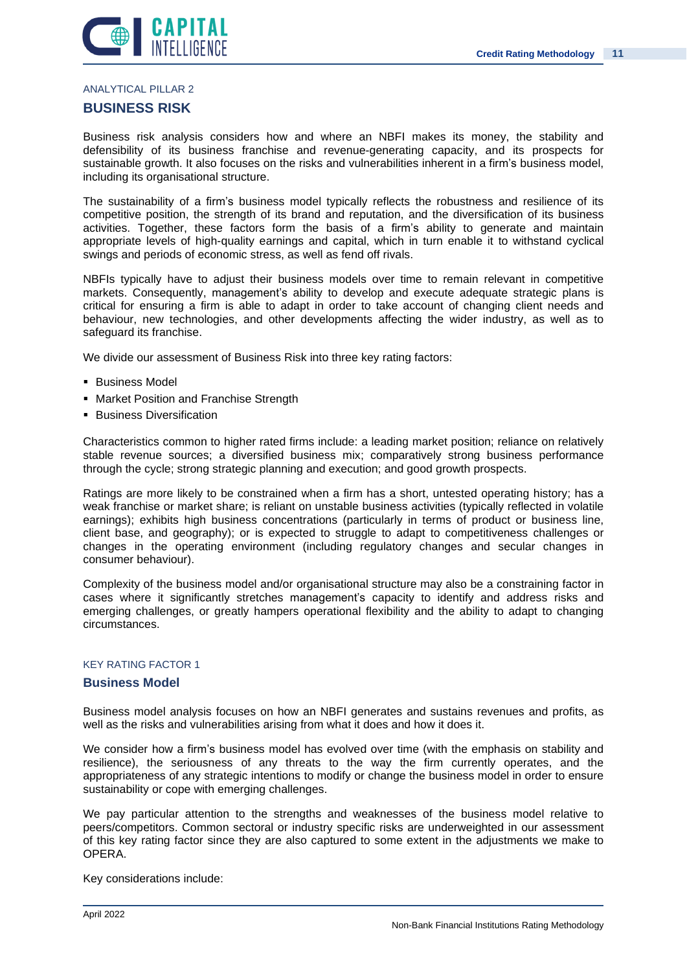

### ANALYTICAL PILLAR 2

### **BUSINESS RISK**

Business risk analysis considers how and where an NBFI makes its money, the stability and defensibility of its business franchise and revenue-generating capacity, and its prospects for sustainable growth. It also focuses on the risks and vulnerabilities inherent in a firm's business model, including its organisational structure.

The sustainability of a firm's business model typically reflects the robustness and resilience of its competitive position, the strength of its brand and reputation, and the diversification of its business activities. Together, these factors form the basis of a firm's ability to generate and maintain appropriate levels of high-quality earnings and capital, which in turn enable it to withstand cyclical swings and periods of economic stress, as well as fend off rivals.

NBFIs typically have to adjust their business models over time to remain relevant in competitive markets. Consequently, management's ability to develop and execute adequate strategic plans is critical for ensuring a firm is able to adapt in order to take account of changing client needs and behaviour, new technologies, and other developments affecting the wider industry, as well as to safeguard its franchise.

We divide our assessment of Business Risk into three key rating factors:

- Business Model
- **Market Position and Franchise Strength**
- Business Diversification

Characteristics common to higher rated firms include: a leading market position; reliance on relatively stable revenue sources; a diversified business mix; comparatively strong business performance through the cycle; strong strategic planning and execution; and good growth prospects.

Ratings are more likely to be constrained when a firm has a short, untested operating history; has a weak franchise or market share; is reliant on unstable business activities (typically reflected in volatile earnings); exhibits high business concentrations (particularly in terms of product or business line, client base, and geography); or is expected to struggle to adapt to competitiveness challenges or changes in the operating environment (including regulatory changes and secular changes in consumer behaviour).

Complexity of the business model and/or organisational structure may also be a constraining factor in cases where it significantly stretches management's capacity to identify and address risks and emerging challenges, or greatly hampers operational flexibility and the ability to adapt to changing circumstances.

### KEY RATING FACTOR 1

### **Business Model**

Business model analysis focuses on how an NBFI generates and sustains revenues and profits, as well as the risks and vulnerabilities arising from what it does and how it does it.

We consider how a firm's business model has evolved over time (with the emphasis on stability and resilience), the seriousness of any threats to the way the firm currently operates, and the appropriateness of any strategic intentions to modify or change the business model in order to ensure sustainability or cope with emerging challenges.

We pay particular attention to the strengths and weaknesses of the business model relative to peers/competitors. Common sectoral or industry specific risks are underweighted in our assessment of this key rating factor since they are also captured to some extent in the adjustments we make to OPERA.

Key considerations include: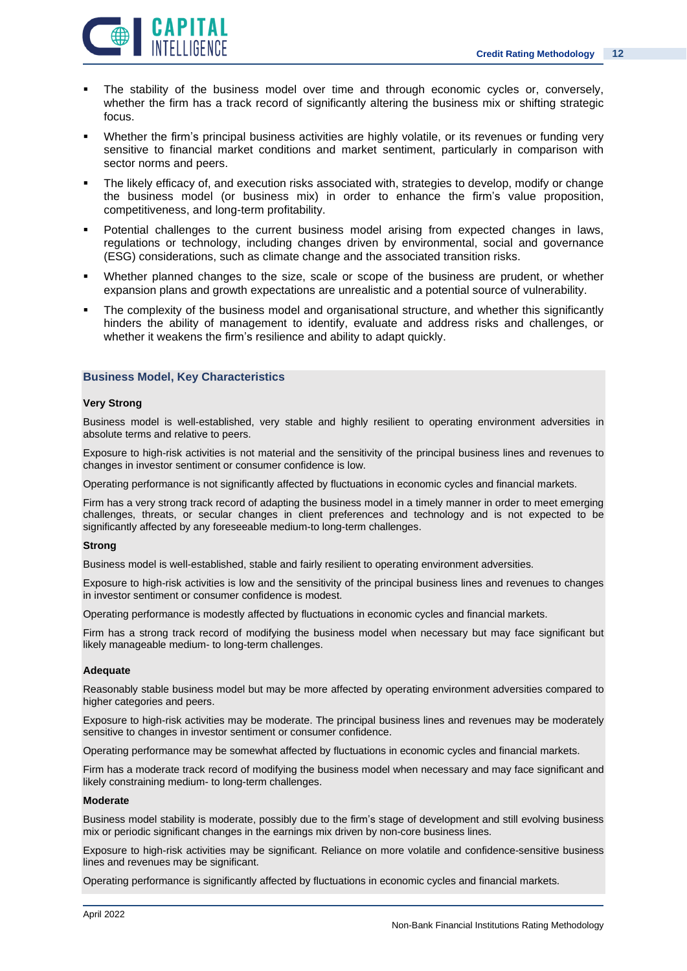

- The stability of the business model over time and through economic cycles or, conversely, whether the firm has a track record of significantly altering the business mix or shifting strategic focus.
- Whether the firm's principal business activities are highly volatile, or its revenues or funding very sensitive to financial market conditions and market sentiment, particularly in comparison with sector norms and peers.
- The likely efficacy of, and execution risks associated with, strategies to develop, modify or change the business model (or business mix) in order to enhance the firm's value proposition, competitiveness, and long-term profitability.
- Potential challenges to the current business model arising from expected changes in laws, regulations or technology, including changes driven by environmental, social and governance (ESG) considerations, such as climate change and the associated transition risks.
- Whether planned changes to the size, scale or scope of the business are prudent, or whether expansion plans and growth expectations are unrealistic and a potential source of vulnerability.
- The complexity of the business model and organisational structure, and whether this significantly hinders the ability of management to identify, evaluate and address risks and challenges, or whether it weakens the firm's resilience and ability to adapt quickly.

### **Business Model, Key Characteristics**

#### **Very Strong**

Business model is well-established, very stable and highly resilient to operating environment adversities in absolute terms and relative to peers.

Exposure to high-risk activities is not material and the sensitivity of the principal business lines and revenues to changes in investor sentiment or consumer confidence is low.

Operating performance is not significantly affected by fluctuations in economic cycles and financial markets.

Firm has a very strong track record of adapting the business model in a timely manner in order to meet emerging challenges, threats, or secular changes in client preferences and technology and is not expected to be significantly affected by any foreseeable medium-to long-term challenges.

### **Strong**

Business model is well-established, stable and fairly resilient to operating environment adversities.

Exposure to high-risk activities is low and the sensitivity of the principal business lines and revenues to changes in investor sentiment or consumer confidence is modest.

Operating performance is modestly affected by fluctuations in economic cycles and financial markets.

Firm has a strong track record of modifying the business model when necessary but may face significant but likely manageable medium- to long-term challenges.

### **Adequate**

Reasonably stable business model but may be more affected by operating environment adversities compared to higher categories and peers.

Exposure to high-risk activities may be moderate. The principal business lines and revenues may be moderately sensitive to changes in investor sentiment or consumer confidence.

Operating performance may be somewhat affected by fluctuations in economic cycles and financial markets.

Firm has a moderate track record of modifying the business model when necessary and may face significant and likely constraining medium- to long-term challenges.

#### **Moderate**

Business model stability is moderate, possibly due to the firm's stage of development and still evolving business mix or periodic significant changes in the earnings mix driven by non-core business lines.

Exposure to high-risk activities may be significant. Reliance on more volatile and confidence-sensitive business lines and revenues may be significant.

Operating performance is significantly affected by fluctuations in economic cycles and financial markets.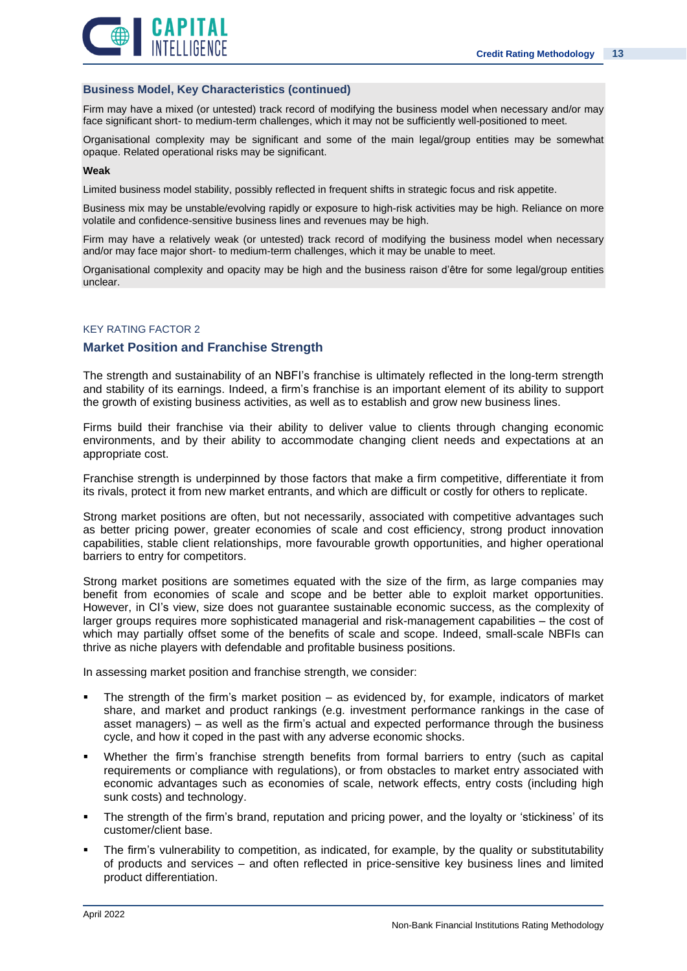



### **Business Model, Key Characteristics (continued)**

Firm may have a mixed (or untested) track record of modifying the business model when necessary and/or may face significant short- to medium-term challenges, which it may not be sufficiently well-positioned to meet.

Organisational complexity may be significant and some of the main legal/group entities may be somewhat opaque. Related operational risks may be significant.

### **Weak**

Limited business model stability, possibly reflected in frequent shifts in strategic focus and risk appetite.

Business mix may be unstable/evolving rapidly or exposure to high-risk activities may be high. Reliance on more volatile and confidence-sensitive business lines and revenues may be high.

Firm may have a relatively weak (or untested) track record of modifying the business model when necessary and/or may face major short- to medium-term challenges, which it may be unable to meet.

Organisational complexity and opacity may be high and the business raison d'être for some legal/group entities unclear.

### KEY RATING FACTOR 2

### **Market Position and Franchise Strength**

The strength and sustainability of an NBFI's franchise is ultimately reflected in the long-term strength and stability of its earnings. Indeed, a firm's franchise is an important element of its ability to support the growth of existing business activities, as well as to establish and grow new business lines.

Firms build their franchise via their ability to deliver value to clients through changing economic environments, and by their ability to accommodate changing client needs and expectations at an appropriate cost.

Franchise strength is underpinned by those factors that make a firm competitive, differentiate it from its rivals, protect it from new market entrants, and which are difficult or costly for others to replicate.

Strong market positions are often, but not necessarily, associated with competitive advantages such as better pricing power, greater economies of scale and cost efficiency, strong product innovation capabilities, stable client relationships, more favourable growth opportunities, and higher operational barriers to entry for competitors.

Strong market positions are sometimes equated with the size of the firm, as large companies may benefit from economies of scale and scope and be better able to exploit market opportunities. However, in CI's view, size does not guarantee sustainable economic success, as the complexity of larger groups requires more sophisticated managerial and risk-management capabilities – the cost of which may partially offset some of the benefits of scale and scope. Indeed, small-scale NBFIs can thrive as niche players with defendable and profitable business positions.

In assessing market position and franchise strength, we consider:

- The strength of the firm's market position  $-$  as evidenced by, for example, indicators of market share, and market and product rankings (e.g. investment performance rankings in the case of asset managers) – as well as the firm's actual and expected performance through the business cycle, and how it coped in the past with any adverse economic shocks.
- Whether the firm's franchise strength benefits from formal barriers to entry (such as capital requirements or compliance with regulations), or from obstacles to market entry associated with economic advantages such as economies of scale, network effects, entry costs (including high sunk costs) and technology.
- The strength of the firm's brand, reputation and pricing power, and the loyalty or 'stickiness' of its customer/client base.
- The firm's vulnerability to competition, as indicated, for example, by the quality or substitutability of products and services – and often reflected in price-sensitive key business lines and limited product differentiation.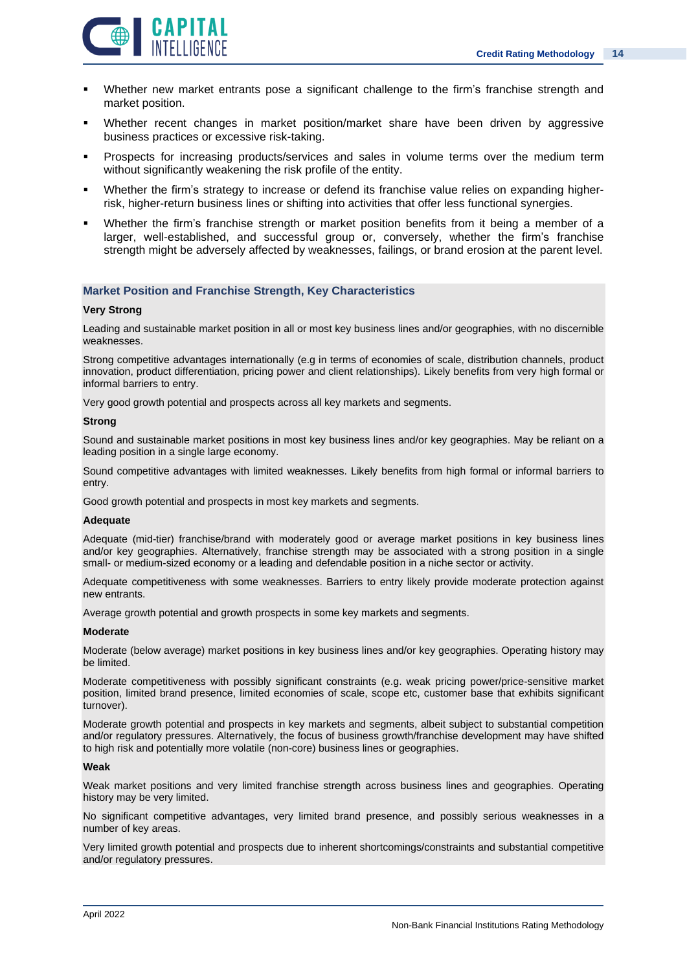

- Whether new market entrants pose a significant challenge to the firm's franchise strength and market position.
- Whether recent changes in market position/market share have been driven by aggressive business practices or excessive risk-taking.
- Prospects for increasing products/services and sales in volume terms over the medium term without significantly weakening the risk profile of the entity.
- Whether the firm's strategy to increase or defend its franchise value relies on expanding higherrisk, higher-return business lines or shifting into activities that offer less functional synergies.
- Whether the firm's franchise strength or market position benefits from it being a member of a larger, well-established, and successful group or, conversely, whether the firm's franchise strength might be adversely affected by weaknesses, failings, or brand erosion at the parent level.

### **Market Position and Franchise Strength, Key Characteristics**

#### **Very Strong**

Leading and sustainable market position in all or most key business lines and/or geographies, with no discernible weaknesses.

Strong competitive advantages internationally (e.g in terms of economies of scale, distribution channels, product innovation, product differentiation, pricing power and client relationships). Likely benefits from very high formal or informal barriers to entry.

Very good growth potential and prospects across all key markets and segments.

### **Strong**

Sound and sustainable market positions in most key business lines and/or key geographies. May be reliant on a leading position in a single large economy.

Sound competitive advantages with limited weaknesses. Likely benefits from high formal or informal barriers to entry.

Good growth potential and prospects in most key markets and segments.

#### **Adequate**

Adequate (mid-tier) franchise/brand with moderately good or average market positions in key business lines and/or key geographies. Alternatively, franchise strength may be associated with a strong position in a single small- or medium-sized economy or a leading and defendable position in a niche sector or activity.

Adequate competitiveness with some weaknesses. Barriers to entry likely provide moderate protection against new entrants.

Average growth potential and growth prospects in some key markets and segments.

#### **Moderate**

Moderate (below average) market positions in key business lines and/or key geographies. Operating history may be limited.

Moderate competitiveness with possibly significant constraints (e.g. weak pricing power/price-sensitive market position, limited brand presence, limited economies of scale, scope etc, customer base that exhibits significant turnover).

Moderate growth potential and prospects in key markets and segments, albeit subject to substantial competition and/or regulatory pressures. Alternatively, the focus of business growth/franchise development may have shifted to high risk and potentially more volatile (non-core) business lines or geographies.

#### **Weak**

Weak market positions and very limited franchise strength across business lines and geographies. Operating history may be very limited.

No significant competitive advantages, very limited brand presence, and possibly serious weaknesses in a number of key areas.

Very limited growth potential and prospects due to inherent shortcomings/constraints and substantial competitive and/or regulatory pressures.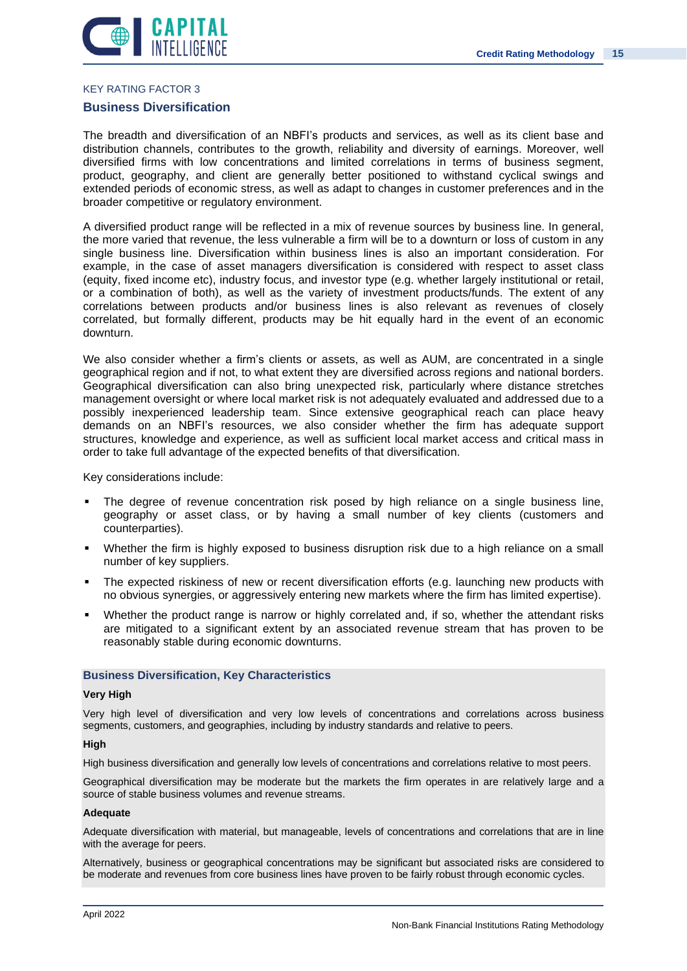

### KEY RATING FACTOR 3

### **Business Diversification**

The breadth and diversification of an NBFI's products and services, as well as its client base and distribution channels, contributes to the growth, reliability and diversity of earnings. Moreover, well diversified firms with low concentrations and limited correlations in terms of business segment, product, geography, and client are generally better positioned to withstand cyclical swings and extended periods of economic stress, as well as adapt to changes in customer preferences and in the broader competitive or regulatory environment.

A diversified product range will be reflected in a mix of revenue sources by business line. In general, the more varied that revenue, the less vulnerable a firm will be to a downturn or loss of custom in any single business line. Diversification within business lines is also an important consideration. For example, in the case of asset managers diversification is considered with respect to asset class (equity, fixed income etc), industry focus, and investor type (e.g. whether largely institutional or retail, or a combination of both), as well as the variety of investment products/funds. The extent of any correlations between products and/or business lines is also relevant as revenues of closely correlated, but formally different, products may be hit equally hard in the event of an economic downturn.

We also consider whether a firm's clients or assets, as well as AUM, are concentrated in a single geographical region and if not, to what extent they are diversified across regions and national borders. Geographical diversification can also bring unexpected risk, particularly where distance stretches management oversight or where local market risk is not adequately evaluated and addressed due to a possibly inexperienced leadership team. Since extensive geographical reach can place heavy demands on an NBFI's resources, we also consider whether the firm has adequate support structures, knowledge and experience, as well as sufficient local market access and critical mass in order to take full advantage of the expected benefits of that diversification.

Key considerations include:

- The degree of revenue concentration risk posed by high reliance on a single business line, geography or asset class, or by having a small number of key clients (customers and counterparties).
- Whether the firm is highly exposed to business disruption risk due to a high reliance on a small number of key suppliers.
- The expected riskiness of new or recent diversification efforts (e.g. launching new products with no obvious synergies, or aggressively entering new markets where the firm has limited expertise).
- Whether the product range is narrow or highly correlated and, if so, whether the attendant risks are mitigated to a significant extent by an associated revenue stream that has proven to be reasonably stable during economic downturns.

### **Business Diversification, Key Characteristics**

### **Very High**

Very high level of diversification and very low levels of concentrations and correlations across business segments, customers, and geographies, including by industry standards and relative to peers.

### **High**

High business diversification and generally low levels of concentrations and correlations relative to most peers.

Geographical diversification may be moderate but the markets the firm operates in are relatively large and a source of stable business volumes and revenue streams.

### **Adequate**

Adequate diversification with material, but manageable, levels of concentrations and correlations that are in line with the average for peers.

Alternatively, business or geographical concentrations may be significant but associated risks are considered to be moderate and revenues from core business lines have proven to be fairly robust through economic cycles.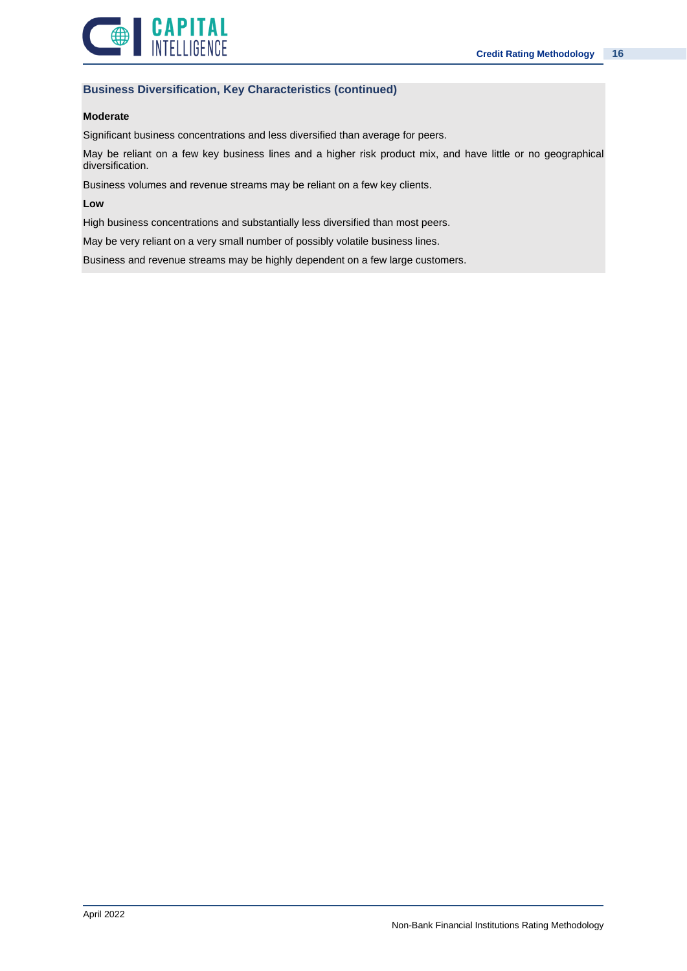

### **Business Diversification, Key Characteristics (continued)**

### **Moderate**

Significant business concentrations and less diversified than average for peers.

May be reliant on a few key business lines and a higher risk product mix, and have little or no geographical diversification.

Business volumes and revenue streams may be reliant on a few key clients.

### **Low**

High business concentrations and substantially less diversified than most peers.

May be very reliant on a very small number of possibly volatile business lines.

Business and revenue streams may be highly dependent on a few large customers.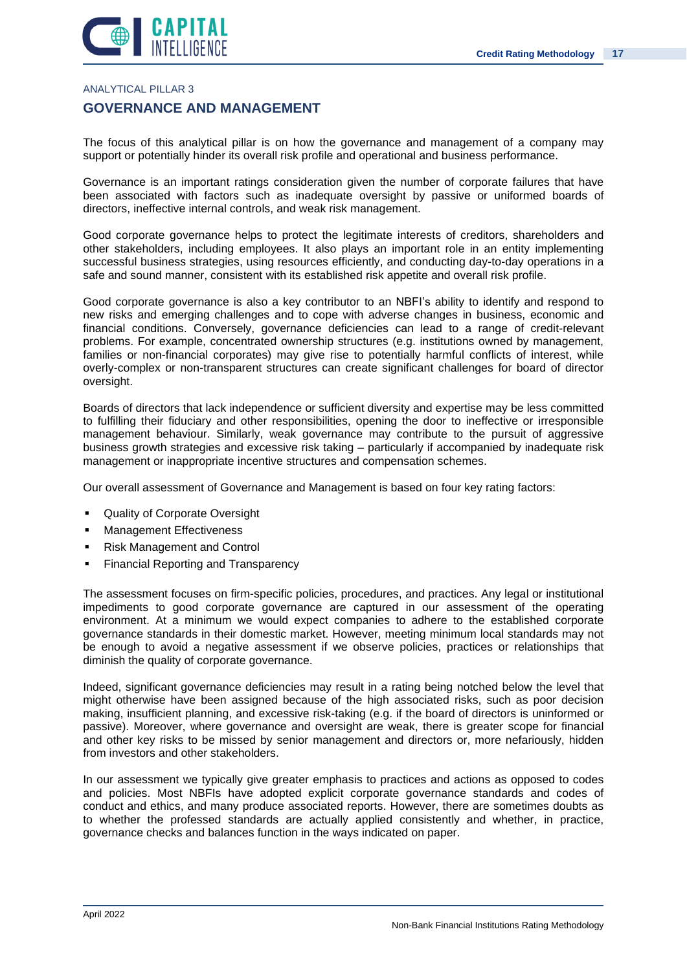

### ANALYTICAL PILLAR 3

### **GOVERNANCE AND MANAGEMENT**

The focus of this analytical pillar is on how the governance and management of a company may support or potentially hinder its overall risk profile and operational and business performance.

Governance is an important ratings consideration given the number of corporate failures that have been associated with factors such as inadequate oversight by passive or uniformed boards of directors, ineffective internal controls, and weak risk management.

Good corporate governance helps to protect the legitimate interests of creditors, shareholders and other stakeholders, including employees. It also plays an important role in an entity implementing successful business strategies, using resources efficiently, and conducting day-to-day operations in a safe and sound manner, consistent with its established risk appetite and overall risk profile.

Good corporate governance is also a key contributor to an NBFI's ability to identify and respond to new risks and emerging challenges and to cope with adverse changes in business, economic and financial conditions. Conversely, governance deficiencies can lead to a range of credit-relevant problems. For example, concentrated ownership structures (e.g. institutions owned by management, families or non-financial corporates) may give rise to potentially harmful conflicts of interest, while overly-complex or non-transparent structures can create significant challenges for board of director oversight.

Boards of directors that lack independence or sufficient diversity and expertise may be less committed to fulfilling their fiduciary and other responsibilities, opening the door to ineffective or irresponsible management behaviour. Similarly, weak governance may contribute to the pursuit of aggressive business growth strategies and excessive risk taking – particularly if accompanied by inadequate risk management or inappropriate incentive structures and compensation schemes.

Our overall assessment of Governance and Management is based on four key rating factors:

- Quality of Corporate Oversight
- **■** Management Effectiveness
- **Risk Management and Control**
- **Financial Reporting and Transparency**

The assessment focuses on firm-specific policies, procedures, and practices. Any legal or institutional impediments to good corporate governance are captured in our assessment of the operating environment. At a minimum we would expect companies to adhere to the established corporate governance standards in their domestic market. However, meeting minimum local standards may not be enough to avoid a negative assessment if we observe policies, practices or relationships that diminish the quality of corporate governance.

Indeed, significant governance deficiencies may result in a rating being notched below the level that might otherwise have been assigned because of the high associated risks, such as poor decision making, insufficient planning, and excessive risk-taking (e.g. if the board of directors is uninformed or passive). Moreover, where governance and oversight are weak, there is greater scope for financial and other key risks to be missed by senior management and directors or, more nefariously, hidden from investors and other stakeholders.

In our assessment we typically give greater emphasis to practices and actions as opposed to codes and policies. Most NBFIs have adopted explicit corporate governance standards and codes of conduct and ethics, and many produce associated reports. However, there are sometimes doubts as to whether the professed standards are actually applied consistently and whether, in practice, governance checks and balances function in the ways indicated on paper.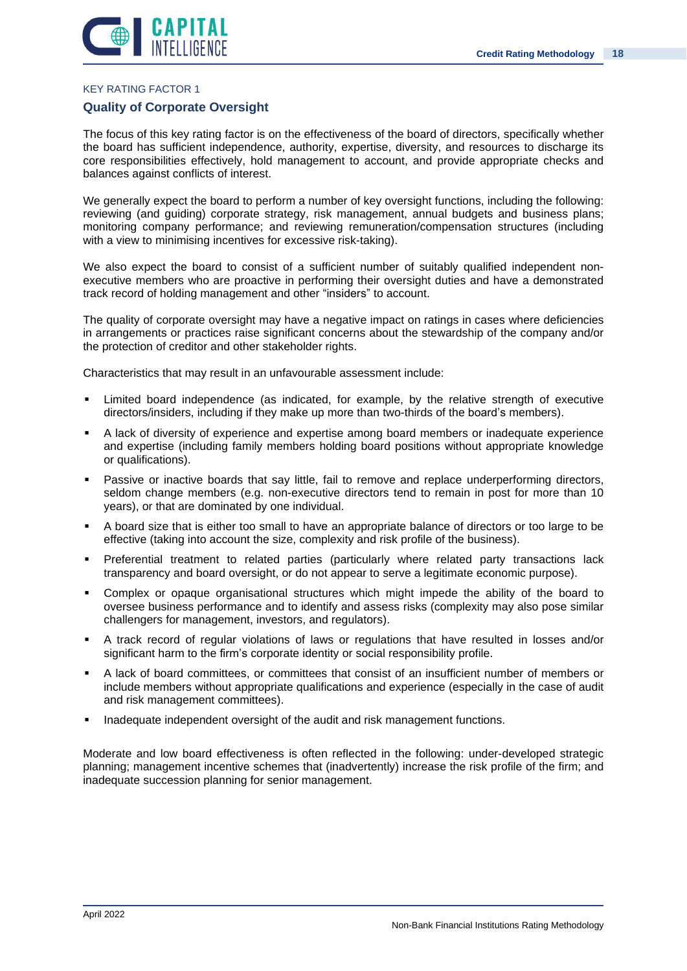



### KEY RATING FACTOR 1

### **Quality of Corporate Oversight**

The focus of this key rating factor is on the effectiveness of the board of directors, specifically whether the board has sufficient independence, authority, expertise, diversity, and resources to discharge its core responsibilities effectively, hold management to account, and provide appropriate checks and balances against conflicts of interest.

We generally expect the board to perform a number of key oversight functions, including the following: reviewing (and guiding) corporate strategy, risk management, annual budgets and business plans; monitoring company performance; and reviewing remuneration/compensation structures (including with a view to minimising incentives for excessive risk-taking).

We also expect the board to consist of a sufficient number of suitably qualified independent nonexecutive members who are proactive in performing their oversight duties and have a demonstrated track record of holding management and other "insiders" to account.

The quality of corporate oversight may have a negative impact on ratings in cases where deficiencies in arrangements or practices raise significant concerns about the stewardship of the company and/or the protection of creditor and other stakeholder rights.

Characteristics that may result in an unfavourable assessment include:

- Limited board independence (as indicated, for example, by the relative strength of executive directors/insiders, including if they make up more than two-thirds of the board's members).
- A lack of diversity of experience and expertise among board members or inadequate experience and expertise (including family members holding board positions without appropriate knowledge or qualifications).
- Passive or inactive boards that say little, fail to remove and replace underperforming directors, seldom change members (e.g. non-executive directors tend to remain in post for more than 10 years), or that are dominated by one individual.
- A board size that is either too small to have an appropriate balance of directors or too large to be effective (taking into account the size, complexity and risk profile of the business).
- Preferential treatment to related parties (particularly where related party transactions lack transparency and board oversight, or do not appear to serve a legitimate economic purpose).
- Complex or opaque organisational structures which might impede the ability of the board to oversee business performance and to identify and assess risks (complexity may also pose similar challengers for management, investors, and regulators).
- A track record of regular violations of laws or regulations that have resulted in losses and/or significant harm to the firm's corporate identity or social responsibility profile.
- A lack of board committees, or committees that consist of an insufficient number of members or include members without appropriate qualifications and experience (especially in the case of audit and risk management committees).
- Inadequate independent oversight of the audit and risk management functions.

Moderate and low board effectiveness is often reflected in the following: under-developed strategic planning; management incentive schemes that (inadvertently) increase the risk profile of the firm; and inadequate succession planning for senior management.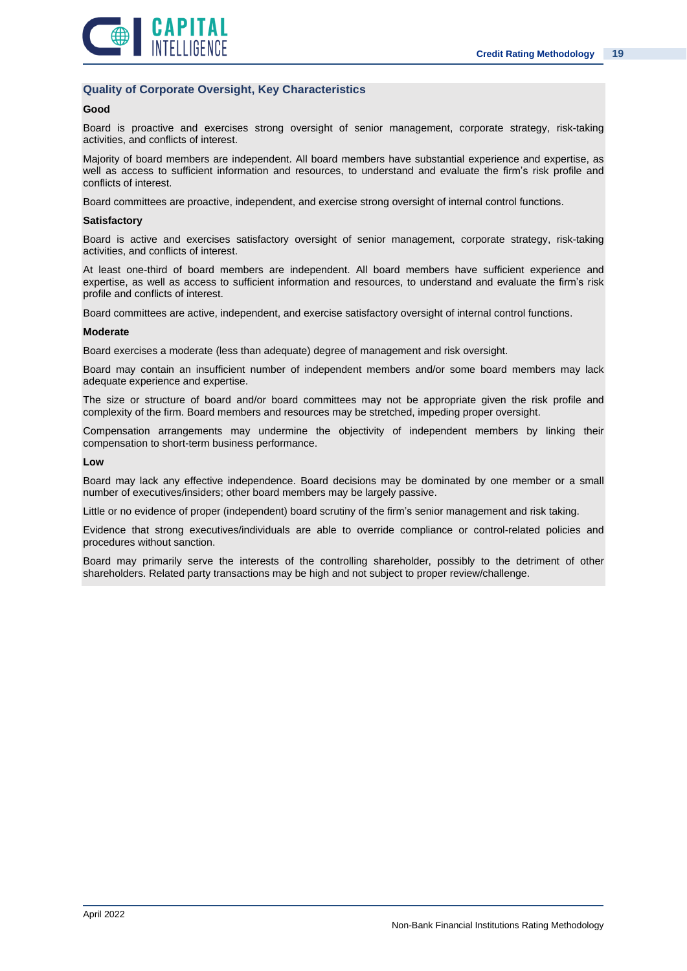

### **Quality of Corporate Oversight, Key Characteristics**

### **Good**

Board is proactive and exercises strong oversight of senior management, corporate strategy, risk-taking activities, and conflicts of interest.

Majority of board members are independent. All board members have substantial experience and expertise, as well as access to sufficient information and resources, to understand and evaluate the firm's risk profile and conflicts of interest.

Board committees are proactive, independent, and exercise strong oversight of internal control functions.

#### **Satisfactory**

Board is active and exercises satisfactory oversight of senior management, corporate strategy, risk-taking activities, and conflicts of interest.

At least one-third of board members are independent. All board members have sufficient experience and expertise, as well as access to sufficient information and resources, to understand and evaluate the firm's risk profile and conflicts of interest.

Board committees are active, independent, and exercise satisfactory oversight of internal control functions.

#### **Moderate**

Board exercises a moderate (less than adequate) degree of management and risk oversight.

Board may contain an insufficient number of independent members and/or some board members may lack adequate experience and expertise.

The size or structure of board and/or board committees may not be appropriate given the risk profile and complexity of the firm. Board members and resources may be stretched, impeding proper oversight.

Compensation arrangements may undermine the objectivity of independent members by linking their compensation to short-term business performance.

#### **Low**

Board may lack any effective independence. Board decisions may be dominated by one member or a small number of executives/insiders; other board members may be largely passive.

Little or no evidence of proper (independent) board scrutiny of the firm's senior management and risk taking.

Evidence that strong executives/individuals are able to override compliance or control-related policies and procedures without sanction.

Board may primarily serve the interests of the controlling shareholder, possibly to the detriment of other shareholders. Related party transactions may be high and not subject to proper review/challenge.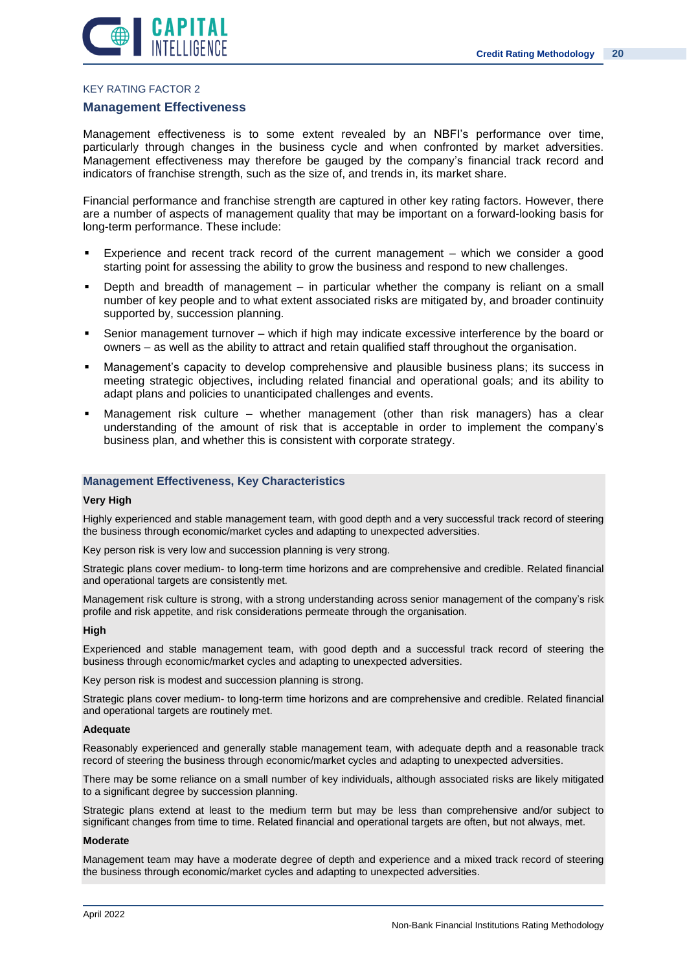

### KEY RATING FACTOR 2

#### **Management Effectiveness**

Management effectiveness is to some extent revealed by an NBFI's performance over time, particularly through changes in the business cycle and when confronted by market adversities. Management effectiveness may therefore be gauged by the company's financial track record and indicators of franchise strength, such as the size of, and trends in, its market share.

Financial performance and franchise strength are captured in other key rating factors. However, there are a number of aspects of management quality that may be important on a forward-looking basis for long-term performance. These include:

- Experience and recent track record of the current management which we consider a good starting point for assessing the ability to grow the business and respond to new challenges.
- Depth and breadth of management in particular whether the company is reliant on a small number of key people and to what extent associated risks are mitigated by, and broader continuity supported by, succession planning.
- Senior management turnover which if high may indicate excessive interference by the board or owners – as well as the ability to attract and retain qualified staff throughout the organisation.
- Management's capacity to develop comprehensive and plausible business plans; its success in meeting strategic objectives, including related financial and operational goals; and its ability to adapt plans and policies to unanticipated challenges and events.
- Management risk culture whether management (other than risk managers) has a clear understanding of the amount of risk that is acceptable in order to implement the company's business plan, and whether this is consistent with corporate strategy.

#### **Management Effectiveness, Key Characteristics**

#### **Very High**

Highly experienced and stable management team, with good depth and a very successful track record of steering the business through economic/market cycles and adapting to unexpected adversities.

Key person risk is very low and succession planning is very strong.

Strategic plans cover medium- to long-term time horizons and are comprehensive and credible. Related financial and operational targets are consistently met.

Management risk culture is strong, with a strong understanding across senior management of the company's risk profile and risk appetite, and risk considerations permeate through the organisation.

#### **High**

Experienced and stable management team, with good depth and a successful track record of steering the business through economic/market cycles and adapting to unexpected adversities.

Key person risk is modest and succession planning is strong.

Strategic plans cover medium- to long-term time horizons and are comprehensive and credible. Related financial and operational targets are routinely met.

#### **Adequate**

Reasonably experienced and generally stable management team, with adequate depth and a reasonable track record of steering the business through economic/market cycles and adapting to unexpected adversities.

There may be some reliance on a small number of key individuals, although associated risks are likely mitigated to a significant degree by succession planning.

Strategic plans extend at least to the medium term but may be less than comprehensive and/or subject to significant changes from time to time. Related financial and operational targets are often, but not always, met.

#### **Moderate**

Management team may have a moderate degree of depth and experience and a mixed track record of steering the business through economic/market cycles and adapting to unexpected adversities.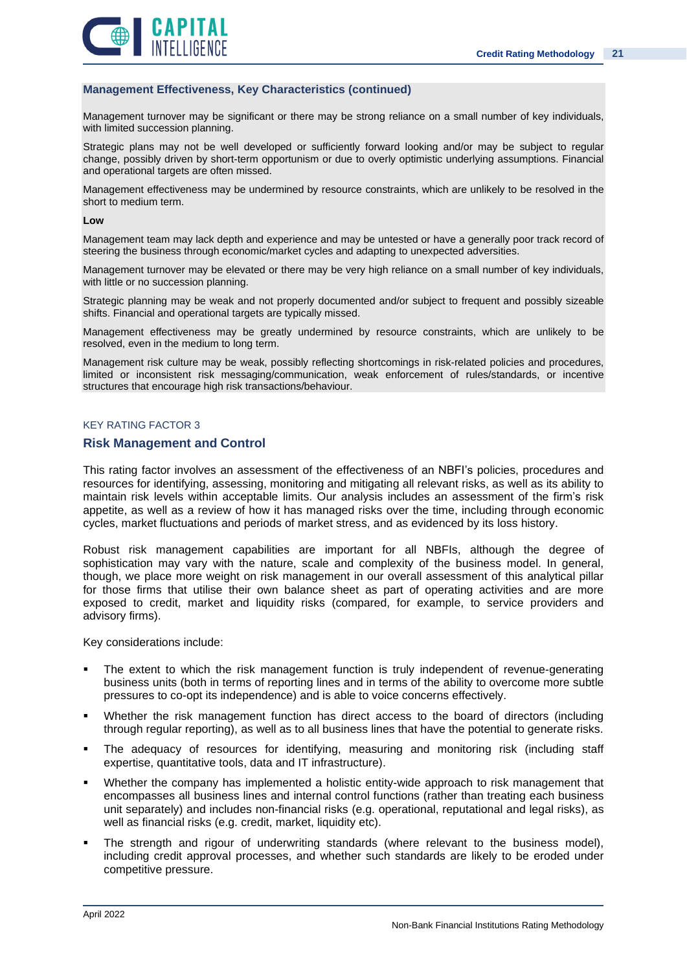![](_page_20_Picture_1.jpeg)

### **Management Effectiveness, Key Characteristics (continued)**

Management turnover may be significant or there may be strong reliance on a small number of key individuals, with limited succession planning.

Strategic plans may not be well developed or sufficiently forward looking and/or may be subject to regular change, possibly driven by short-term opportunism or due to overly optimistic underlying assumptions. Financial and operational targets are often missed.

Management effectiveness may be undermined by resource constraints, which are unlikely to be resolved in the short to medium term.

#### **Low**

Management team may lack depth and experience and may be untested or have a generally poor track record of steering the business through economic/market cycles and adapting to unexpected adversities.

Management turnover may be elevated or there may be very high reliance on a small number of key individuals, with little or no succession planning.

Strategic planning may be weak and not properly documented and/or subject to frequent and possibly sizeable shifts. Financial and operational targets are typically missed.

Management effectiveness may be greatly undermined by resource constraints, which are unlikely to be resolved, even in the medium to long term.

Management risk culture may be weak, possibly reflecting shortcomings in risk-related policies and procedures, limited or inconsistent risk messaging/communication, weak enforcement of rules/standards, or incentive structures that encourage high risk transactions/behaviour.

### KEY RATING FACTOR 3

### **Risk Management and Control**

This rating factor involves an assessment of the effectiveness of an NBFI's policies, procedures and resources for identifying, assessing, monitoring and mitigating all relevant risks, as well as its ability to maintain risk levels within acceptable limits. Our analysis includes an assessment of the firm's risk appetite, as well as a review of how it has managed risks over the time, including through economic cycles, market fluctuations and periods of market stress, and as evidenced by its loss history.

Robust risk management capabilities are important for all NBFIs, although the degree of sophistication may vary with the nature, scale and complexity of the business model. In general, though, we place more weight on risk management in our overall assessment of this analytical pillar for those firms that utilise their own balance sheet as part of operating activities and are more exposed to credit, market and liquidity risks (compared, for example, to service providers and advisory firms).

Key considerations include:

- The extent to which the risk management function is truly independent of revenue-generating business units (both in terms of reporting lines and in terms of the ability to overcome more subtle pressures to co-opt its independence) and is able to voice concerns effectively.
- Whether the risk management function has direct access to the board of directors (including through regular reporting), as well as to all business lines that have the potential to generate risks.
- The adequacy of resources for identifying, measuring and monitoring risk (including staff expertise, quantitative tools, data and IT infrastructure).
- Whether the company has implemented a holistic entity-wide approach to risk management that encompasses all business lines and internal control functions (rather than treating each business unit separately) and includes non-financial risks (e.g. operational, reputational and legal risks), as well as financial risks (e.g. credit, market, liquidity etc).
- The strength and rigour of underwriting standards (where relevant to the business model), including credit approval processes, and whether such standards are likely to be eroded under competitive pressure.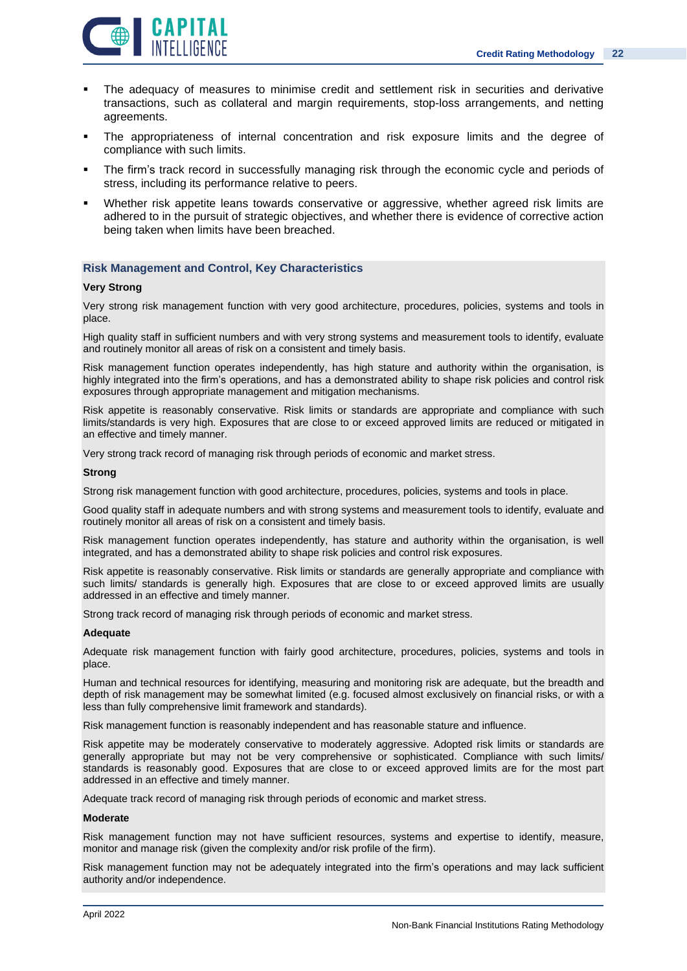![](_page_21_Picture_1.jpeg)

- The adequacy of measures to minimise credit and settlement risk in securities and derivative transactions, such as collateral and margin requirements, stop-loss arrangements, and netting agreements.
- The appropriateness of internal concentration and risk exposure limits and the degree of compliance with such limits.
- The firm's track record in successfully managing risk through the economic cycle and periods of stress, including its performance relative to peers.
- Whether risk appetite leans towards conservative or aggressive, whether agreed risk limits are adhered to in the pursuit of strategic objectives, and whether there is evidence of corrective action being taken when limits have been breached.

### **Risk Management and Control, Key Characteristics**

### **Very Strong**

Very strong risk management function with very good architecture, procedures, policies, systems and tools in place.

High quality staff in sufficient numbers and with very strong systems and measurement tools to identify, evaluate and routinely monitor all areas of risk on a consistent and timely basis.

Risk management function operates independently, has high stature and authority within the organisation, is highly integrated into the firm's operations, and has a demonstrated ability to shape risk policies and control risk exposures through appropriate management and mitigation mechanisms.

Risk appetite is reasonably conservative. Risk limits or standards are appropriate and compliance with such limits/standards is very high. Exposures that are close to or exceed approved limits are reduced or mitigated in an effective and timely manner.

Very strong track record of managing risk through periods of economic and market stress.

#### **Strong**

Strong risk management function with good architecture, procedures, policies, systems and tools in place.

Good quality staff in adequate numbers and with strong systems and measurement tools to identify, evaluate and routinely monitor all areas of risk on a consistent and timely basis.

Risk management function operates independently, has stature and authority within the organisation, is well integrated, and has a demonstrated ability to shape risk policies and control risk exposures.

Risk appetite is reasonably conservative. Risk limits or standards are generally appropriate and compliance with such limits/ standards is generally high. Exposures that are close to or exceed approved limits are usually addressed in an effective and timely manner.

Strong track record of managing risk through periods of economic and market stress.

### **Adequate**

Adequate risk management function with fairly good architecture, procedures, policies, systems and tools in place.

Human and technical resources for identifying, measuring and monitoring risk are adequate, but the breadth and depth of risk management may be somewhat limited (e.g. focused almost exclusively on financial risks, or with a less than fully comprehensive limit framework and standards).

Risk management function is reasonably independent and has reasonable stature and influence.

Risk appetite may be moderately conservative to moderately aggressive. Adopted risk limits or standards are generally appropriate but may not be very comprehensive or sophisticated. Compliance with such limits/ standards is reasonably good. Exposures that are close to or exceed approved limits are for the most part addressed in an effective and timely manner.

Adequate track record of managing risk through periods of economic and market stress.

### **Moderate**

Risk management function may not have sufficient resources, systems and expertise to identify, measure, monitor and manage risk (given the complexity and/or risk profile of the firm).

Risk management function may not be adequately integrated into the firm's operations and may lack sufficient authority and/or independence.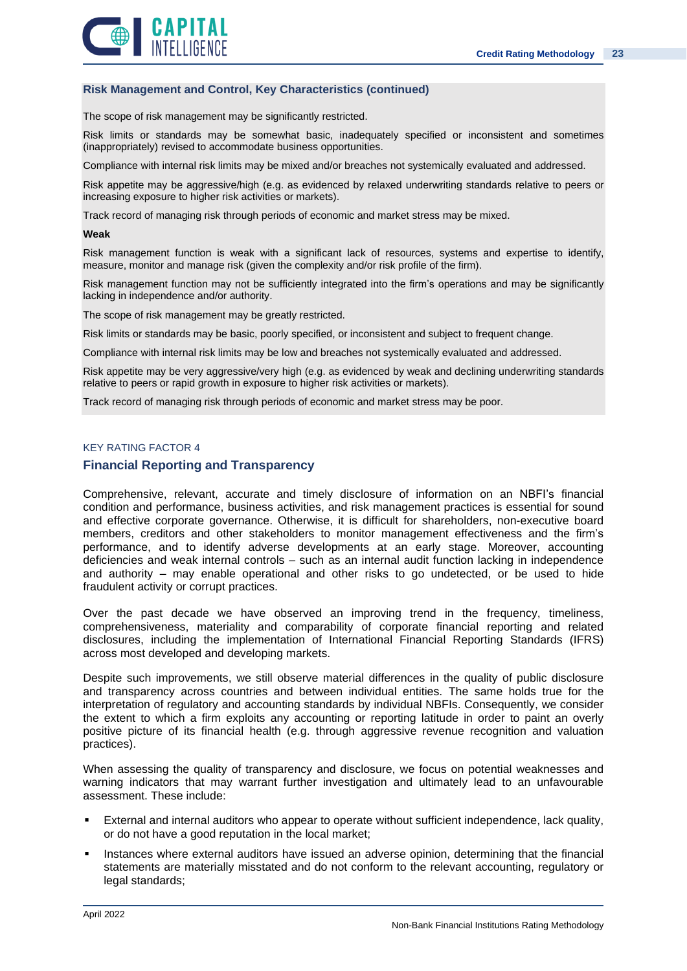![](_page_22_Picture_1.jpeg)

### **Risk Management and Control, Key Characteristics (continued)**

The scope of risk management may be significantly restricted.

Risk limits or standards may be somewhat basic, inadequately specified or inconsistent and sometimes (inappropriately) revised to accommodate business opportunities.

Compliance with internal risk limits may be mixed and/or breaches not systemically evaluated and addressed.

Risk appetite may be aggressive/high (e.g. as evidenced by relaxed underwriting standards relative to peers or increasing exposure to higher risk activities or markets).

Track record of managing risk through periods of economic and market stress may be mixed.

#### **Weak**

Risk management function is weak with a significant lack of resources, systems and expertise to identify, measure, monitor and manage risk (given the complexity and/or risk profile of the firm).

Risk management function may not be sufficiently integrated into the firm's operations and may be significantly lacking in independence and/or authority.

The scope of risk management may be greatly restricted.

Risk limits or standards may be basic, poorly specified, or inconsistent and subject to frequent change.

Compliance with internal risk limits may be low and breaches not systemically evaluated and addressed.

Risk appetite may be very aggressive/very high (e.g. as evidenced by weak and declining underwriting standards relative to peers or rapid growth in exposure to higher risk activities or markets).

Track record of managing risk through periods of economic and market stress may be poor.

### KEY RATING FACTOR 4

### **Financial Reporting and Transparency**

Comprehensive, relevant, accurate and timely disclosure of information on an NBFI's financial condition and performance, business activities, and risk management practices is essential for sound and effective corporate governance. Otherwise, it is difficult for shareholders, non-executive board members, creditors and other stakeholders to monitor management effectiveness and the firm's performance, and to identify adverse developments at an early stage. Moreover, accounting deficiencies and weak internal controls – such as an internal audit function lacking in independence and authority – may enable operational and other risks to go undetected, or be used to hide fraudulent activity or corrupt practices.

Over the past decade we have observed an improving trend in the frequency, timeliness, comprehensiveness, materiality and comparability of corporate financial reporting and related disclosures, including the implementation of International Financial Reporting Standards (IFRS) across most developed and developing markets.

Despite such improvements, we still observe material differences in the quality of public disclosure and transparency across countries and between individual entities. The same holds true for the interpretation of regulatory and accounting standards by individual NBFIs. Consequently, we consider the extent to which a firm exploits any accounting or reporting latitude in order to paint an overly positive picture of its financial health (e.g. through aggressive revenue recognition and valuation practices).

When assessing the quality of transparency and disclosure, we focus on potential weaknesses and warning indicators that may warrant further investigation and ultimately lead to an unfavourable assessment. These include:

- External and internal auditors who appear to operate without sufficient independence, lack quality, or do not have a good reputation in the local market;
- Instances where external auditors have issued an adverse opinion, determining that the financial statements are materially misstated and do not conform to the relevant accounting, regulatory or legal standards;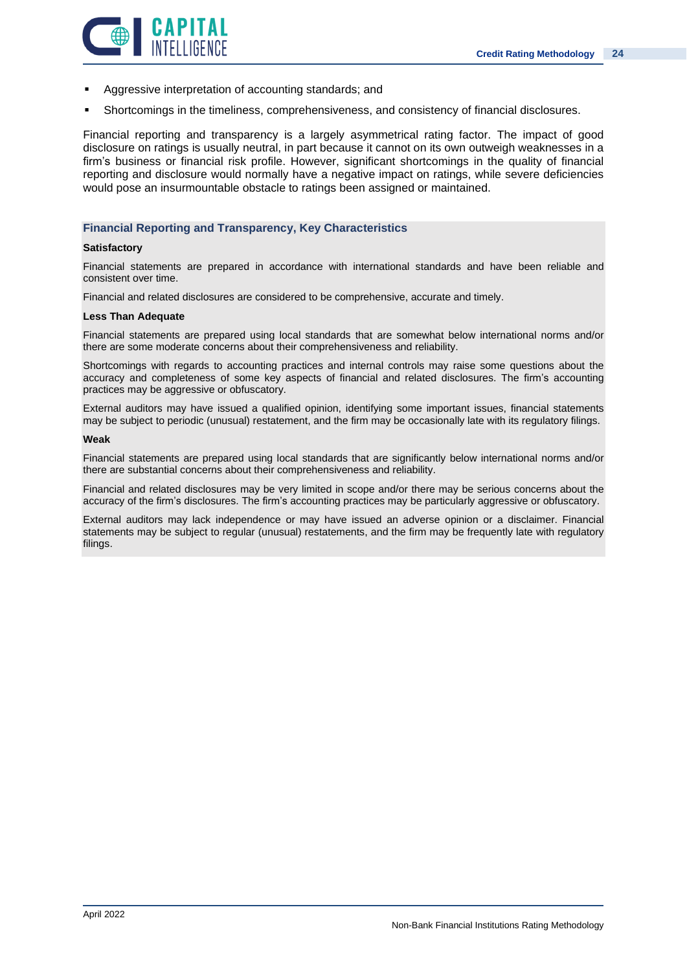![](_page_23_Picture_1.jpeg)

- Aggressive interpretation of accounting standards; and
- Shortcomings in the timeliness, comprehensiveness, and consistency of financial disclosures.

Financial reporting and transparency is a largely asymmetrical rating factor. The impact of good disclosure on ratings is usually neutral, in part because it cannot on its own outweigh weaknesses in a firm's business or financial risk profile. However, significant shortcomings in the quality of financial reporting and disclosure would normally have a negative impact on ratings, while severe deficiencies would pose an insurmountable obstacle to ratings been assigned or maintained.

### **Financial Reporting and Transparency, Key Characteristics**

### **Satisfactory**

Financial statements are prepared in accordance with international standards and have been reliable and consistent over time.

Financial and related disclosures are considered to be comprehensive, accurate and timely.

### **Less Than Adequate**

Financial statements are prepared using local standards that are somewhat below international norms and/or there are some moderate concerns about their comprehensiveness and reliability.

Shortcomings with regards to accounting practices and internal controls may raise some questions about the accuracy and completeness of some key aspects of financial and related disclosures. The firm's accounting practices may be aggressive or obfuscatory.

External auditors may have issued a qualified opinion, identifying some important issues, financial statements may be subject to periodic (unusual) restatement, and the firm may be occasionally late with its regulatory filings.

#### **Weak**

Financial statements are prepared using local standards that are significantly below international norms and/or there are substantial concerns about their comprehensiveness and reliability.

Financial and related disclosures may be very limited in scope and/or there may be serious concerns about the accuracy of the firm's disclosures. The firm's accounting practices may be particularly aggressive or obfuscatory.

External auditors may lack independence or may have issued an adverse opinion or a disclaimer. Financial statements may be subject to regular (unusual) restatements, and the firm may be frequently late with regulatory filings.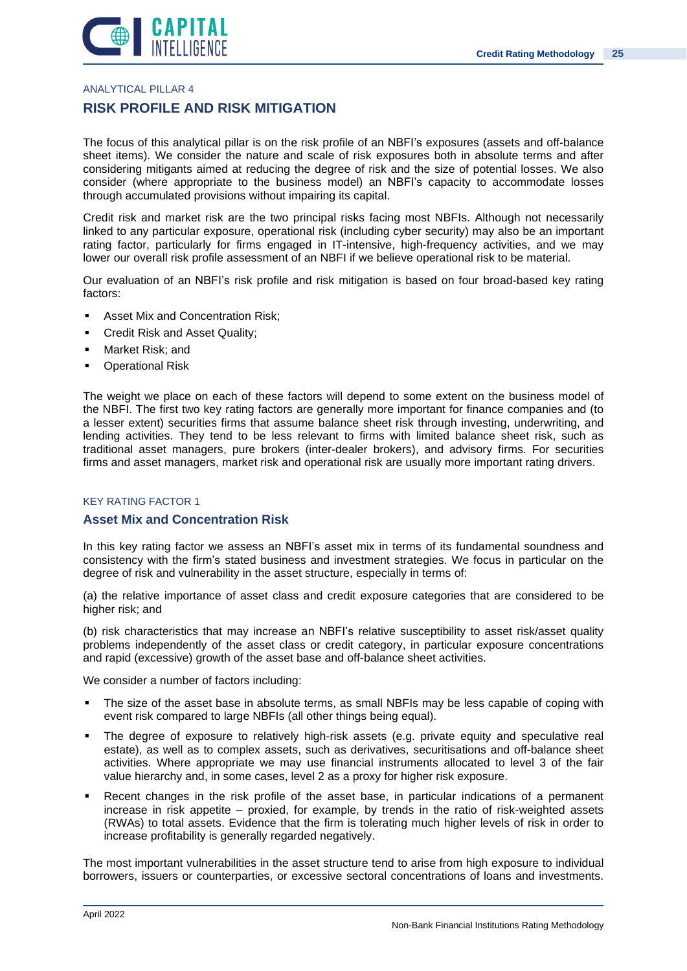![](_page_24_Picture_1.jpeg)

ANALYTICAL PILLAR 4

### **RISK PROFILE AND RISK MITIGATION**

The focus of this analytical pillar is on the risk profile of an NBFI's exposures (assets and off-balance sheet items). We consider the nature and scale of risk exposures both in absolute terms and after considering mitigants aimed at reducing the degree of risk and the size of potential losses. We also consider (where appropriate to the business model) an NBFI's capacity to accommodate losses through accumulated provisions without impairing its capital.

Credit risk and market risk are the two principal risks facing most NBFIs. Although not necessarily linked to any particular exposure, operational risk (including cyber security) may also be an important rating factor, particularly for firms engaged in IT-intensive, high-frequency activities, and we may lower our overall risk profile assessment of an NBFI if we believe operational risk to be material.

Our evaluation of an NBFI's risk profile and risk mitigation is based on four broad-based key rating factors:

- Asset Mix and Concentration Risk;
- Credit Risk and Asset Quality;
- Market Risk: and
- **Operational Risk**

The weight we place on each of these factors will depend to some extent on the business model of the NBFI. The first two key rating factors are generally more important for finance companies and (to a lesser extent) securities firms that assume balance sheet risk through investing, underwriting, and lending activities. They tend to be less relevant to firms with limited balance sheet risk, such as traditional asset managers, pure brokers (inter-dealer brokers), and advisory firms. For securities firms and asset managers, market risk and operational risk are usually more important rating drivers.

### KEY RATING FACTOR 1

### **Asset Mix and Concentration Risk**

In this key rating factor we assess an NBFI's asset mix in terms of its fundamental soundness and consistency with the firm's stated business and investment strategies. We focus in particular on the degree of risk and vulnerability in the asset structure, especially in terms of:

(a) the relative importance of asset class and credit exposure categories that are considered to be higher risk; and

(b) risk characteristics that may increase an NBFI's relative susceptibility to asset risk/asset quality problems independently of the asset class or credit category, in particular exposure concentrations and rapid (excessive) growth of the asset base and off-balance sheet activities.

We consider a number of factors including:

- The size of the asset base in absolute terms, as small NBFIs may be less capable of coping with event risk compared to large NBFIs (all other things being equal).
- The degree of exposure to relatively high-risk assets (e.g. private equity and speculative real estate), as well as to complex assets, such as derivatives, securitisations and off-balance sheet activities. Where appropriate we may use financial instruments allocated to level 3 of the fair value hierarchy and, in some cases, level 2 as a proxy for higher risk exposure.
- Recent changes in the risk profile of the asset base, in particular indications of a permanent increase in risk appetite – proxied, for example, by trends in the ratio of risk-weighted assets (RWAs) to total assets. Evidence that the firm is tolerating much higher levels of risk in order to increase profitability is generally regarded negatively.

The most important vulnerabilities in the asset structure tend to arise from high exposure to individual borrowers, issuers or counterparties, or excessive sectoral concentrations of loans and investments.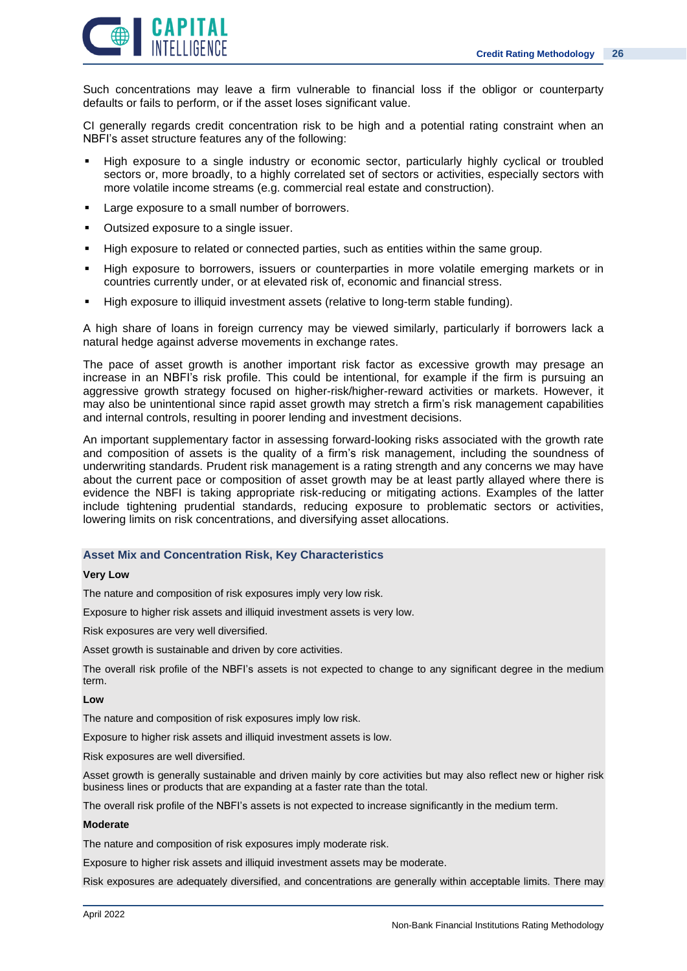![](_page_25_Picture_1.jpeg)

Such concentrations may leave a firm vulnerable to financial loss if the obligor or counterparty defaults or fails to perform, or if the asset loses significant value.

CI generally regards credit concentration risk to be high and a potential rating constraint when an NBFI's asset structure features any of the following:

- High exposure to a single industry or economic sector, particularly highly cyclical or troubled sectors or, more broadly, to a highly correlated set of sectors or activities, especially sectors with more volatile income streams (e.g. commercial real estate and construction).
- Large exposure to a small number of borrowers.
- Outsized exposure to a single issuer.
- High exposure to related or connected parties, such as entities within the same group.
- **EXT** High exposure to borrowers, issuers or counterparties in more volatile emerging markets or in countries currently under, or at elevated risk of, economic and financial stress.
- High exposure to illiquid investment assets (relative to long-term stable funding).

A high share of loans in foreign currency may be viewed similarly, particularly if borrowers lack a natural hedge against adverse movements in exchange rates.

The pace of asset growth is another important risk factor as excessive growth may presage an increase in an NBFI's risk profile. This could be intentional, for example if the firm is pursuing an aggressive growth strategy focused on higher-risk/higher-reward activities or markets. However, it may also be unintentional since rapid asset growth may stretch a firm's risk management capabilities and internal controls, resulting in poorer lending and investment decisions.

An important supplementary factor in assessing forward-looking risks associated with the growth rate and composition of assets is the quality of a firm's risk management, including the soundness of underwriting standards. Prudent risk management is a rating strength and any concerns we may have about the current pace or composition of asset growth may be at least partly allayed where there is evidence the NBFI is taking appropriate risk-reducing or mitigating actions. Examples of the latter include tightening prudential standards, reducing exposure to problematic sectors or activities, lowering limits on risk concentrations, and diversifying asset allocations.

### **Asset Mix and Concentration Risk, Key Characteristics**

### **Very Low**

The nature and composition of risk exposures imply very low risk.

Exposure to higher risk assets and illiquid investment assets is very low.

Risk exposures are very well diversified.

Asset growth is sustainable and driven by core activities.

The overall risk profile of the NBFI's assets is not expected to change to any significant degree in the medium term.

#### **Low**

The nature and composition of risk exposures imply low risk.

Exposure to higher risk assets and illiquid investment assets is low.

Risk exposures are well diversified.

Asset growth is generally sustainable and driven mainly by core activities but may also reflect new or higher risk business lines or products that are expanding at a faster rate than the total.

The overall risk profile of the NBFI's assets is not expected to increase significantly in the medium term.

### **Moderate**

The nature and composition of risk exposures imply moderate risk.

Exposure to higher risk assets and illiquid investment assets may be moderate.

Risk exposures are adequately diversified, and concentrations are generally within acceptable limits. There may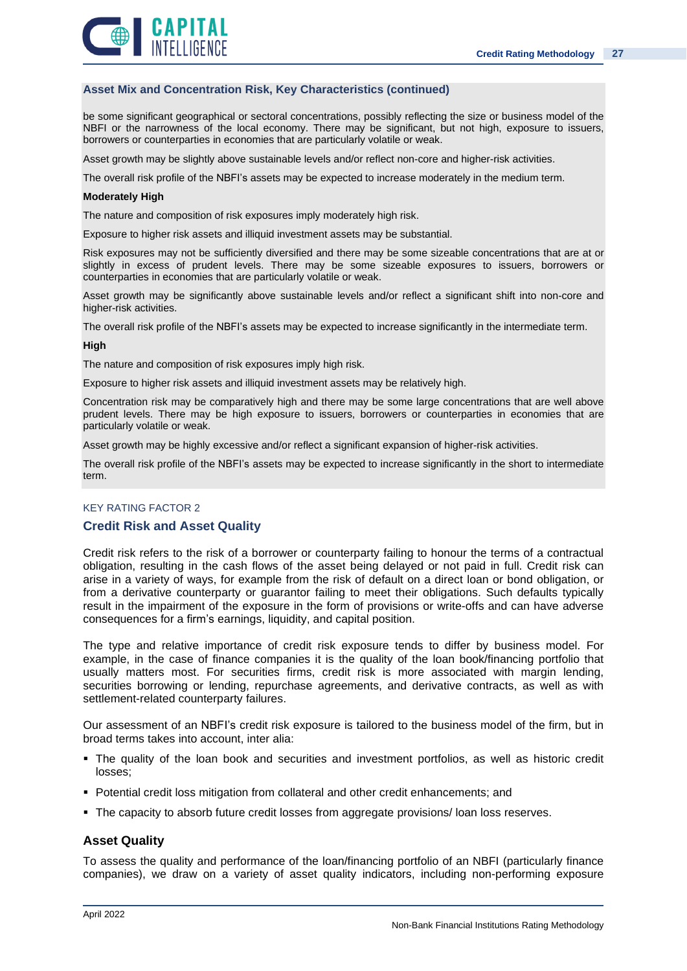![](_page_26_Picture_1.jpeg)

### **Asset Mix and Concentration Risk, Key Characteristics (continued)**

be some significant geographical or sectoral concentrations, possibly reflecting the size or business model of the NBFI or the narrowness of the local economy. There may be significant, but not high, exposure to issuers, borrowers or counterparties in economies that are particularly volatile or weak.

Asset growth may be slightly above sustainable levels and/or reflect non-core and higher-risk activities.

The overall risk profile of the NBFI's assets may be expected to increase moderately in the medium term.

#### **Moderately High**

The nature and composition of risk exposures imply moderately high risk.

Exposure to higher risk assets and illiquid investment assets may be substantial.

Risk exposures may not be sufficiently diversified and there may be some sizeable concentrations that are at or slightly in excess of prudent levels. There may be some sizeable exposures to issuers, borrowers or counterparties in economies that are particularly volatile or weak.

Asset growth may be significantly above sustainable levels and/or reflect a significant shift into non-core and higher-risk activities.

The overall risk profile of the NBFI's assets may be expected to increase significantly in the intermediate term.

#### **High**

The nature and composition of risk exposures imply high risk.

Exposure to higher risk assets and illiquid investment assets may be relatively high.

Concentration risk may be comparatively high and there may be some large concentrations that are well above prudent levels. There may be high exposure to issuers, borrowers or counterparties in economies that are particularly volatile or weak.

Asset growth may be highly excessive and/or reflect a significant expansion of higher-risk activities.

The overall risk profile of the NBFI's assets may be expected to increase significantly in the short to intermediate term.

### KEY RATING FACTOR 2

### **Credit Risk and Asset Quality**

Credit risk refers to the risk of a borrower or counterparty failing to honour the terms of a contractual obligation, resulting in the cash flows of the asset being delayed or not paid in full. Credit risk can arise in a variety of ways, for example from the risk of default on a direct loan or bond obligation, or from a derivative counterparty or guarantor failing to meet their obligations. Such defaults typically result in the impairment of the exposure in the form of provisions or write-offs and can have adverse consequences for a firm's earnings, liquidity, and capital position.

The type and relative importance of credit risk exposure tends to differ by business model. For example, in the case of finance companies it is the quality of the loan book/financing portfolio that usually matters most. For securities firms, credit risk is more associated with margin lending, securities borrowing or lending, repurchase agreements, and derivative contracts, as well as with settlement-related counterparty failures.

Our assessment of an NBFI's credit risk exposure is tailored to the business model of the firm, but in broad terms takes into account, inter alia:

- The quality of the loan book and securities and investment portfolios, as well as historic credit losses;
- Potential credit loss mitigation from collateral and other credit enhancements; and
- **The capacity to absorb future credit losses from aggregate provisions/ loan loss reserves.**

### **Asset Quality**

To assess the quality and performance of the loan/financing portfolio of an NBFI (particularly finance companies), we draw on a variety of asset quality indicators, including non-performing exposure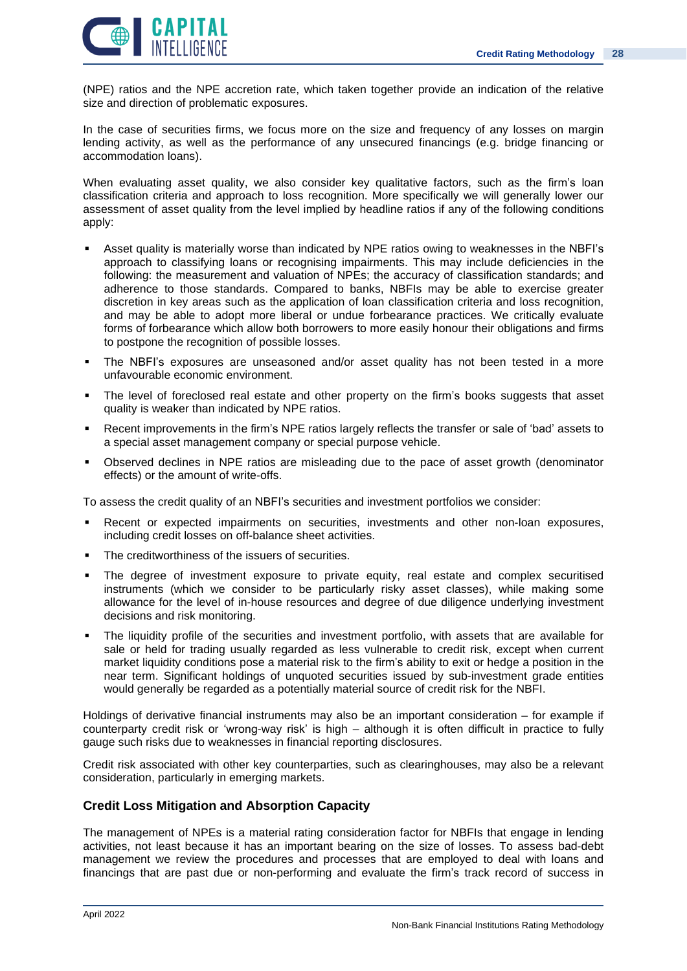![](_page_27_Picture_1.jpeg)

(NPE) ratios and the NPE accretion rate, which taken together provide an indication of the relative size and direction of problematic exposures.

In the case of securities firms, we focus more on the size and frequency of any losses on margin lending activity, as well as the performance of any unsecured financings (e.g. bridge financing or accommodation loans).

When evaluating asset quality, we also consider key qualitative factors, such as the firm's loan classification criteria and approach to loss recognition. More specifically we will generally lower our assessment of asset quality from the level implied by headline ratios if any of the following conditions apply:

- Asset quality is materially worse than indicated by NPE ratios owing to weaknesses in the NBFI's approach to classifying loans or recognising impairments. This may include deficiencies in the following: the measurement and valuation of NPEs; the accuracy of classification standards; and adherence to those standards. Compared to banks, NBFIs may be able to exercise greater discretion in key areas such as the application of loan classification criteria and loss recognition, and may be able to adopt more liberal or undue forbearance practices. We critically evaluate forms of forbearance which allow both borrowers to more easily honour their obligations and firms to postpone the recognition of possible losses.
- The NBFI's exposures are unseasoned and/or asset quality has not been tested in a more unfavourable economic environment.
- The level of foreclosed real estate and other property on the firm's books suggests that asset quality is weaker than indicated by NPE ratios.
- Recent improvements in the firm's NPE ratios largely reflects the transfer or sale of 'bad' assets to a special asset management company or special purpose vehicle.
- Observed declines in NPE ratios are misleading due to the pace of asset growth (denominator effects) or the amount of write-offs.

To assess the credit quality of an NBFI's securities and investment portfolios we consider:

- **EXECTER EXECTED EXECTED FIG. IT ASSET IN EXECTED FIG. IN EXECTED FIG. IT ASSETS**, investments and other non-loan exposures, including credit losses on off-balance sheet activities.
- The creditworthiness of the issuers of securities.
- The degree of investment exposure to private equity, real estate and complex securitised instruments (which we consider to be particularly risky asset classes), while making some allowance for the level of in-house resources and degree of due diligence underlying investment decisions and risk monitoring.
- The liquidity profile of the securities and investment portfolio, with assets that are available for sale or held for trading usually regarded as less vulnerable to credit risk, except when current market liquidity conditions pose a material risk to the firm's ability to exit or hedge a position in the near term. Significant holdings of unquoted securities issued by sub-investment grade entities would generally be regarded as a potentially material source of credit risk for the NBFI.

Holdings of derivative financial instruments may also be an important consideration – for example if counterparty credit risk or 'wrong-way risk' is high – although it is often difficult in practice to fully gauge such risks due to weaknesses in financial reporting disclosures.

Credit risk associated with other key counterparties, such as clearinghouses, may also be a relevant consideration, particularly in emerging markets.

### **Credit Loss Mitigation and Absorption Capacity**

The management of NPEs is a material rating consideration factor for NBFIs that engage in lending activities, not least because it has an important bearing on the size of losses. To assess bad-debt management we review the procedures and processes that are employed to deal with loans and financings that are past due or non-performing and evaluate the firm's track record of success in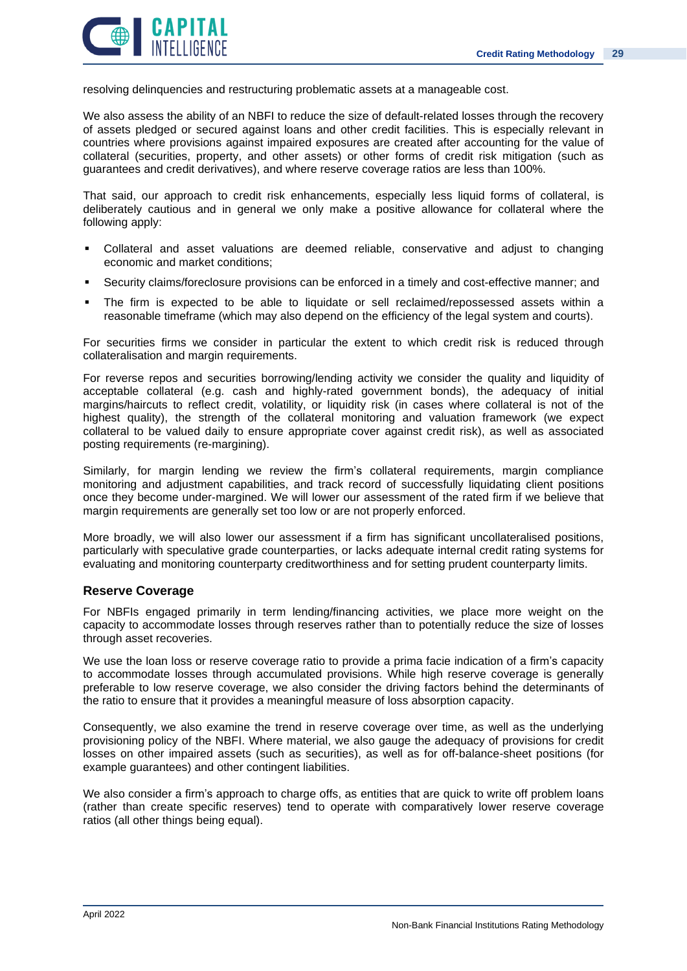![](_page_28_Picture_1.jpeg)

resolving delinquencies and restructuring problematic assets at a manageable cost.

We also assess the ability of an NBFI to reduce the size of default-related losses through the recovery of assets pledged or secured against loans and other credit facilities. This is especially relevant in countries where provisions against impaired exposures are created after accounting for the value of collateral (securities, property, and other assets) or other forms of credit risk mitigation (such as guarantees and credit derivatives), and where reserve coverage ratios are less than 100%.

That said, our approach to credit risk enhancements, especially less liquid forms of collateral, is deliberately cautious and in general we only make a positive allowance for collateral where the following apply:

- Collateral and asset valuations are deemed reliable, conservative and adjust to changing economic and market conditions;
- Security claims/foreclosure provisions can be enforced in a timely and cost-effective manner; and
- The firm is expected to be able to liquidate or sell reclaimed/repossessed assets within a reasonable timeframe (which may also depend on the efficiency of the legal system and courts).

For securities firms we consider in particular the extent to which credit risk is reduced through collateralisation and margin requirements.

For reverse repos and securities borrowing/lending activity we consider the quality and liquidity of acceptable collateral (e.g. cash and highly-rated government bonds), the adequacy of initial margins/haircuts to reflect credit, volatility, or liquidity risk (in cases where collateral is not of the highest quality), the strength of the collateral monitoring and valuation framework (we expect collateral to be valued daily to ensure appropriate cover against credit risk), as well as associated posting requirements (re-margining).

Similarly, for margin lending we review the firm's collateral requirements, margin compliance monitoring and adjustment capabilities, and track record of successfully liquidating client positions once they become under-margined. We will lower our assessment of the rated firm if we believe that margin requirements are generally set too low or are not properly enforced.

More broadly, we will also lower our assessment if a firm has significant uncollateralised positions, particularly with speculative grade counterparties, or lacks adequate internal credit rating systems for evaluating and monitoring counterparty creditworthiness and for setting prudent counterparty limits.

### **Reserve Coverage**

For NBFIs engaged primarily in term lending/financing activities, we place more weight on the capacity to accommodate losses through reserves rather than to potentially reduce the size of losses through asset recoveries.

We use the loan loss or reserve coverage ratio to provide a prima facie indication of a firm's capacity to accommodate losses through accumulated provisions. While high reserve coverage is generally preferable to low reserve coverage, we also consider the driving factors behind the determinants of the ratio to ensure that it provides a meaningful measure of loss absorption capacity.

Consequently, we also examine the trend in reserve coverage over time, as well as the underlying provisioning policy of the NBFI. Where material, we also gauge the adequacy of provisions for credit losses on other impaired assets (such as securities), as well as for off-balance-sheet positions (for example guarantees) and other contingent liabilities.

We also consider a firm's approach to charge offs, as entities that are quick to write off problem loans (rather than create specific reserves) tend to operate with comparatively lower reserve coverage ratios (all other things being equal).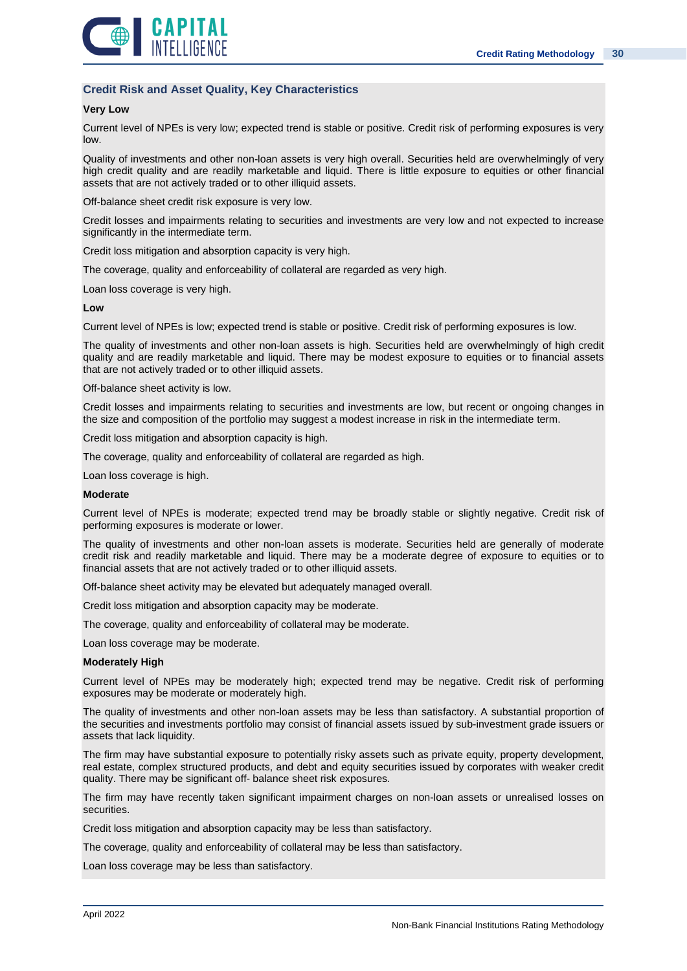![](_page_29_Picture_1.jpeg)

### **Credit Risk and Asset Quality, Key Characteristics**

### **Very Low**

Current level of NPEs is very low; expected trend is stable or positive. Credit risk of performing exposures is very low.

Quality of investments and other non-loan assets is very high overall. Securities held are overwhelmingly of very high credit quality and are readily marketable and liquid. There is little exposure to equities or other financial assets that are not actively traded or to other illiquid assets.

Off-balance sheet credit risk exposure is very low.

Credit losses and impairments relating to securities and investments are very low and not expected to increase significantly in the intermediate term.

Credit loss mitigation and absorption capacity is very high.

The coverage, quality and enforceability of collateral are regarded as very high.

Loan loss coverage is very high.

#### **Low**

Current level of NPEs is low; expected trend is stable or positive. Credit risk of performing exposures is low.

The quality of investments and other non-loan assets is high. Securities held are overwhelmingly of high credit quality and are readily marketable and liquid. There may be modest exposure to equities or to financial assets that are not actively traded or to other illiquid assets.

Off-balance sheet activity is low.

Credit losses and impairments relating to securities and investments are low, but recent or ongoing changes in the size and composition of the portfolio may suggest a modest increase in risk in the intermediate term.

Credit loss mitigation and absorption capacity is high.

The coverage, quality and enforceability of collateral are regarded as high.

Loan loss coverage is high.

### **Moderate**

Current level of NPEs is moderate; expected trend may be broadly stable or slightly negative. Credit risk of performing exposures is moderate or lower.

The quality of investments and other non-loan assets is moderate. Securities held are generally of moderate credit risk and readily marketable and liquid. There may be a moderate degree of exposure to equities or to financial assets that are not actively traded or to other illiquid assets.

Off-balance sheet activity may be elevated but adequately managed overall.

Credit loss mitigation and absorption capacity may be moderate.

The coverage, quality and enforceability of collateral may be moderate.

Loan loss coverage may be moderate.

#### **Moderately High**

Current level of NPEs may be moderately high; expected trend may be negative. Credit risk of performing exposures may be moderate or moderately high.

The quality of investments and other non-loan assets may be less than satisfactory. A substantial proportion of the securities and investments portfolio may consist of financial assets issued by sub-investment grade issuers or assets that lack liquidity.

The firm may have substantial exposure to potentially risky assets such as private equity, property development, real estate, complex structured products, and debt and equity securities issued by corporates with weaker credit quality. There may be significant off- balance sheet risk exposures.

The firm may have recently taken significant impairment charges on non-loan assets or unrealised losses on securities.

Credit loss mitigation and absorption capacity may be less than satisfactory.

The coverage, quality and enforceability of collateral may be less than satisfactory.

Loan loss coverage may be less than satisfactory.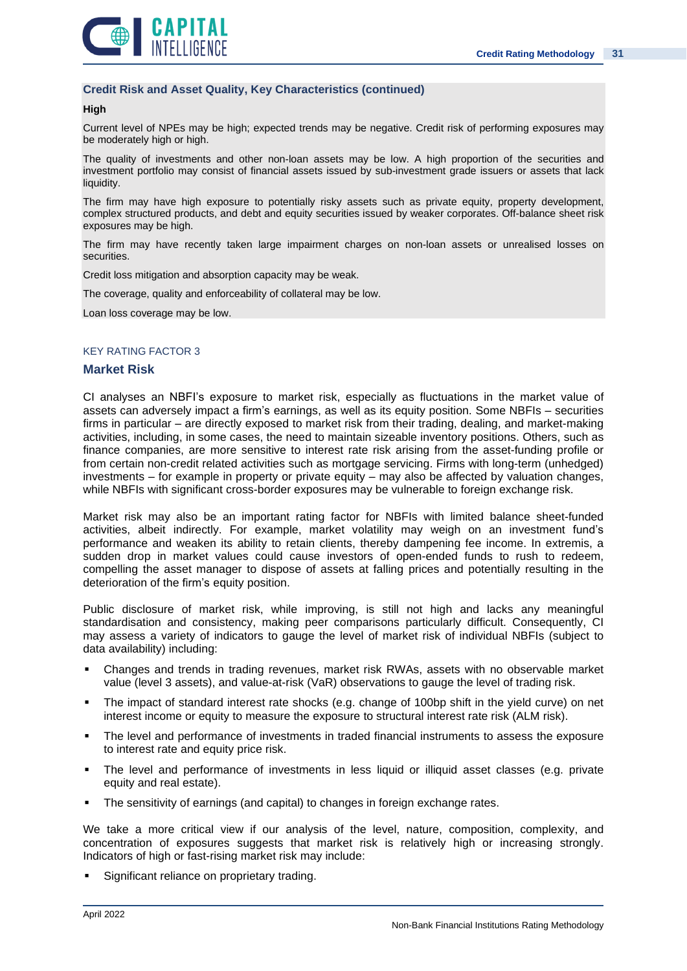![](_page_30_Picture_1.jpeg)

### **Credit Risk and Asset Quality, Key Characteristics (continued)**

### **High**

Current level of NPEs may be high; expected trends may be negative. Credit risk of performing exposures may be moderately high or high.

The quality of investments and other non-loan assets may be low. A high proportion of the securities and investment portfolio may consist of financial assets issued by sub-investment grade issuers or assets that lack liquidity.

The firm may have high exposure to potentially risky assets such as private equity, property development, complex structured products, and debt and equity securities issued by weaker corporates. Off-balance sheet risk exposures may be high.

The firm may have recently taken large impairment charges on non-loan assets or unrealised losses on securities.

Credit loss mitigation and absorption capacity may be weak.

The coverage, quality and enforceability of collateral may be low.

Loan loss coverage may be low.

### KEY RATING FACTOR 3

### **Market Risk**

CI analyses an NBFI's exposure to market risk, especially as fluctuations in the market value of assets can adversely impact a firm's earnings, as well as its equity position. Some NBFIs – securities firms in particular – are directly exposed to market risk from their trading, dealing, and market-making activities, including, in some cases, the need to maintain sizeable inventory positions. Others, such as finance companies, are more sensitive to interest rate risk arising from the asset-funding profile or from certain non-credit related activities such as mortgage servicing. Firms with long-term (unhedged) investments – for example in property or private equity – may also be affected by valuation changes, while NBFIs with significant cross-border exposures may be vulnerable to foreign exchange risk.

Market risk may also be an important rating factor for NBFIs with limited balance sheet-funded activities, albeit indirectly. For example, market volatility may weigh on an investment fund's performance and weaken its ability to retain clients, thereby dampening fee income. In extremis, a sudden drop in market values could cause investors of open-ended funds to rush to redeem, compelling the asset manager to dispose of assets at falling prices and potentially resulting in the deterioration of the firm's equity position.

Public disclosure of market risk, while improving, is still not high and lacks any meaningful standardisation and consistency, making peer comparisons particularly difficult. Consequently, CI may assess a variety of indicators to gauge the level of market risk of individual NBFIs (subject to data availability) including:

- Changes and trends in trading revenues, market risk RWAs, assets with no observable market value (level 3 assets), and value-at-risk (VaR) observations to gauge the level of trading risk.
- The impact of standard interest rate shocks (e.g. change of 100bp shift in the vield curve) on net interest income or equity to measure the exposure to structural interest rate risk (ALM risk).
- The level and performance of investments in traded financial instruments to assess the exposure to interest rate and equity price risk.
- The level and performance of investments in less liquid or illiquid asset classes (e.g. private equity and real estate).
- The sensitivity of earnings (and capital) to changes in foreign exchange rates.

We take a more critical view if our analysis of the level, nature, composition, complexity, and concentration of exposures suggests that market risk is relatively high or increasing strongly. Indicators of high or fast-rising market risk may include:

Significant reliance on proprietary trading.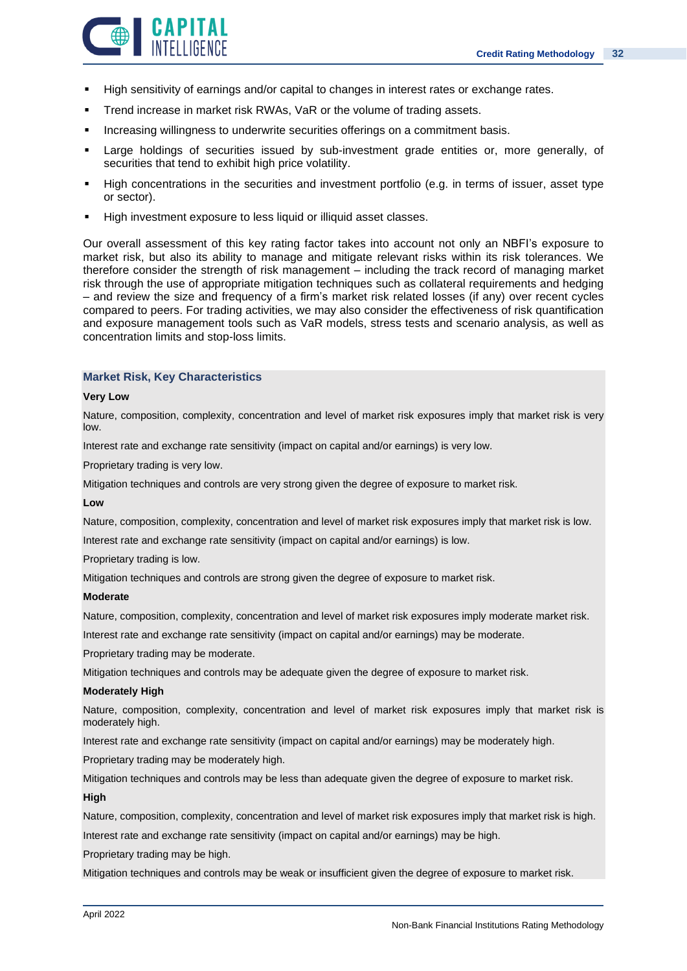![](_page_31_Picture_1.jpeg)

- **E** High sensitivity of earnings and/or capital to changes in interest rates or exchange rates.
- Trend increase in market risk RWAs, VaR or the volume of trading assets.
- Increasing willingness to underwrite securities offerings on a commitment basis.
- Large holdings of securities issued by sub-investment grade entities or, more generally, of securities that tend to exhibit high price volatility.
- High concentrations in the securities and investment portfolio (e.g. in terms of issuer, asset type or sector).
- High investment exposure to less liquid or illiquid asset classes.

Our overall assessment of this key rating factor takes into account not only an NBFI's exposure to market risk, but also its ability to manage and mitigate relevant risks within its risk tolerances. We therefore consider the strength of risk management – including the track record of managing market risk through the use of appropriate mitigation techniques such as collateral requirements and hedging – and review the size and frequency of a firm's market risk related losses (if any) over recent cycles compared to peers. For trading activities, we may also consider the effectiveness of risk quantification and exposure management tools such as VaR models, stress tests and scenario analysis, as well as concentration limits and stop-loss limits.

### **Market Risk, Key Characteristics**

#### **Very Low**

Nature, composition, complexity, concentration and level of market risk exposures imply that market risk is very low.

Interest rate and exchange rate sensitivity (impact on capital and/or earnings) is very low.

Proprietary trading is very low.

Mitigation techniques and controls are very strong given the degree of exposure to market risk.

### **Low**

Nature, composition, complexity, concentration and level of market risk exposures imply that market risk is low.

Interest rate and exchange rate sensitivity (impact on capital and/or earnings) is low.

Proprietary trading is low.

Mitigation techniques and controls are strong given the degree of exposure to market risk.

#### **Moderate**

Nature, composition, complexity, concentration and level of market risk exposures imply moderate market risk.

Interest rate and exchange rate sensitivity (impact on capital and/or earnings) may be moderate.

Proprietary trading may be moderate.

Mitigation techniques and controls may be adequate given the degree of exposure to market risk.

#### **Moderately High**

Nature, composition, complexity, concentration and level of market risk exposures imply that market risk is moderately high.

Interest rate and exchange rate sensitivity (impact on capital and/or earnings) may be moderately high.

Proprietary trading may be moderately high.

Mitigation techniques and controls may be less than adequate given the degree of exposure to market risk.

#### **High**

Nature, composition, complexity, concentration and level of market risk exposures imply that market risk is high.

Interest rate and exchange rate sensitivity (impact on capital and/or earnings) may be high.

Proprietary trading may be high.

Mitigation techniques and controls may be weak or insufficient given the degree of exposure to market risk.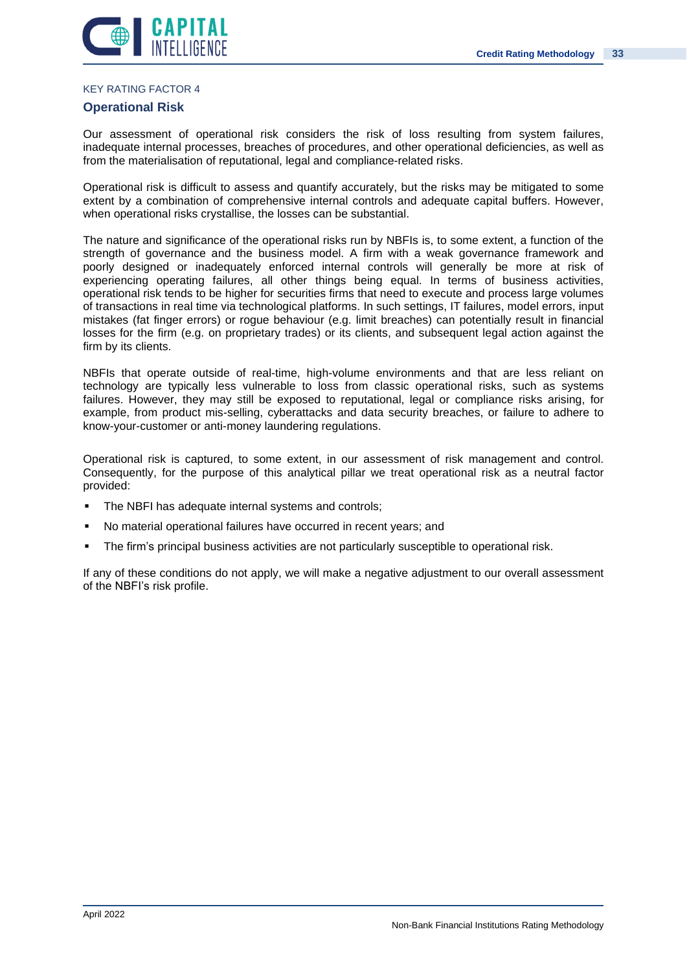![](_page_32_Picture_1.jpeg)

### KEY RATING FACTOR 4

### **Operational Risk**

Our assessment of operational risk considers the risk of loss resulting from system failures, inadequate internal processes, breaches of procedures, and other operational deficiencies, as well as from the materialisation of reputational, legal and compliance-related risks.

Operational risk is difficult to assess and quantify accurately, but the risks may be mitigated to some extent by a combination of comprehensive internal controls and adequate capital buffers. However, when operational risks crystallise, the losses can be substantial.

The nature and significance of the operational risks run by NBFIs is, to some extent, a function of the strength of governance and the business model. A firm with a weak governance framework and poorly designed or inadequately enforced internal controls will generally be more at risk of experiencing operating failures, all other things being equal. In terms of business activities, operational risk tends to be higher for securities firms that need to execute and process large volumes of transactions in real time via technological platforms. In such settings, IT failures, model errors, input mistakes (fat finger errors) or rogue behaviour (e.g. limit breaches) can potentially result in financial losses for the firm (e.g. on proprietary trades) or its clients, and subsequent legal action against the firm by its clients.

NBFIs that operate outside of real-time, high-volume environments and that are less reliant on technology are typically less vulnerable to loss from classic operational risks, such as systems failures. However, they may still be exposed to reputational, legal or compliance risks arising, for example, from product mis-selling, cyberattacks and data security breaches, or failure to adhere to know-your-customer or anti-money laundering regulations.

Operational risk is captured, to some extent, in our assessment of risk management and control. Consequently, for the purpose of this analytical pillar we treat operational risk as a neutral factor provided:

- **The NBFI has adequate internal systems and controls;**
- No material operational failures have occurred in recent years; and
- **•** The firm's principal business activities are not particularly susceptible to operational risk.

If any of these conditions do not apply, we will make a negative adjustment to our overall assessment of the NBFI's risk profile.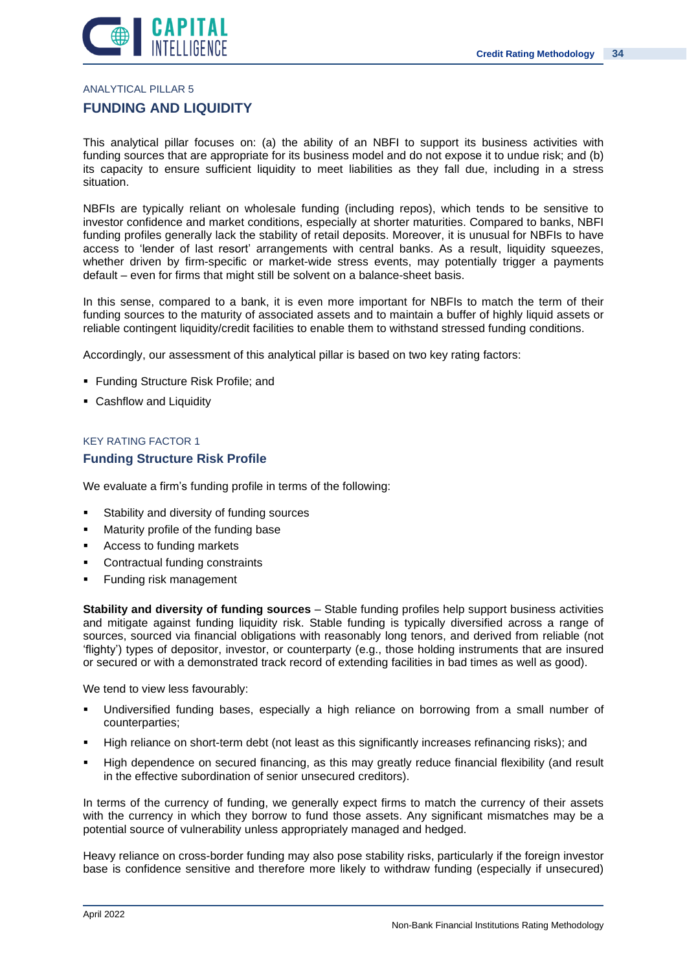![](_page_33_Picture_0.jpeg)

ANALYTICAL PILLAR 5

### **FUNDING AND LIQUIDITY**

This analytical pillar focuses on: (a) the ability of an NBFI to support its business activities with funding sources that are appropriate for its business model and do not expose it to undue risk; and (b) its capacity to ensure sufficient liquidity to meet liabilities as they fall due, including in a stress situation.

NBFIs are typically reliant on wholesale funding (including repos), which tends to be sensitive to investor confidence and market conditions, especially at shorter maturities. Compared to banks, NBFI funding profiles generally lack the stability of retail deposits. Moreover, it is unusual for NBFIs to have access to 'lender of last resort' arrangements with central banks. As a result, liquidity squeezes, whether driven by firm-specific or market-wide stress events, may potentially trigger a payments default – even for firms that might still be solvent on a balance-sheet basis.

In this sense, compared to a bank, it is even more important for NBFIs to match the term of their funding sources to the maturity of associated assets and to maintain a buffer of highly liquid assets or reliable contingent liquidity/credit facilities to enable them to withstand stressed funding conditions.

Accordingly, our assessment of this analytical pillar is based on two key rating factors:

- Funding Structure Risk Profile; and
- Cashflow and Liquidity

### KEY RATING FACTOR 1 **Funding Structure Risk Profile**

We evaluate a firm's funding profile in terms of the following:

- Stability and diversity of funding sources
- Maturity profile of the funding base
- Access to funding markets
- Contractual funding constraints
- **Funding risk management**

**Stability and diversity of funding sources** – Stable funding profiles help support business activities and mitigate against funding liquidity risk. Stable funding is typically diversified across a range of sources, sourced via financial obligations with reasonably long tenors, and derived from reliable (not 'flighty') types of depositor, investor, or counterparty (e.g., those holding instruments that are insured or secured or with a demonstrated track record of extending facilities in bad times as well as good).

We tend to view less favourably:

- Undiversified funding bases, especially a high reliance on borrowing from a small number of counterparties;
- High reliance on short-term debt (not least as this significantly increases refinancing risks); and
- High dependence on secured financing, as this may greatly reduce financial flexibility (and result in the effective subordination of senior unsecured creditors).

In terms of the currency of funding, we generally expect firms to match the currency of their assets with the currency in which they borrow to fund those assets. Any significant mismatches may be a potential source of vulnerability unless appropriately managed and hedged.

Heavy reliance on cross-border funding may also pose stability risks, particularly if the foreign investor base is confidence sensitive and therefore more likely to withdraw funding (especially if unsecured)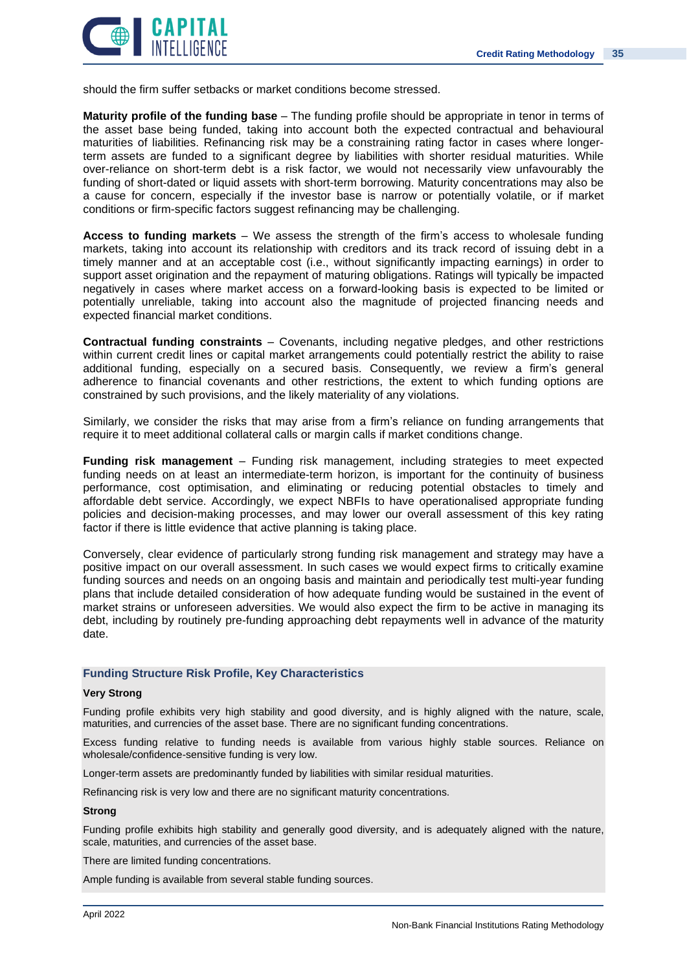![](_page_34_Picture_1.jpeg)

should the firm suffer setbacks or market conditions become stressed.

**Maturity profile of the funding base** – The funding profile should be appropriate in tenor in terms of the asset base being funded, taking into account both the expected contractual and behavioural maturities of liabilities. Refinancing risk may be a constraining rating factor in cases where longerterm assets are funded to a significant degree by liabilities with shorter residual maturities. While over-reliance on short-term debt is a risk factor, we would not necessarily view unfavourably the funding of short-dated or liquid assets with short-term borrowing. Maturity concentrations may also be a cause for concern, especially if the investor base is narrow or potentially volatile, or if market conditions or firm-specific factors suggest refinancing may be challenging.

**Access to funding markets** – We assess the strength of the firm's access to wholesale funding markets, taking into account its relationship with creditors and its track record of issuing debt in a timely manner and at an acceptable cost (i.e., without significantly impacting earnings) in order to support asset origination and the repayment of maturing obligations. Ratings will typically be impacted negatively in cases where market access on a forward-looking basis is expected to be limited or potentially unreliable, taking into account also the magnitude of projected financing needs and expected financial market conditions.

**Contractual funding constraints** – Covenants, including negative pledges, and other restrictions within current credit lines or capital market arrangements could potentially restrict the ability to raise additional funding, especially on a secured basis. Consequently, we review a firm's general adherence to financial covenants and other restrictions, the extent to which funding options are constrained by such provisions, and the likely materiality of any violations.

Similarly, we consider the risks that may arise from a firm's reliance on funding arrangements that require it to meet additional collateral calls or margin calls if market conditions change.

**Funding risk management** – Funding risk management, including strategies to meet expected funding needs on at least an intermediate-term horizon, is important for the continuity of business performance, cost optimisation, and eliminating or reducing potential obstacles to timely and affordable debt service. Accordingly, we expect NBFIs to have operationalised appropriate funding policies and decision-making processes, and may lower our overall assessment of this key rating factor if there is little evidence that active planning is taking place.

Conversely, clear evidence of particularly strong funding risk management and strategy may have a positive impact on our overall assessment. In such cases we would expect firms to critically examine funding sources and needs on an ongoing basis and maintain and periodically test multi-year funding plans that include detailed consideration of how adequate funding would be sustained in the event of market strains or unforeseen adversities. We would also expect the firm to be active in managing its debt, including by routinely pre-funding approaching debt repayments well in advance of the maturity date.

### **Funding Structure Risk Profile, Key Characteristics**

### **Very Strong**

Funding profile exhibits very high stability and good diversity, and is highly aligned with the nature, scale, maturities, and currencies of the asset base. There are no significant funding concentrations.

Excess funding relative to funding needs is available from various highly stable sources. Reliance on wholesale/confidence-sensitive funding is very low.

Longer-term assets are predominantly funded by liabilities with similar residual maturities.

Refinancing risk is very low and there are no significant maturity concentrations.

### **Strong**

Funding profile exhibits high stability and generally good diversity, and is adequately aligned with the nature, scale, maturities, and currencies of the asset base.

There are limited funding concentrations.

Ample funding is available from several stable funding sources.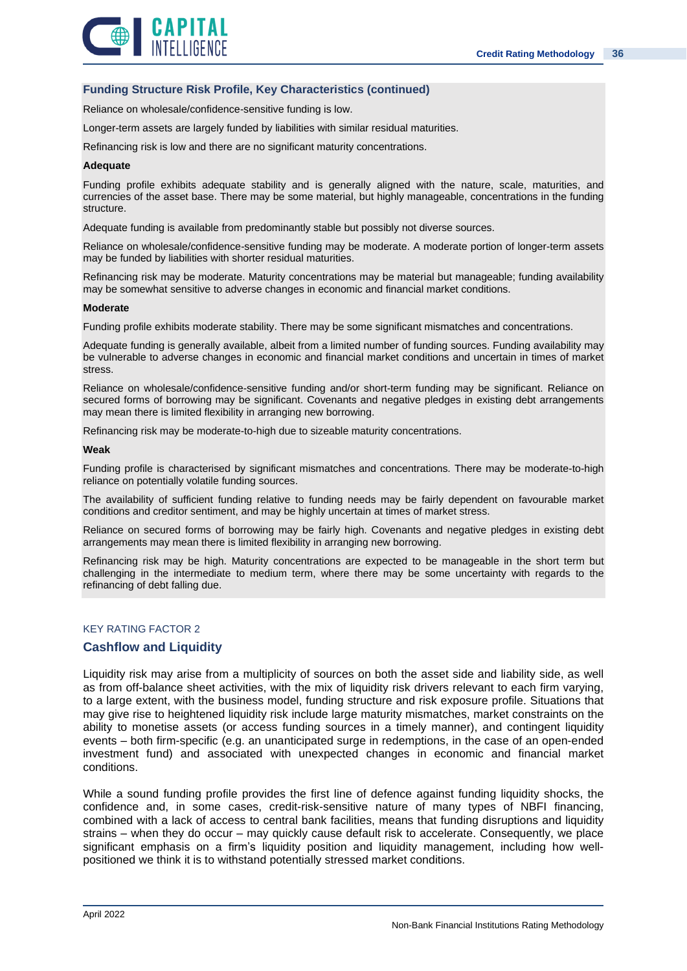![](_page_35_Picture_1.jpeg)

### **Funding Structure Risk Profile, Key Characteristics (continued)**

Reliance on wholesale/confidence-sensitive funding is low.

Longer-term assets are largely funded by liabilities with similar residual maturities.

Refinancing risk is low and there are no significant maturity concentrations.

#### **Adequate**

Funding profile exhibits adequate stability and is generally aligned with the nature, scale, maturities, and currencies of the asset base. There may be some material, but highly manageable, concentrations in the funding structure.

Adequate funding is available from predominantly stable but possibly not diverse sources.

Reliance on wholesale/confidence-sensitive funding may be moderate. A moderate portion of longer-term assets may be funded by liabilities with shorter residual maturities.

Refinancing risk may be moderate. Maturity concentrations may be material but manageable; funding availability may be somewhat sensitive to adverse changes in economic and financial market conditions.

#### **Moderate**

Funding profile exhibits moderate stability. There may be some significant mismatches and concentrations.

Adequate funding is generally available, albeit from a limited number of funding sources. Funding availability may be vulnerable to adverse changes in economic and financial market conditions and uncertain in times of market stress.

Reliance on wholesale/confidence-sensitive funding and/or short-term funding may be significant. Reliance on secured forms of borrowing may be significant. Covenants and negative pledges in existing debt arrangements may mean there is limited flexibility in arranging new borrowing.

Refinancing risk may be moderate-to-high due to sizeable maturity concentrations.

#### **Weak**

Funding profile is characterised by significant mismatches and concentrations. There may be moderate-to-high reliance on potentially volatile funding sources.

The availability of sufficient funding relative to funding needs may be fairly dependent on favourable market conditions and creditor sentiment, and may be highly uncertain at times of market stress.

Reliance on secured forms of borrowing may be fairly high. Covenants and negative pledges in existing debt arrangements may mean there is limited flexibility in arranging new borrowing.

Refinancing risk may be high. Maturity concentrations are expected to be manageable in the short term but challenging in the intermediate to medium term, where there may be some uncertainty with regards to the refinancing of debt falling due.

### KEY RATING FACTOR 2

### **Cashflow and Liquidity**

Liquidity risk may arise from a multiplicity of sources on both the asset side and liability side, as well as from off-balance sheet activities, with the mix of liquidity risk drivers relevant to each firm varying, to a large extent, with the business model, funding structure and risk exposure profile. Situations that may give rise to heightened liquidity risk include large maturity mismatches, market constraints on the ability to monetise assets (or access funding sources in a timely manner), and contingent liquidity events – both firm-specific (e.g. an unanticipated surge in redemptions, in the case of an open-ended investment fund) and associated with unexpected changes in economic and financial market conditions.

While a sound funding profile provides the first line of defence against funding liquidity shocks, the confidence and, in some cases, credit-risk-sensitive nature of many types of NBFI financing, combined with a lack of access to central bank facilities, means that funding disruptions and liquidity strains – when they do occur – may quickly cause default risk to accelerate. Consequently, we place significant emphasis on a firm's liquidity position and liquidity management, including how wellpositioned we think it is to withstand potentially stressed market conditions.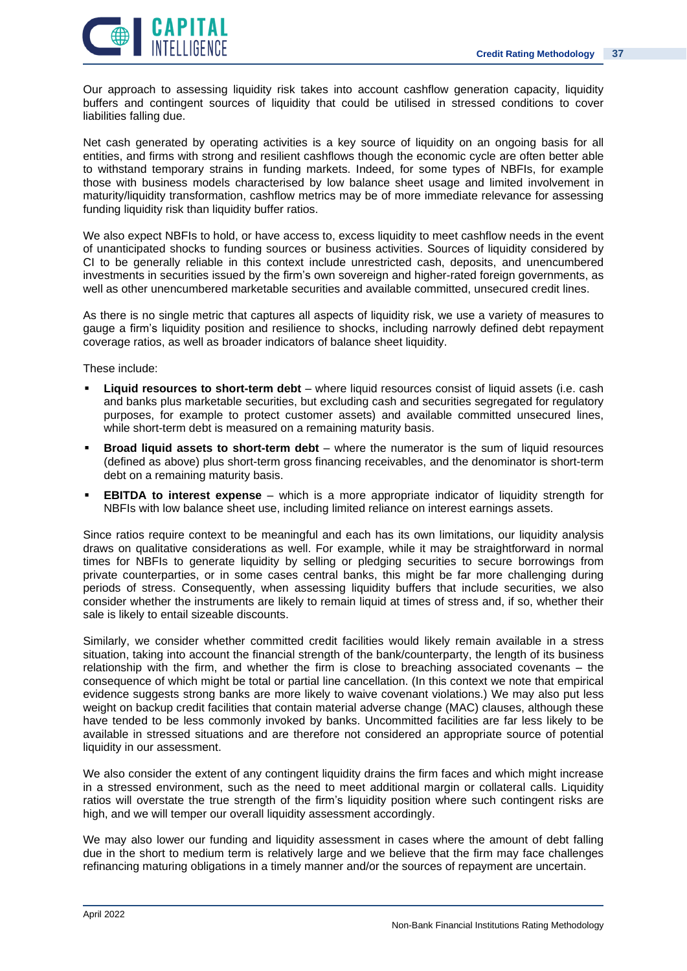![](_page_36_Picture_1.jpeg)

Our approach to assessing liquidity risk takes into account cashflow generation capacity, liquidity buffers and contingent sources of liquidity that could be utilised in stressed conditions to cover liabilities falling due.

Net cash generated by operating activities is a key source of liquidity on an ongoing basis for all entities, and firms with strong and resilient cashflows though the economic cycle are often better able to withstand temporary strains in funding markets. Indeed, for some types of NBFIs, for example those with business models characterised by low balance sheet usage and limited involvement in maturity/liquidity transformation, cashflow metrics may be of more immediate relevance for assessing funding liquidity risk than liquidity buffer ratios.

We also expect NBFIs to hold, or have access to, excess liquidity to meet cashflow needs in the event of unanticipated shocks to funding sources or business activities. Sources of liquidity considered by CI to be generally reliable in this context include unrestricted cash, deposits, and unencumbered investments in securities issued by the firm's own sovereign and higher-rated foreign governments, as well as other unencumbered marketable securities and available committed, unsecured credit lines.

As there is no single metric that captures all aspects of liquidity risk, we use a variety of measures to gauge a firm's liquidity position and resilience to shocks, including narrowly defined debt repayment coverage ratios, as well as broader indicators of balance sheet liquidity.

These include:

- **Liquid resources to short-term debt** where liquid resources consist of liquid assets (i.e. cash and banks plus marketable securities, but excluding cash and securities segregated for regulatory purposes, for example to protect customer assets) and available committed unsecured lines, while short-term debt is measured on a remaining maturity basis.
- **Broad liquid assets to short-term debt** where the numerator is the sum of liquid resources (defined as above) plus short-term gross financing receivables, and the denominator is short-term debt on a remaining maturity basis.
- **EBITDA to interest expense** which is a more appropriate indicator of liquidity strength for NBFIs with low balance sheet use, including limited reliance on interest earnings assets.

Since ratios require context to be meaningful and each has its own limitations, our liquidity analysis draws on qualitative considerations as well. For example, while it may be straightforward in normal times for NBFIs to generate liquidity by selling or pledging securities to secure borrowings from private counterparties, or in some cases central banks, this might be far more challenging during periods of stress. Consequently, when assessing liquidity buffers that include securities, we also consider whether the instruments are likely to remain liquid at times of stress and, if so, whether their sale is likely to entail sizeable discounts.

Similarly, we consider whether committed credit facilities would likely remain available in a stress situation, taking into account the financial strength of the bank/counterparty, the length of its business relationship with the firm, and whether the firm is close to breaching associated covenants – the consequence of which might be total or partial line cancellation. (In this context we note that empirical evidence suggests strong banks are more likely to waive covenant violations.) We may also put less weight on backup credit facilities that contain material adverse change (MAC) clauses, although these have tended to be less commonly invoked by banks. Uncommitted facilities are far less likely to be available in stressed situations and are therefore not considered an appropriate source of potential liquidity in our assessment.

We also consider the extent of any contingent liquidity drains the firm faces and which might increase in a stressed environment, such as the need to meet additional margin or collateral calls. Liquidity ratios will overstate the true strength of the firm's liquidity position where such contingent risks are high, and we will temper our overall liquidity assessment accordingly.

We may also lower our funding and liquidity assessment in cases where the amount of debt falling due in the short to medium term is relatively large and we believe that the firm may face challenges refinancing maturing obligations in a timely manner and/or the sources of repayment are uncertain.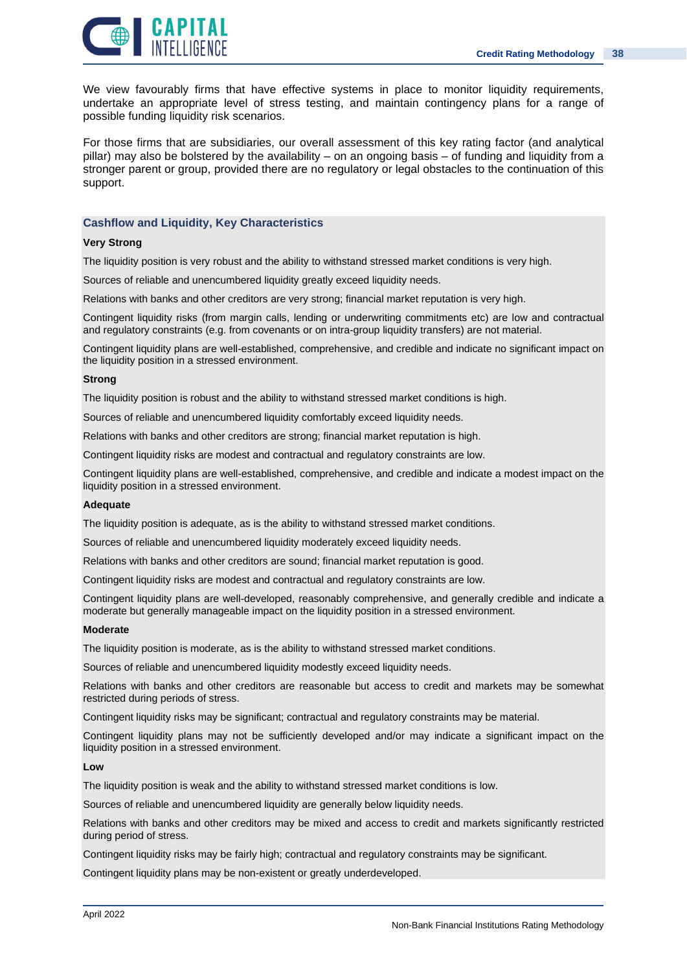![](_page_37_Picture_1.jpeg)

We view favourably firms that have effective systems in place to monitor liquidity requirements, undertake an appropriate level of stress testing, and maintain contingency plans for a range of possible funding liquidity risk scenarios.

For those firms that are subsidiaries, our overall assessment of this key rating factor (and analytical pillar) may also be bolstered by the availability – on an ongoing basis – of funding and liquidity from a stronger parent or group, provided there are no regulatory or legal obstacles to the continuation of this support.

### **Cashflow and Liquidity, Key Characteristics**

### **Very Strong**

The liquidity position is very robust and the ability to withstand stressed market conditions is very high.

Sources of reliable and unencumbered liquidity greatly exceed liquidity needs.

Relations with banks and other creditors are very strong; financial market reputation is very high.

Contingent liquidity risks (from margin calls, lending or underwriting commitments etc) are low and contractual and regulatory constraints (e.g. from covenants or on intra-group liquidity transfers) are not material.

Contingent liquidity plans are well-established, comprehensive, and credible and indicate no significant impact on the liquidity position in a stressed environment.

#### **Strong**

The liquidity position is robust and the ability to withstand stressed market conditions is high.

Sources of reliable and unencumbered liquidity comfortably exceed liquidity needs.

Relations with banks and other creditors are strong; financial market reputation is high.

Contingent liquidity risks are modest and contractual and regulatory constraints are low.

Contingent liquidity plans are well-established, comprehensive, and credible and indicate a modest impact on the liquidity position in a stressed environment.

#### **Adequate**

The liquidity position is adequate, as is the ability to withstand stressed market conditions.

Sources of reliable and unencumbered liquidity moderately exceed liquidity needs.

Relations with banks and other creditors are sound; financial market reputation is good.

Contingent liquidity risks are modest and contractual and regulatory constraints are low.

Contingent liquidity plans are well-developed, reasonably comprehensive, and generally credible and indicate a moderate but generally manageable impact on the liquidity position in a stressed environment.

#### **Moderate**

The liquidity position is moderate, as is the ability to withstand stressed market conditions.

Sources of reliable and unencumbered liquidity modestly exceed liquidity needs.

Relations with banks and other creditors are reasonable but access to credit and markets may be somewhat restricted during periods of stress.

Contingent liquidity risks may be significant; contractual and regulatory constraints may be material.

Contingent liquidity plans may not be sufficiently developed and/or may indicate a significant impact on the liquidity position in a stressed environment.

### **Low**

The liquidity position is weak and the ability to withstand stressed market conditions is low.

Sources of reliable and unencumbered liquidity are generally below liquidity needs.

Relations with banks and other creditors may be mixed and access to credit and markets significantly restricted during period of stress.

Contingent liquidity risks may be fairly high; contractual and regulatory constraints may be significant.

Contingent liquidity plans may be non-existent or greatly underdeveloped.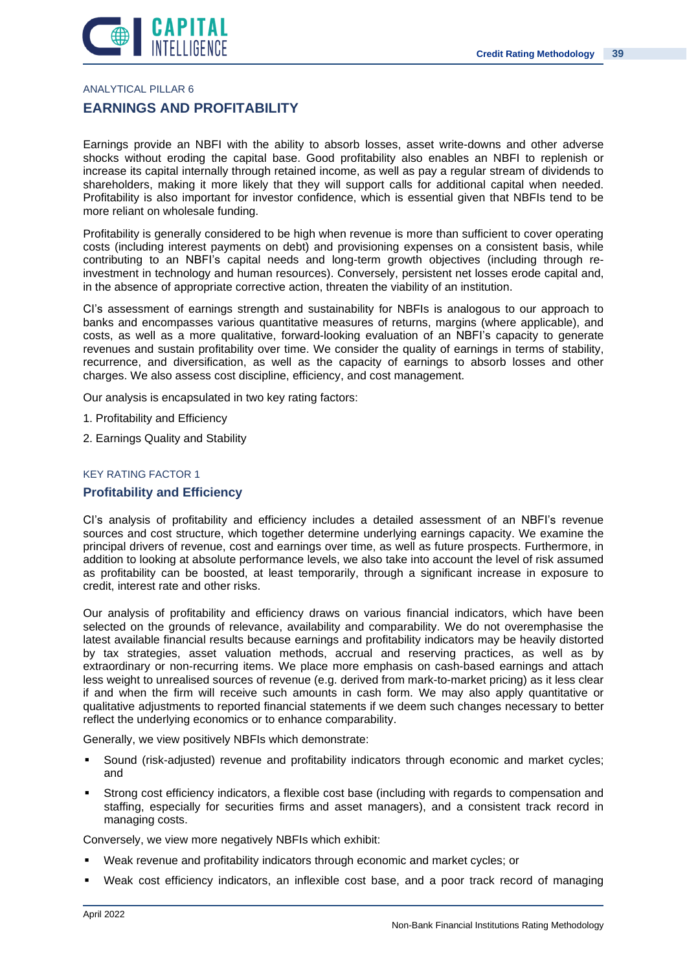![](_page_38_Picture_1.jpeg)

ANALYTICAL PILLAR 6

### **EARNINGS AND PROFITABILITY**

Earnings provide an NBFI with the ability to absorb losses, asset write-downs and other adverse shocks without eroding the capital base. Good profitability also enables an NBFI to replenish or increase its capital internally through retained income, as well as pay a regular stream of dividends to shareholders, making it more likely that they will support calls for additional capital when needed. Profitability is also important for investor confidence, which is essential given that NBFIs tend to be more reliant on wholesale funding.

Profitability is generally considered to be high when revenue is more than sufficient to cover operating costs (including interest payments on debt) and provisioning expenses on a consistent basis, while contributing to an NBFI's capital needs and long-term growth objectives (including through reinvestment in technology and human resources). Conversely, persistent net losses erode capital and, in the absence of appropriate corrective action, threaten the viability of an institution.

CI's assessment of earnings strength and sustainability for NBFIs is analogous to our approach to banks and encompasses various quantitative measures of returns, margins (where applicable), and costs, as well as a more qualitative, forward-looking evaluation of an NBFI's capacity to generate revenues and sustain profitability over time. We consider the quality of earnings in terms of stability, recurrence, and diversification, as well as the capacity of earnings to absorb losses and other charges. We also assess cost discipline, efficiency, and cost management.

Our analysis is encapsulated in two key rating factors:

- 1. Profitability and Efficiency
- 2. Earnings Quality and Stability

### KEY RATING FACTOR 1

### **Profitability and Efficiency**

CI's analysis of profitability and efficiency includes a detailed assessment of an NBFI's revenue sources and cost structure, which together determine underlying earnings capacity. We examine the principal drivers of revenue, cost and earnings over time, as well as future prospects. Furthermore, in addition to looking at absolute performance levels, we also take into account the level of risk assumed as profitability can be boosted, at least temporarily, through a significant increase in exposure to credit, interest rate and other risks.

Our analysis of profitability and efficiency draws on various financial indicators, which have been selected on the grounds of relevance, availability and comparability. We do not overemphasise the latest available financial results because earnings and profitability indicators may be heavily distorted by tax strategies, asset valuation methods, accrual and reserving practices, as well as by extraordinary or non-recurring items. We place more emphasis on cash-based earnings and attach less weight to unrealised sources of revenue (e.g. derived from mark-to-market pricing) as it less clear if and when the firm will receive such amounts in cash form. We may also apply quantitative or qualitative adjustments to reported financial statements if we deem such changes necessary to better reflect the underlying economics or to enhance comparability.

Generally, we view positively NBFIs which demonstrate:

- **•** Sound (risk-adjusted) revenue and profitability indicators through economic and market cycles; and
- Strong cost efficiency indicators, a flexible cost base (including with regards to compensation and staffing, especially for securities firms and asset managers), and a consistent track record in managing costs.

Conversely, we view more negatively NBFIs which exhibit:

- Weak revenue and profitability indicators through economic and market cycles; or
- Weak cost efficiency indicators, an inflexible cost base, and a poor track record of managing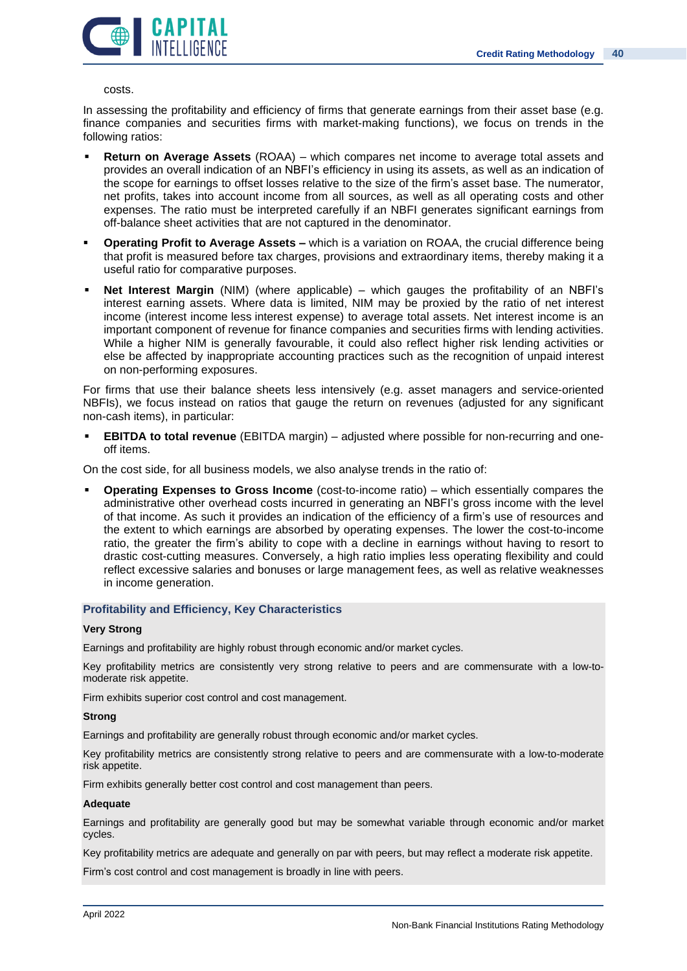![](_page_39_Picture_1.jpeg)

costs.

In assessing the profitability and efficiency of firms that generate earnings from their asset base (e.g. finance companies and securities firms with market-making functions), we focus on trends in the following ratios:

- **Return on Average Assets** (ROAA) which compares net income to average total assets and provides an overall indication of an NBFI's efficiency in using its assets, as well as an indication of the scope for earnings to offset losses relative to the size of the firm's asset base. The numerator, net profits, takes into account income from all sources, as well as all operating costs and other expenses. The ratio must be interpreted carefully if an NBFI generates significant earnings from off-balance sheet activities that are not captured in the denominator.
- **Operating Profit to Average Assets –** which is a variation on ROAA, the crucial difference being that profit is measured before tax charges, provisions and extraordinary items, thereby making it a useful ratio for comparative purposes.
- **Net Interest Margin** (NIM) (where applicable) which gauges the profitability of an NBFI's interest earning assets. Where data is limited, NIM may be proxied by the ratio of net interest income (interest income less interest expense) to average total assets. Net interest income is an important component of revenue for finance companies and securities firms with lending activities. While a higher NIM is generally favourable, it could also reflect higher risk lending activities or else be affected by inappropriate accounting practices such as the recognition of unpaid interest on non-performing exposures.

For firms that use their balance sheets less intensively (e.g. asset managers and service-oriented NBFIs), we focus instead on ratios that gauge the return on revenues (adjusted for any significant non-cash items), in particular:

▪ **EBITDA to total revenue** (EBITDA margin) – adjusted where possible for non-recurring and oneoff items.

On the cost side, for all business models, we also analyse trends in the ratio of:

▪ **Operating Expenses to Gross Income** (cost-to-income ratio) – which essentially compares the administrative other overhead costs incurred in generating an NBFI's gross income with the level of that income. As such it provides an indication of the efficiency of a firm's use of resources and the extent to which earnings are absorbed by operating expenses. The lower the cost-to-income ratio, the greater the firm's ability to cope with a decline in earnings without having to resort to drastic cost-cutting measures. Conversely, a high ratio implies less operating flexibility and could reflect excessive salaries and bonuses or large management fees, as well as relative weaknesses in income generation.

### **Profitability and Efficiency, Key Characteristics**

### **Very Strong**

Earnings and profitability are highly robust through economic and/or market cycles.

Key profitability metrics are consistently very strong relative to peers and are commensurate with a low-tomoderate risk appetite.

Firm exhibits superior cost control and cost management.

### **Strong**

Earnings and profitability are generally robust through economic and/or market cycles.

Key profitability metrics are consistently strong relative to peers and are commensurate with a low-to-moderate risk appetite.

Firm exhibits generally better cost control and cost management than peers.

### **Adequate**

Earnings and profitability are generally good but may be somewhat variable through economic and/or market cycles.

Key profitability metrics are adequate and generally on par with peers, but may reflect a moderate risk appetite.

Firm's cost control and cost management is broadly in line with peers.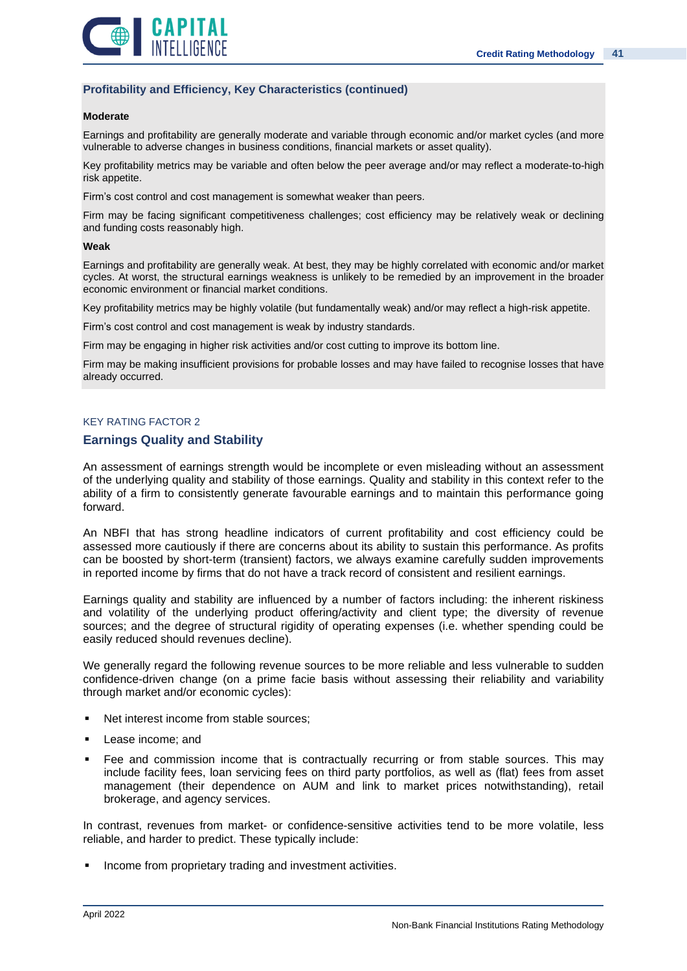![](_page_40_Picture_1.jpeg)

### **Profitability and Efficiency, Key Characteristics (continued)**

#### **Moderate**

Earnings and profitability are generally moderate and variable through economic and/or market cycles (and more vulnerable to adverse changes in business conditions, financial markets or asset quality).

Key profitability metrics may be variable and often below the peer average and/or may reflect a moderate-to-high risk appetite.

Firm's cost control and cost management is somewhat weaker than peers.

Firm may be facing significant competitiveness challenges; cost efficiency may be relatively weak or declining and funding costs reasonably high.

#### **Weak**

Earnings and profitability are generally weak. At best, they may be highly correlated with economic and/or market cycles. At worst, the structural earnings weakness is unlikely to be remedied by an improvement in the broader economic environment or financial market conditions.

Key profitability metrics may be highly volatile (but fundamentally weak) and/or may reflect a high-risk appetite.

Firm's cost control and cost management is weak by industry standards.

Firm may be engaging in higher risk activities and/or cost cutting to improve its bottom line.

Firm may be making insufficient provisions for probable losses and may have failed to recognise losses that have already occurred.

### KEY RATING FACTOR 2

### **Earnings Quality and Stability**

An assessment of earnings strength would be incomplete or even misleading without an assessment of the underlying quality and stability of those earnings. Quality and stability in this context refer to the ability of a firm to consistently generate favourable earnings and to maintain this performance going forward.

An NBFI that has strong headline indicators of current profitability and cost efficiency could be assessed more cautiously if there are concerns about its ability to sustain this performance. As profits can be boosted by short-term (transient) factors, we always examine carefully sudden improvements in reported income by firms that do not have a track record of consistent and resilient earnings.

Earnings quality and stability are influenced by a number of factors including: the inherent riskiness and volatility of the underlying product offering/activity and client type; the diversity of revenue sources; and the degree of structural rigidity of operating expenses (i.e. whether spending could be easily reduced should revenues decline).

We generally regard the following revenue sources to be more reliable and less vulnerable to sudden confidence-driven change (on a prime facie basis without assessing their reliability and variability through market and/or economic cycles):

- Net interest income from stable sources:
- Lease income: and
- Fee and commission income that is contractually recurring or from stable sources. This may include facility fees, loan servicing fees on third party portfolios, as well as (flat) fees from asset management (their dependence on AUM and link to market prices notwithstanding), retail brokerage, and agency services.

In contrast, revenues from market- or confidence-sensitive activities tend to be more volatile, less reliable, and harder to predict. These typically include:

**•** Income from proprietary trading and investment activities.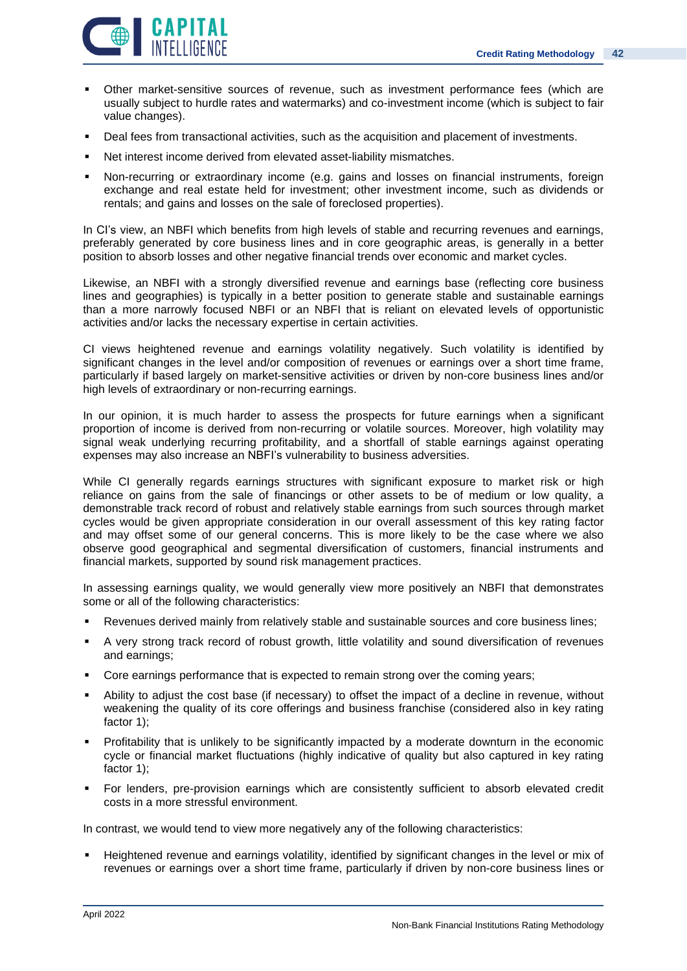![](_page_41_Picture_1.jpeg)

- Other market-sensitive sources of revenue, such as investment performance fees (which are usually subject to hurdle rates and watermarks) and co-investment income (which is subject to fair value changes).
- Deal fees from transactional activities, such as the acquisition and placement of investments.
- Net interest income derived from elevated asset-liability mismatches.
- **•** Non-recurring or extraordinary income (e.g. gains and losses on financial instruments, foreign exchange and real estate held for investment; other investment income, such as dividends or rentals; and gains and losses on the sale of foreclosed properties).

In CI's view, an NBFI which benefits from high levels of stable and recurring revenues and earnings, preferably generated by core business lines and in core geographic areas, is generally in a better position to absorb losses and other negative financial trends over economic and market cycles.

Likewise, an NBFI with a strongly diversified revenue and earnings base (reflecting core business lines and geographies) is typically in a better position to generate stable and sustainable earnings than a more narrowly focused NBFI or an NBFI that is reliant on elevated levels of opportunistic activities and/or lacks the necessary expertise in certain activities.

CI views heightened revenue and earnings volatility negatively. Such volatility is identified by significant changes in the level and/or composition of revenues or earnings over a short time frame, particularly if based largely on market-sensitive activities or driven by non-core business lines and/or high levels of extraordinary or non-recurring earnings.

In our opinion, it is much harder to assess the prospects for future earnings when a significant proportion of income is derived from non-recurring or volatile sources. Moreover, high volatility may signal weak underlying recurring profitability, and a shortfall of stable earnings against operating expenses may also increase an NBFI's vulnerability to business adversities.

While CI generally regards earnings structures with significant exposure to market risk or high reliance on gains from the sale of financings or other assets to be of medium or low quality, a demonstrable track record of robust and relatively stable earnings from such sources through market cycles would be given appropriate consideration in our overall assessment of this key rating factor and may offset some of our general concerns. This is more likely to be the case where we also observe good geographical and segmental diversification of customers, financial instruments and financial markets, supported by sound risk management practices.

In assessing earnings quality, we would generally view more positively an NBFI that demonstrates some or all of the following characteristics:

- Revenues derived mainly from relatively stable and sustainable sources and core business lines;
- A very strong track record of robust growth, little volatility and sound diversification of revenues and earnings;
- Core earnings performance that is expected to remain strong over the coming years;
- Ability to adjust the cost base (if necessary) to offset the impact of a decline in revenue, without weakening the quality of its core offerings and business franchise (considered also in key rating factor 1);
- Profitability that is unlikely to be significantly impacted by a moderate downturn in the economic cycle or financial market fluctuations (highly indicative of quality but also captured in key rating factor 1);
- For lenders, pre-provision earnings which are consistently sufficient to absorb elevated credit costs in a more stressful environment.

In contrast, we would tend to view more negatively any of the following characteristics:

Heightened revenue and earnings volatility, identified by significant changes in the level or mix of revenues or earnings over a short time frame, particularly if driven by non-core business lines or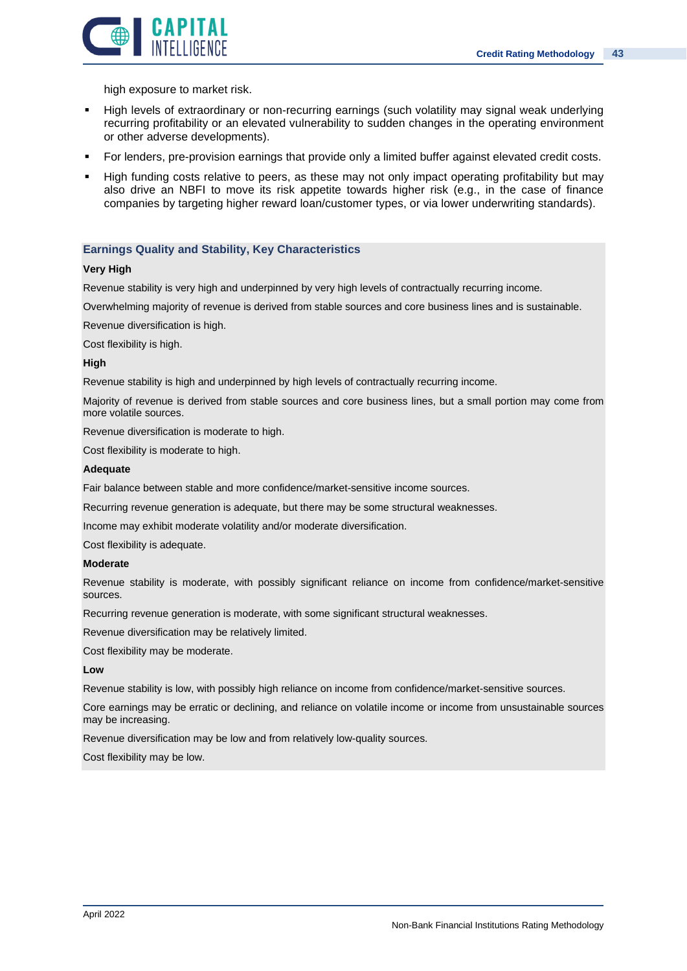![](_page_42_Picture_1.jpeg)

high exposure to market risk.

- High levels of extraordinary or non-recurring earnings (such volatility may signal weak underlying recurring profitability or an elevated vulnerability to sudden changes in the operating environment or other adverse developments).
- **•** For lenders, pre-provision earnings that provide only a limited buffer against elevated credit costs.
- High funding costs relative to peers, as these may not only impact operating profitability but may also drive an NBFI to move its risk appetite towards higher risk (e.g., in the case of finance companies by targeting higher reward loan/customer types, or via lower underwriting standards).

### **Earnings Quality and Stability, Key Characteristics**

### **Very High**

Revenue stability is very high and underpinned by very high levels of contractually recurring income.

Overwhelming majority of revenue is derived from stable sources and core business lines and is sustainable.

Revenue diversification is high.

Cost flexibility is high.

### **High**

Revenue stability is high and underpinned by high levels of contractually recurring income.

Majority of revenue is derived from stable sources and core business lines, but a small portion may come from more volatile sources.

Revenue diversification is moderate to high.

Cost flexibility is moderate to high.

#### **Adequate**

Fair balance between stable and more confidence/market-sensitive income sources.

Recurring revenue generation is adequate, but there may be some structural weaknesses.

Income may exhibit moderate volatility and/or moderate diversification.

Cost flexibility is adequate.

### **Moderate**

Revenue stability is moderate, with possibly significant reliance on income from confidence/market-sensitive sources.

Recurring revenue generation is moderate, with some significant structural weaknesses.

Revenue diversification may be relatively limited.

Cost flexibility may be moderate.

### **Low**

Revenue stability is low, with possibly high reliance on income from confidence/market-sensitive sources.

Core earnings may be erratic or declining, and reliance on volatile income or income from unsustainable sources may be increasing.

Revenue diversification may be low and from relatively low-quality sources.

Cost flexibility may be low.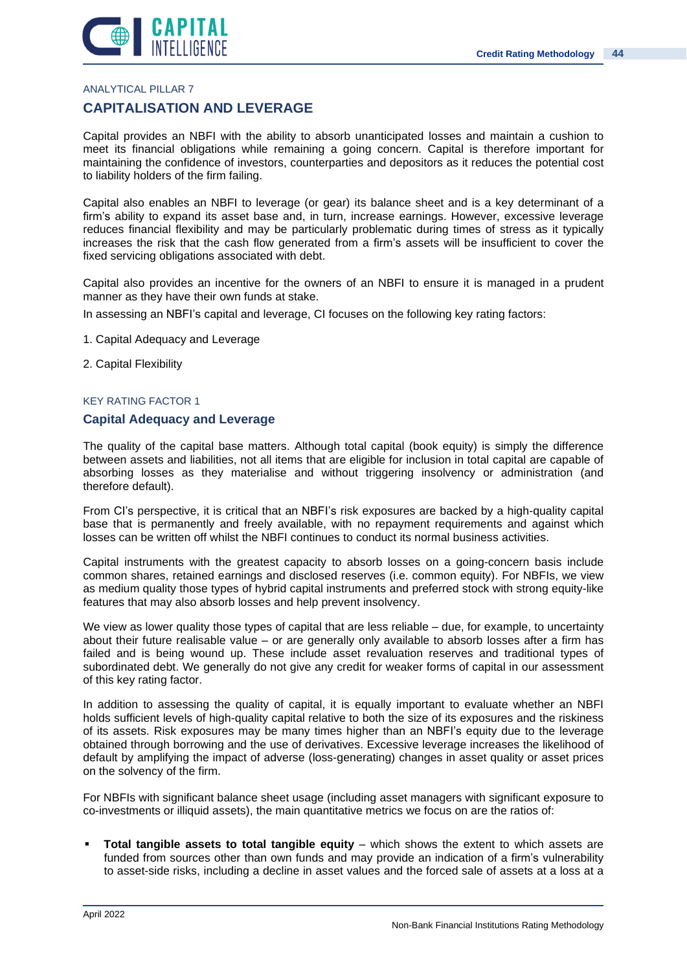![](_page_43_Picture_1.jpeg)

ANALYTICAL PILLAR 7

### **CAPITALISATION AND LEVERAGE**

Capital provides an NBFI with the ability to absorb unanticipated losses and maintain a cushion to meet its financial obligations while remaining a going concern. Capital is therefore important for maintaining the confidence of investors, counterparties and depositors as it reduces the potential cost to liability holders of the firm failing.

Capital also enables an NBFI to leverage (or gear) its balance sheet and is a key determinant of a firm's ability to expand its asset base and, in turn, increase earnings. However, excessive leverage reduces financial flexibility and may be particularly problematic during times of stress as it typically increases the risk that the cash flow generated from a firm's assets will be insufficient to cover the fixed servicing obligations associated with debt.

Capital also provides an incentive for the owners of an NBFI to ensure it is managed in a prudent manner as they have their own funds at stake.

In assessing an NBFI's capital and leverage, CI focuses on the following key rating factors:

- 1. Capital Adequacy and Leverage
- 2. Capital Flexibility

### KEY RATING FACTOR 1

### **Capital Adequacy and Leverage**

The quality of the capital base matters. Although total capital (book equity) is simply the difference between assets and liabilities, not all items that are eligible for inclusion in total capital are capable of absorbing losses as they materialise and without triggering insolvency or administration (and therefore default).

From CI's perspective, it is critical that an NBFI's risk exposures are backed by a high-quality capital base that is permanently and freely available, with no repayment requirements and against which losses can be written off whilst the NBFI continues to conduct its normal business activities.

Capital instruments with the greatest capacity to absorb losses on a going-concern basis include common shares, retained earnings and disclosed reserves (i.e. common equity). For NBFIs, we view as medium quality those types of hybrid capital instruments and preferred stock with strong equity-like features that may also absorb losses and help prevent insolvency.

We view as lower quality those types of capital that are less reliable – due, for example, to uncertainty about their future realisable value – or are generally only available to absorb losses after a firm has failed and is being wound up. These include asset revaluation reserves and traditional types of subordinated debt. We generally do not give any credit for weaker forms of capital in our assessment of this key rating factor.

In addition to assessing the quality of capital, it is equally important to evaluate whether an NBFI holds sufficient levels of high-quality capital relative to both the size of its exposures and the riskiness of its assets. Risk exposures may be many times higher than an NBFI's equity due to the leverage obtained through borrowing and the use of derivatives. Excessive leverage increases the likelihood of default by amplifying the impact of adverse (loss-generating) changes in asset quality or asset prices on the solvency of the firm.

For NBFIs with significant balance sheet usage (including asset managers with significant exposure to co-investments or illiquid assets), the main quantitative metrics we focus on are the ratios of:

▪ **Total tangible assets to total tangible equity** – which shows the extent to which assets are funded from sources other than own funds and may provide an indication of a firm's vulnerability to asset-side risks, including a decline in asset values and the forced sale of assets at a loss at a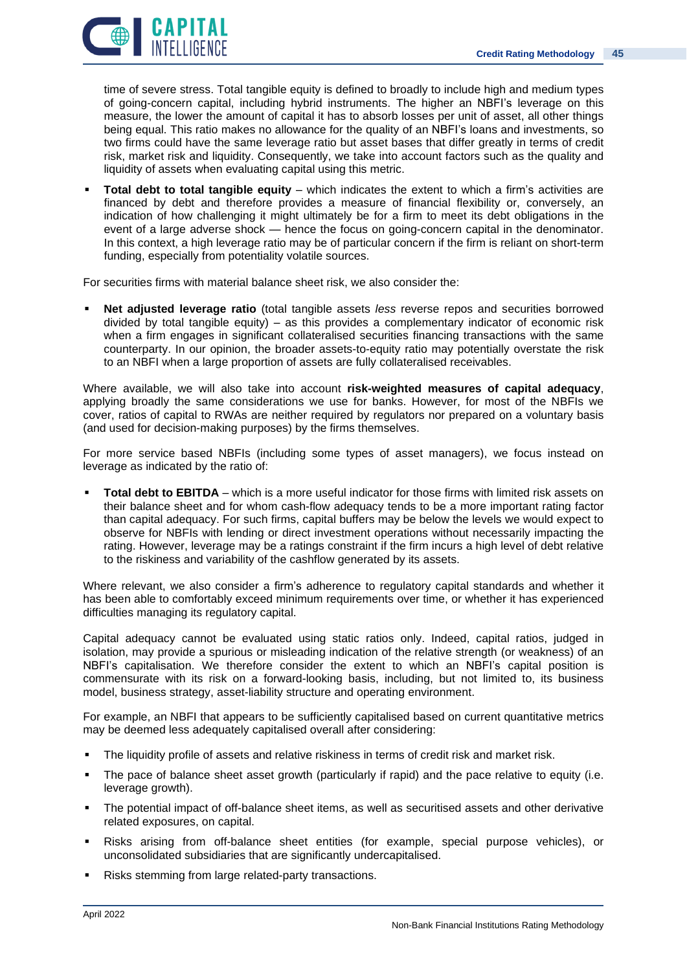![](_page_44_Picture_1.jpeg)

time of severe stress. Total tangible equity is defined to broadly to include high and medium types of going-concern capital, including hybrid instruments. The higher an NBFI's leverage on this measure, the lower the amount of capital it has to absorb losses per unit of asset, all other things being equal. This ratio makes no allowance for the quality of an NBFI's loans and investments, so two firms could have the same leverage ratio but asset bases that differ greatly in terms of credit risk, market risk and liquidity. Consequently, we take into account factors such as the quality and liquidity of assets when evaluating capital using this metric.

**Total debt to total tangible equity** – which indicates the extent to which a firm's activities are financed by debt and therefore provides a measure of financial flexibility or, conversely, an indication of how challenging it might ultimately be for a firm to meet its debt obligations in the event of a large adverse shock — hence the focus on going-concern capital in the denominator. In this context, a high leverage ratio may be of particular concern if the firm is reliant on short-term funding, especially from potentiality volatile sources.

For securities firms with material balance sheet risk, we also consider the:

**Net adjusted leverage ratio** (total tangible assets *less* reverse repos and securities borrowed divided by total tangible equity) – as this provides a complementary indicator of economic risk when a firm engages in significant collateralised securities financing transactions with the same counterparty. In our opinion, the broader assets-to-equity ratio may potentially overstate the risk to an NBFI when a large proportion of assets are fully collateralised receivables.

Where available, we will also take into account **risk-weighted measures of capital adequacy**, applying broadly the same considerations we use for banks. However, for most of the NBFIs we cover, ratios of capital to RWAs are neither required by regulators nor prepared on a voluntary basis (and used for decision-making purposes) by the firms themselves.

For more service based NBFIs (including some types of asset managers), we focus instead on leverage as indicated by the ratio of:

**Total debt to EBITDA** – which is a more useful indicator for those firms with limited risk assets on their balance sheet and for whom cash-flow adequacy tends to be a more important rating factor than capital adequacy. For such firms, capital buffers may be below the levels we would expect to observe for NBFIs with lending or direct investment operations without necessarily impacting the rating. However, leverage may be a ratings constraint if the firm incurs a high level of debt relative to the riskiness and variability of the cashflow generated by its assets.

Where relevant, we also consider a firm's adherence to regulatory capital standards and whether it has been able to comfortably exceed minimum requirements over time, or whether it has experienced difficulties managing its regulatory capital.

Capital adequacy cannot be evaluated using static ratios only. Indeed, capital ratios, judged in isolation, may provide a spurious or misleading indication of the relative strength (or weakness) of an NBFI's capitalisation. We therefore consider the extent to which an NBFI's capital position is commensurate with its risk on a forward-looking basis, including, but not limited to, its business model, business strategy, asset-liability structure and operating environment.

For example, an NBFI that appears to be sufficiently capitalised based on current quantitative metrics may be deemed less adequately capitalised overall after considering:

- The liquidity profile of assets and relative riskiness in terms of credit risk and market risk.
- The pace of balance sheet asset growth (particularly if rapid) and the pace relative to equity (i.e. leverage growth).
- The potential impact of off-balance sheet items, as well as securitised assets and other derivative related exposures, on capital.
- Risks arising from off-balance sheet entities (for example, special purpose vehicles), or unconsolidated subsidiaries that are significantly undercapitalised.
- Risks stemming from large related-party transactions.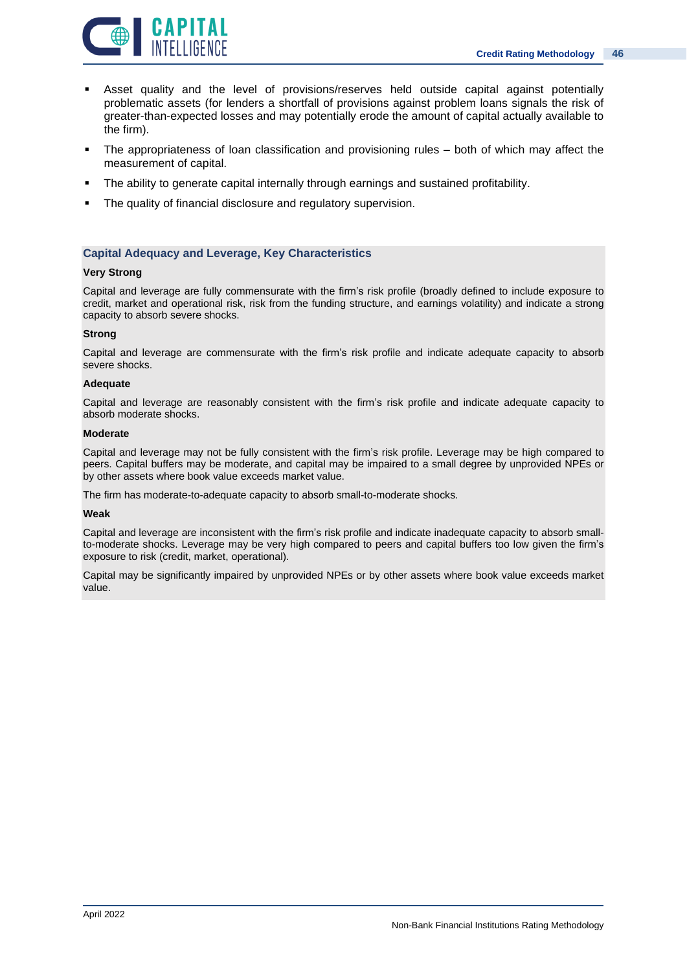![](_page_45_Picture_1.jpeg)

- Asset quality and the level of provisions/reserves held outside capital against potentially problematic assets (for lenders a shortfall of provisions against problem loans signals the risk of greater-than-expected losses and may potentially erode the amount of capital actually available to the firm).
- The appropriateness of loan classification and provisioning rules both of which may affect the measurement of capital.
- **•** The ability to generate capital internally through earnings and sustained profitability.
- The quality of financial disclosure and regulatory supervision.

### **Capital Adequacy and Leverage, Key Characteristics**

### **Very Strong**

Capital and leverage are fully commensurate with the firm's risk profile (broadly defined to include exposure to credit, market and operational risk, risk from the funding structure, and earnings volatility) and indicate a strong capacity to absorb severe shocks.

### **Strong**

Capital and leverage are commensurate with the firm's risk profile and indicate adequate capacity to absorb severe shocks.

### **Adequate**

Capital and leverage are reasonably consistent with the firm's risk profile and indicate adequate capacity to absorb moderate shocks.

#### **Moderate**

Capital and leverage may not be fully consistent with the firm's risk profile. Leverage may be high compared to peers. Capital buffers may be moderate, and capital may be impaired to a small degree by unprovided NPEs or by other assets where book value exceeds market value.

The firm has moderate-to-adequate capacity to absorb small-to-moderate shocks.

### **Weak**

Capital and leverage are inconsistent with the firm's risk profile and indicate inadequate capacity to absorb smallto-moderate shocks. Leverage may be very high compared to peers and capital buffers too low given the firm's exposure to risk (credit, market, operational).

Capital may be significantly impaired by unprovided NPEs or by other assets where book value exceeds market value.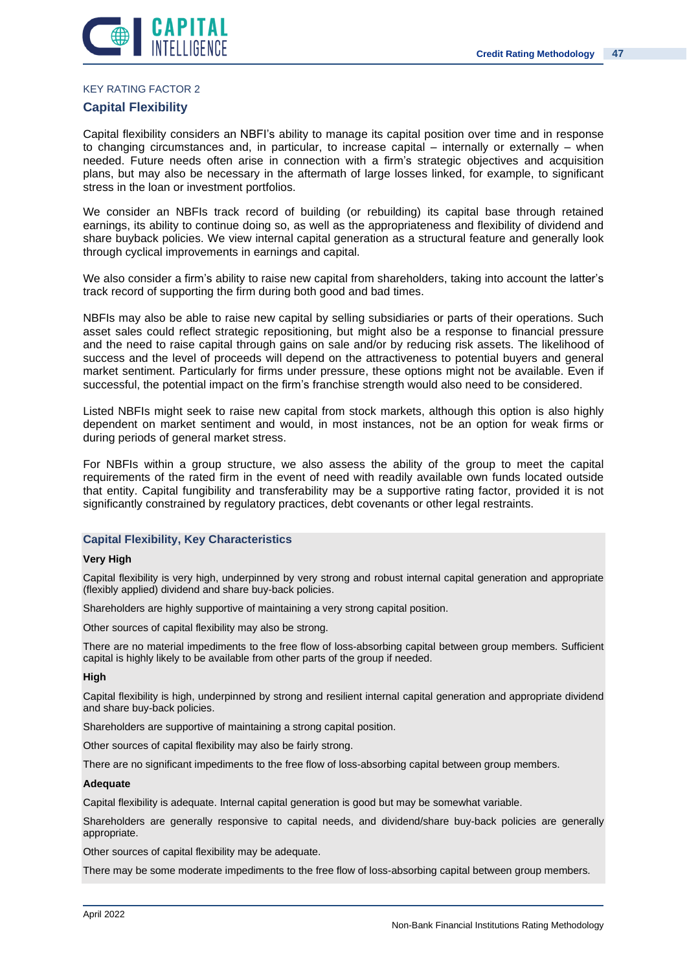![](_page_46_Picture_1.jpeg)

#### KEY RATING FACTOR 2

### **Capital Flexibility**

Capital flexibility considers an NBFI's ability to manage its capital position over time and in response to changing circumstances and, in particular, to increase capital – internally or externally – when needed. Future needs often arise in connection with a firm's strategic objectives and acquisition plans, but may also be necessary in the aftermath of large losses linked, for example, to significant stress in the loan or investment portfolios.

We consider an NBFIs track record of building (or rebuilding) its capital base through retained earnings, its ability to continue doing so, as well as the appropriateness and flexibility of dividend and share buyback policies. We view internal capital generation as a structural feature and generally look through cyclical improvements in earnings and capital.

We also consider a firm's ability to raise new capital from shareholders, taking into account the latter's track record of supporting the firm during both good and bad times.

NBFIs may also be able to raise new capital by selling subsidiaries or parts of their operations. Such asset sales could reflect strategic repositioning, but might also be a response to financial pressure and the need to raise capital through gains on sale and/or by reducing risk assets. The likelihood of success and the level of proceeds will depend on the attractiveness to potential buyers and general market sentiment. Particularly for firms under pressure, these options might not be available. Even if successful, the potential impact on the firm's franchise strength would also need to be considered.

Listed NBFIs might seek to raise new capital from stock markets, although this option is also highly dependent on market sentiment and would, in most instances, not be an option for weak firms or during periods of general market stress.

For NBFIs within a group structure, we also assess the ability of the group to meet the capital requirements of the rated firm in the event of need with readily available own funds located outside that entity. Capital fungibility and transferability may be a supportive rating factor, provided it is not significantly constrained by regulatory practices, debt covenants or other legal restraints.

### **Capital Flexibility, Key Characteristics**

### **Very High**

Capital flexibility is very high, underpinned by very strong and robust internal capital generation and appropriate (flexibly applied) dividend and share buy-back policies.

Shareholders are highly supportive of maintaining a very strong capital position.

Other sources of capital flexibility may also be strong.

There are no material impediments to the free flow of loss-absorbing capital between group members. Sufficient capital is highly likely to be available from other parts of the group if needed.

### **High**

Capital flexibility is high, underpinned by strong and resilient internal capital generation and appropriate dividend and share buy-back policies.

Shareholders are supportive of maintaining a strong capital position.

Other sources of capital flexibility may also be fairly strong.

There are no significant impediments to the free flow of loss-absorbing capital between group members.

### **Adequate**

Capital flexibility is adequate. Internal capital generation is good but may be somewhat variable.

Shareholders are generally responsive to capital needs, and dividend/share buy-back policies are generally appropriate.

Other sources of capital flexibility may be adequate.

There may be some moderate impediments to the free flow of loss-absorbing capital between group members.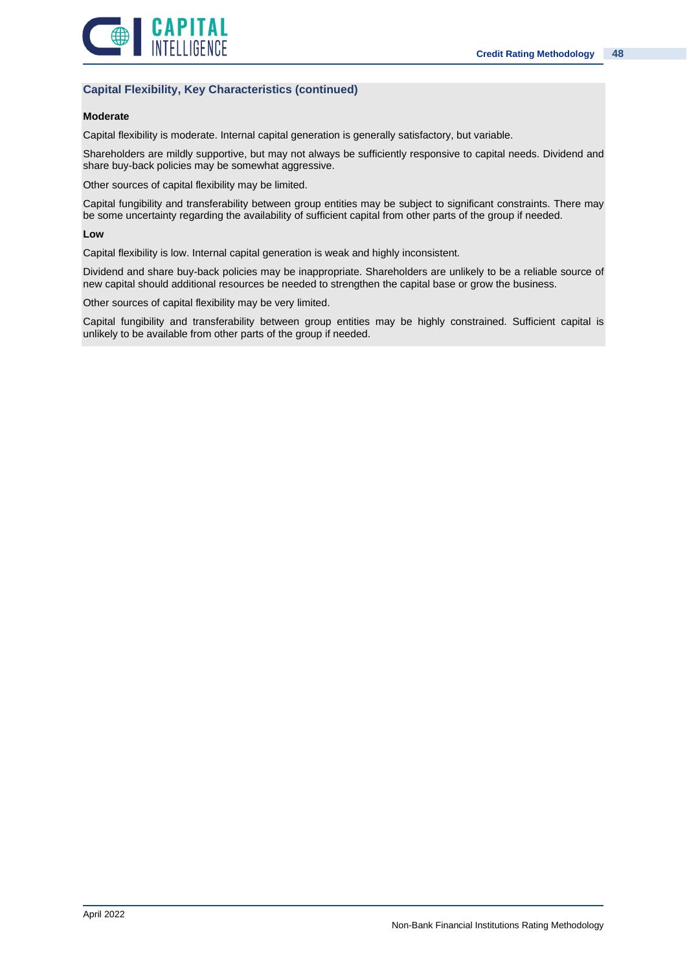![](_page_47_Picture_1.jpeg)

### **Capital Flexibility, Key Characteristics (continued)**

### **Moderate**

Capital flexibility is moderate. Internal capital generation is generally satisfactory, but variable.

Shareholders are mildly supportive, but may not always be sufficiently responsive to capital needs. Dividend and share buy-back policies may be somewhat aggressive.

Other sources of capital flexibility may be limited.

Capital fungibility and transferability between group entities may be subject to significant constraints. There may be some uncertainty regarding the availability of sufficient capital from other parts of the group if needed.

### **Low**

Capital flexibility is low. Internal capital generation is weak and highly inconsistent.

Dividend and share buy-back policies may be inappropriate. Shareholders are unlikely to be a reliable source of new capital should additional resources be needed to strengthen the capital base or grow the business.

Other sources of capital flexibility may be very limited.

Capital fungibility and transferability between group entities may be highly constrained. Sufficient capital is unlikely to be available from other parts of the group if needed.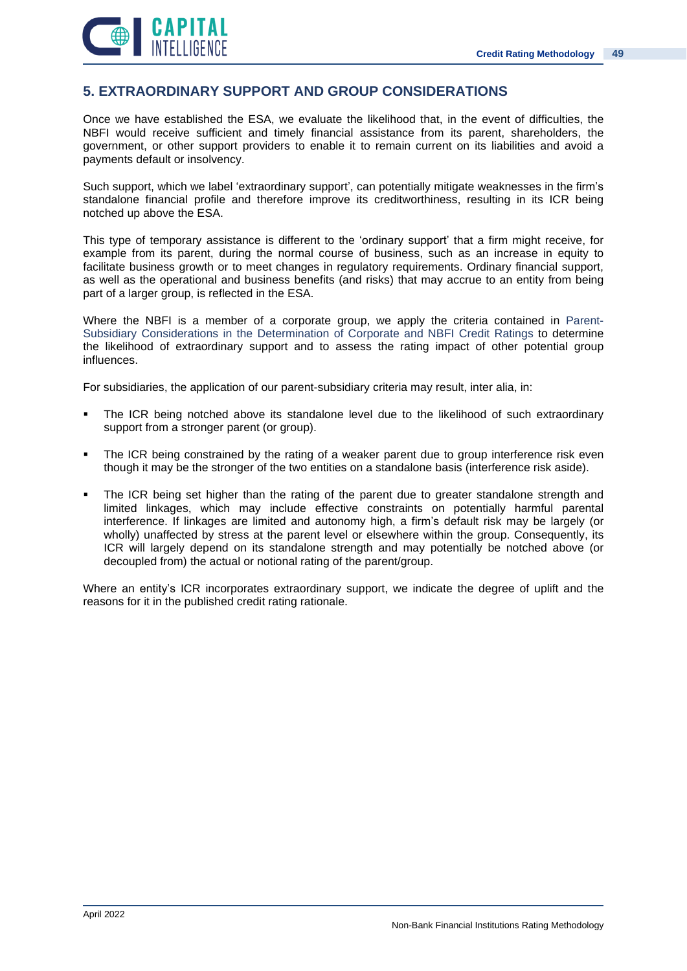![](_page_48_Picture_1.jpeg)

# **5. EXTRAORDINARY SUPPORT AND GROUP CONSIDERATIONS**

Once we have established the ESA, we evaluate the likelihood that, in the event of difficulties, the NBFI would receive sufficient and timely financial assistance from its parent, shareholders, the government, or other support providers to enable it to remain current on its liabilities and avoid a payments default or insolvency.

Such support, which we label 'extraordinary support', can potentially mitigate weaknesses in the firm's standalone financial profile and therefore improve its creditworthiness, resulting in its ICR being notched up above the ESA.

This type of temporary assistance is different to the 'ordinary support' that a firm might receive, for example from its parent, during the normal course of business, such as an increase in equity to facilitate business growth or to meet changes in regulatory requirements. Ordinary financial support, as well as the operational and business benefits (and risks) that may accrue to an entity from being part of a larger group, is reflected in the ESA.

Where the NBFI is a member of a corporate group, we apply the criteria contained in Parent-Subsidiary Considerations in the Determination of Corporate and NBFI Credit Ratings to determine the likelihood of extraordinary support and to assess the rating impact of other potential group influences.

For subsidiaries, the application of our parent-subsidiary criteria may result, inter alia, in:

- The ICR being notched above its standalone level due to the likelihood of such extraordinary support from a stronger parent (or group).
- The ICR being constrained by the rating of a weaker parent due to group interference risk even though it may be the stronger of the two entities on a standalone basis (interference risk aside).
- The ICR being set higher than the rating of the parent due to greater standalone strength and limited linkages, which may include effective constraints on potentially harmful parental interference. If linkages are limited and autonomy high, a firm's default risk may be largely (or wholly) unaffected by stress at the parent level or elsewhere within the group. Consequently, its ICR will largely depend on its standalone strength and may potentially be notched above (or decoupled from) the actual or notional rating of the parent/group.

Where an entity's ICR incorporates extraordinary support, we indicate the degree of uplift and the reasons for it in the published credit rating rationale.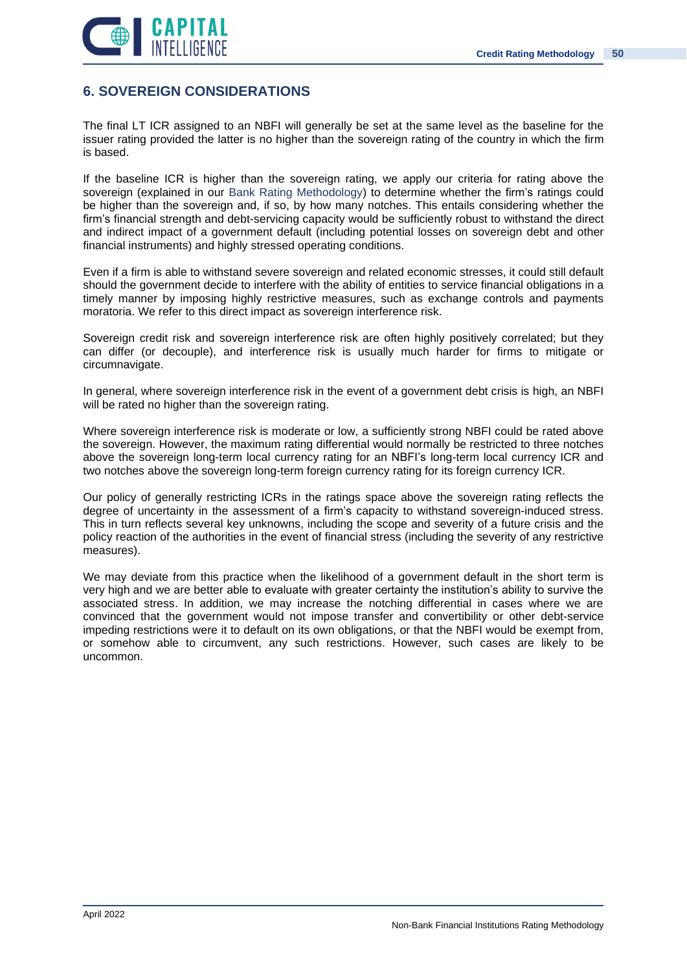![](_page_49_Picture_1.jpeg)

# **6. SOVEREIGN CONSIDERATIONS**

The final LT ICR assigned to an NBFI will generally be set at the same level as the baseline for the issuer rating provided the latter is no higher than the sovereign rating of the country in which the firm is based.

If the baseline ICR is higher than the sovereign rating, we apply our criteria for rating above the sovereign (explained in our Bank Rating Methodology) to determine whether the firm's ratings could be higher than the sovereign and, if so, by how many notches. This entails considering whether the firm's financial strength and debt-servicing capacity would be sufficiently robust to withstand the direct and indirect impact of a government default (including potential losses on sovereign debt and other financial instruments) and highly stressed operating conditions.

Even if a firm is able to withstand severe sovereign and related economic stresses, it could still default should the government decide to interfere with the ability of entities to service financial obligations in a timely manner by imposing highly restrictive measures, such as exchange controls and payments moratoria. We refer to this direct impact as sovereign interference risk.

Sovereign credit risk and sovereign interference risk are often highly positively correlated; but they can differ (or decouple), and interference risk is usually much harder for firms to mitigate or circumnavigate.

In general, where sovereign interference risk in the event of a government debt crisis is high, an NBFI will be rated no higher than the sovereign rating.

Where sovereign interference risk is moderate or low, a sufficiently strong NBFI could be rated above the sovereign. However, the maximum rating differential would normally be restricted to three notches above the sovereign long-term local currency rating for an NBFI's long-term local currency ICR and two notches above the sovereign long-term foreign currency rating for its foreign currency ICR.

Our policy of generally restricting ICRs in the ratings space above the sovereign rating reflects the degree of uncertainty in the assessment of a firm's capacity to withstand sovereign-induced stress. This in turn reflects several key unknowns, including the scope and severity of a future crisis and the policy reaction of the authorities in the event of financial stress (including the severity of any restrictive measures).

We may deviate from this practice when the likelihood of a government default in the short term is very high and we are better able to evaluate with greater certainty the institution's ability to survive the associated stress. In addition, we may increase the notching differential in cases where we are convinced that the government would not impose transfer and convertibility or other debt-service impeding restrictions were it to default on its own obligations, or that the NBFI would be exempt from, or somehow able to circumvent, any such restrictions. However, such cases are likely to be uncommon.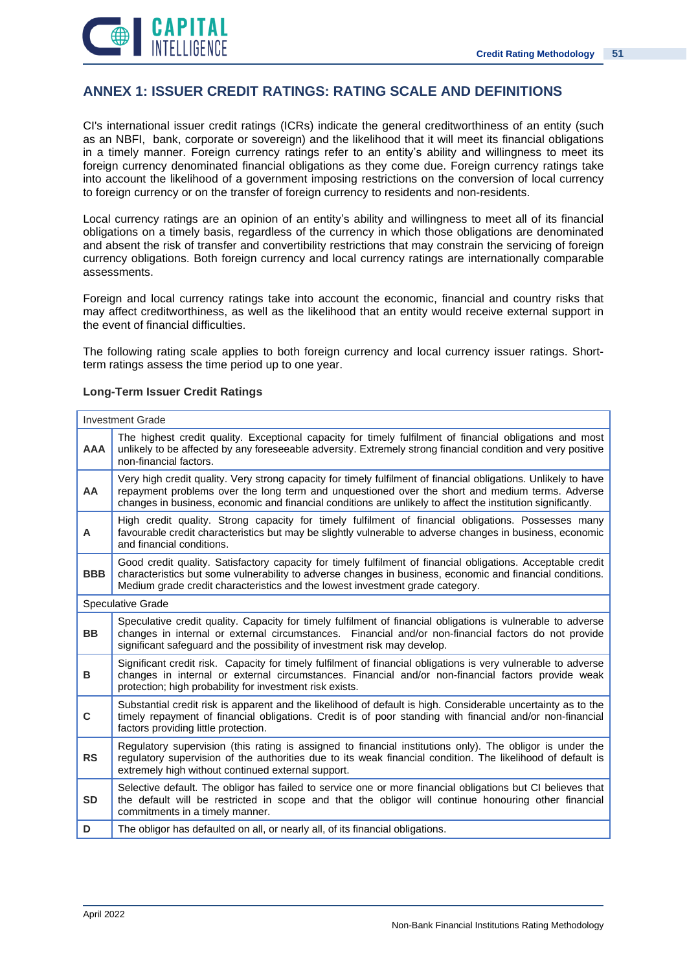![](_page_50_Picture_1.jpeg)

# **ANNEX 1: ISSUER CREDIT RATINGS: RATING SCALE AND DEFINITIONS**

CI's international issuer credit ratings (ICRs) indicate the general creditworthiness of an entity (such as an NBFI, bank, corporate or sovereign) and the likelihood that it will meet its financial obligations in a timely manner. Foreign currency ratings refer to an entity's ability and willingness to meet its foreign currency denominated financial obligations as they come due. Foreign currency ratings take into account the likelihood of a government imposing restrictions on the conversion of local currency to foreign currency or on the transfer of foreign currency to residents and non-residents.

Local currency ratings are an opinion of an entity's ability and willingness to meet all of its financial obligations on a timely basis, regardless of the currency in which those obligations are denominated and absent the risk of transfer and convertibility restrictions that may constrain the servicing of foreign currency obligations. Both foreign currency and local currency ratings are internationally comparable assessments.

Foreign and local currency ratings take into account the economic, financial and country risks that may affect creditworthiness, as well as the likelihood that an entity would receive external support in the event of financial difficulties.

The following rating scale applies to both foreign currency and local currency issuer ratings. Shortterm ratings assess the time period up to one year.

| <b>Investment Grade</b> |                                                                                                                                                                                                                                                                                                                                    |
|-------------------------|------------------------------------------------------------------------------------------------------------------------------------------------------------------------------------------------------------------------------------------------------------------------------------------------------------------------------------|
| <b>AAA</b>              | The highest credit quality. Exceptional capacity for timely fulfilment of financial obligations and most<br>unlikely to be affected by any foreseeable adversity. Extremely strong financial condition and very positive<br>non-financial factors.                                                                                 |
| AA                      | Very high credit quality. Very strong capacity for timely fulfilment of financial obligations. Unlikely to have<br>repayment problems over the long term and unquestioned over the short and medium terms. Adverse<br>changes in business, economic and financial conditions are unlikely to affect the institution significantly. |
| A                       | High credit quality. Strong capacity for timely fulfilment of financial obligations. Possesses many<br>favourable credit characteristics but may be slightly vulnerable to adverse changes in business, economic<br>and financial conditions.                                                                                      |
| <b>BBB</b>              | Good credit quality. Satisfactory capacity for timely fulfilment of financial obligations. Acceptable credit<br>characteristics but some vulnerability to adverse changes in business, economic and financial conditions.<br>Medium grade credit characteristics and the lowest investment grade category.                         |
| Speculative Grade       |                                                                                                                                                                                                                                                                                                                                    |
| <b>BB</b>               | Speculative credit quality. Capacity for timely fulfilment of financial obligations is vulnerable to adverse<br>changes in internal or external circumstances. Financial and/or non-financial factors do not provide<br>significant safeguard and the possibility of investment risk may develop.                                  |
| в                       | Significant credit risk. Capacity for timely fulfilment of financial obligations is very vulnerable to adverse<br>changes in internal or external circumstances. Financial and/or non-financial factors provide weak<br>protection; high probability for investment risk exists.                                                   |
| C                       | Substantial credit risk is apparent and the likelihood of default is high. Considerable uncertainty as to the<br>timely repayment of financial obligations. Credit is of poor standing with financial and/or non-financial<br>factors providing little protection.                                                                 |
| <b>RS</b>               | Regulatory supervision (this rating is assigned to financial institutions only). The obligor is under the<br>regulatory supervision of the authorities due to its weak financial condition. The likelihood of default is<br>extremely high without continued external support.                                                     |
| <b>SD</b>               | Selective default. The obligor has failed to service one or more financial obligations but CI believes that<br>the default will be restricted in scope and that the obligor will continue honouring other financial<br>commitments in a timely manner.                                                                             |
| D                       | The obligor has defaulted on all, or nearly all, of its financial obligations.                                                                                                                                                                                                                                                     |

### **Long-Term Issuer Credit Ratings**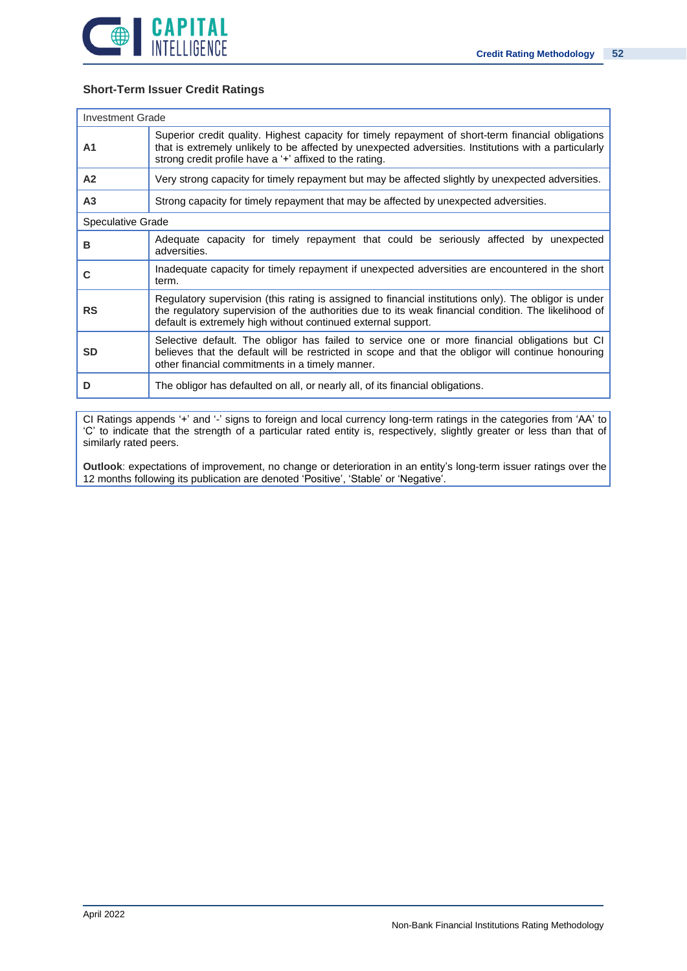![](_page_51_Picture_0.jpeg)

### **Short-Term Issuer Credit Ratings**

| <b>Investment Grade</b> |                                                                                                                                                                                                                                                                                |  |
|-------------------------|--------------------------------------------------------------------------------------------------------------------------------------------------------------------------------------------------------------------------------------------------------------------------------|--|
| A <sub>1</sub>          | Superior credit quality. Highest capacity for timely repayment of short-term financial obligations<br>that is extremely unlikely to be affected by unexpected adversities. Institutions with a particularly<br>strong credit profile have a '+' affixed to the rating.         |  |
| A <sub>2</sub>          | Very strong capacity for timely repayment but may be affected slightly by unexpected adversities.                                                                                                                                                                              |  |
| A <sub>3</sub>          | Strong capacity for timely repayment that may be affected by unexpected adversities.                                                                                                                                                                                           |  |
| Speculative Grade       |                                                                                                                                                                                                                                                                                |  |
| B                       | Adequate capacity for timely repayment that could be seriously affected by unexpected<br>adversities.                                                                                                                                                                          |  |
| C                       | Inadequate capacity for timely repayment if unexpected adversities are encountered in the short<br>term.                                                                                                                                                                       |  |
| <b>RS</b>               | Regulatory supervision (this rating is assigned to financial institutions only). The obligor is under<br>the regulatory supervision of the authorities due to its weak financial condition. The likelihood of<br>default is extremely high without continued external support. |  |
| <b>SD</b>               | Selective default. The obligor has failed to service one or more financial obligations but CI<br>believes that the default will be restricted in scope and that the obligor will continue honouring<br>other financial commitments in a timely manner.                         |  |
| D                       | The obligor has defaulted on all, or nearly all, of its financial obligations.                                                                                                                                                                                                 |  |

CI Ratings appends '+' and '-' signs to foreign and local currency long-term ratings in the categories from 'AA' to 'C' to indicate that the strength of a particular rated entity is, respectively, slightly greater or less than that of similarly rated peers.

**Outlook**: expectations of improvement, no change or deterioration in an entity's long-term issuer ratings over the 12 months following its publication are denoted 'Positive', 'Stable' or 'Negative'.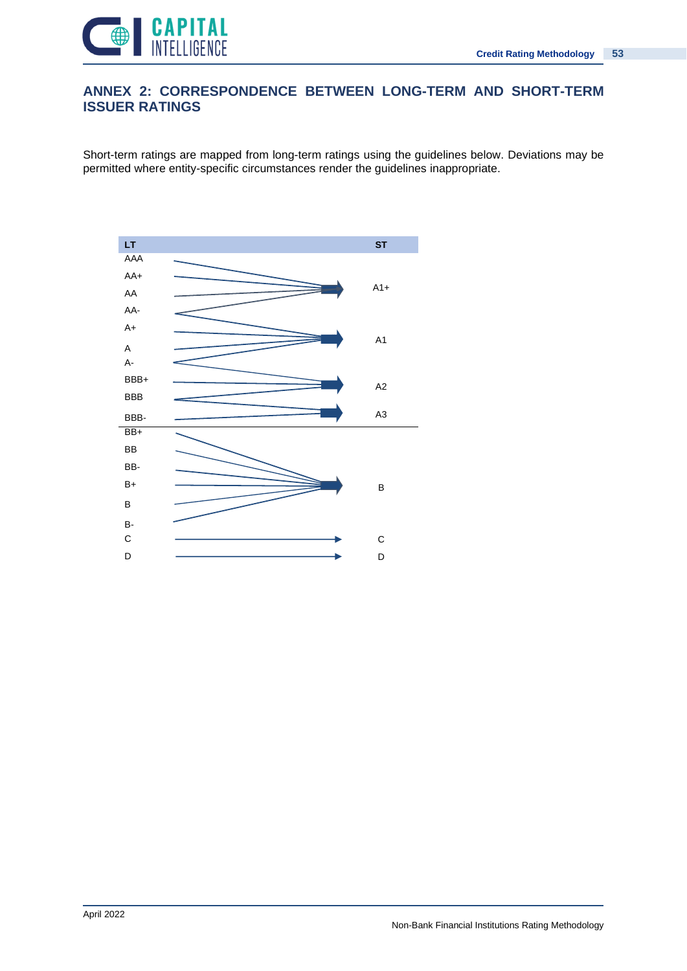![](_page_52_Picture_1.jpeg)

# **ANNEX 2: CORRESPONDENCE BETWEEN LONG-TERM AND SHORT-TERM ISSUER RATINGS**

Short-term ratings are mapped from long-term ratings using the guidelines below. Deviations may be permitted where entity-specific circumstances render the guidelines inappropriate.

![](_page_52_Figure_4.jpeg)